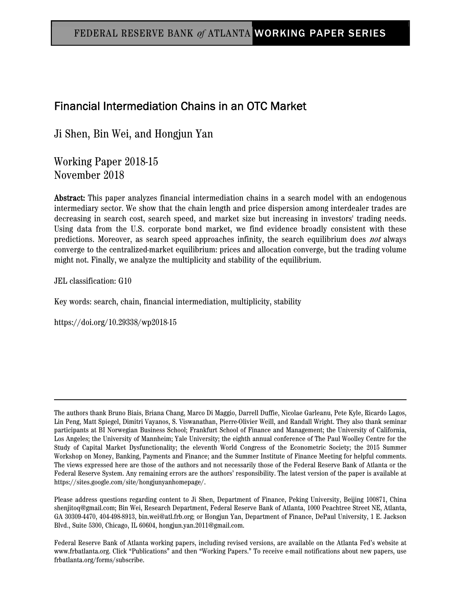# Financial Intermediation Chains in an OTC Market

Ji Shen, Bin Wei, and Hongjun Yan

Working Paper 2018-15 November 2018

Abstract: This paper analyzes financial intermediation chains in a search model with an endogenous intermediary sector. We show that the chain length and price dispersion among interdealer trades are decreasing in search cost, search speed, and market size but increasing in investors' trading needs. Using data from the U.S. corporate bond market, we find evidence broadly consistent with these predictions. Moreover, as search speed approaches infinity, the search equilibrium does not always converge to the centralized-market equilibrium: prices and allocation converge, but the trading volume might not. Finally, we analyze the multiplicity and stability of the equilibrium.

JEL classification: G10

Key words: search, chain, financial intermediation, multiplicity, stability

https://doi.org/10.29338/wp2018-15

The authors thank Bruno Biais, Briana Chang, Marco Di Maggio, Darrell Duffie, Nicolae Garleanu, Pete Kyle, Ricardo Lagos, Lin Peng, Matt Spiegel, Dimitri Vayanos, S. Viswanathan, Pierre-Olivier Weill, and Randall Wright. They also thank seminar participants at BI Norwegian Business School; Frankfurt School of Finance and Management; the University of California, Los Angeles; the University of Mannheim; Yale University; the eighth annual conference of The Paul Woolley Centre for the Study of Capital Market Dysfunctionality; the eleventh World Congress of the Econometric Society; the 2015 Summer Workshop on Money, Banking, Payments and Finance; and the Summer Institute of Finance Meeting for helpful comments. The views expressed here are those of the authors and not necessarily those of the Federal Reserve Bank of Atlanta or the Federal Reserve System. Any remaining errors are the authors' responsibility. The latest version of the paper is available at https://sites.google.com/site/hongjunyanhomepage/.

Please address questions regarding content to Ji Shen, Department of Finance, Peking University, Beijing 100871, China shenjitoq@gmail.com; Bin Wei, Research Department, Federal Reserve Bank of Atlanta, 1000 Peachtree Street NE, Atlanta, GA 30309-4470, 404-498-8913, bin.wei@atl.frb.org; or Hongjun Yan, Department of Finance, DePaul University, 1 E. Jackson Blvd., Suite 5300, Chicago, IL 60604, hongjun.yan.2011@gmail.com.

Federal Reserve Bank of Atlanta working papers, including revised versions, are available on the Atlanta Fed's website at www.frbatlanta.org. Click "Publications" and then "Working Papers." To receive e-mail notifications about new papers, use frbatlanta.org/forms/subscribe.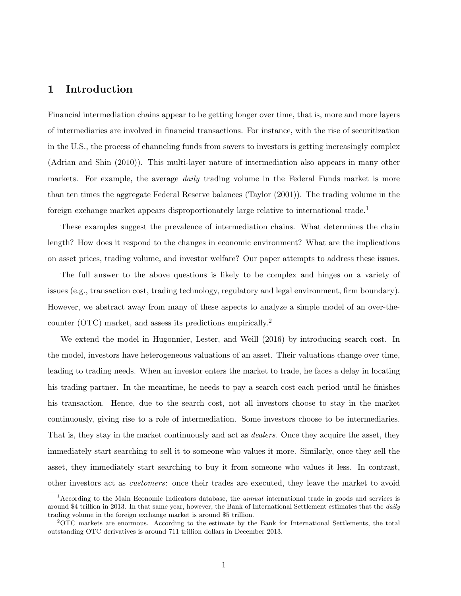## 1 Introduction

Financial intermediation chains appear to be getting longer over time, that is, more and more layers of intermediaries are involved in financial transactions. For instance, with the rise of securitization in the U.S., the process of channeling funds from savers to investors is getting increasingly complex (Adrian and Shin (2010)). This multi-layer nature of intermediation also appears in many other markets. For example, the average *daily* trading volume in the Federal Funds market is more than ten times the aggregate Federal Reserve balances (Taylor (2001)). The trading volume in the foreign exchange market appears disproportionately large relative to international trade.<sup>1</sup>

These examples suggest the prevalence of intermediation chains. What determines the chain length? How does it respond to the changes in economic environment? What are the implications on asset prices, trading volume, and investor welfare? Our paper attempts to address these issues.

The full answer to the above questions is likely to be complex and hinges on a variety of issues (e.g., transaction cost, trading technology, regulatory and legal environment, firm boundary). However, we abstract away from many of these aspects to analyze a simple model of an over-thecounter (OTC) market, and assess its predictions empirically.<sup>2</sup>

We extend the model in Hugonnier, Lester, and Weill (2016) by introducing search cost. In the model, investors have heterogeneous valuations of an asset. Their valuations change over time, leading to trading needs. When an investor enters the market to trade, he faces a delay in locating his trading partner. In the meantime, he needs to pay a search cost each period until he finishes his transaction. Hence, due to the search cost, not all investors choose to stay in the market continuously, giving rise to a role of intermediation. Some investors choose to be intermediaries. That is, they stay in the market continuously and act as *dealers*. Once they acquire the asset, they immediately start searching to sell it to someone who values it more. Similarly, once they sell the asset, they immediately start searching to buy it from someone who values it less. In contrast, other investors act as customers: once their trades are executed, they leave the market to avoid

<sup>&</sup>lt;sup>1</sup>According to the Main Economic Indicators database, the *annual* international trade in goods and services is around \$4 trillion in 2013. In that same year, however, the Bank of International Settlement estimates that the daily trading volume in the foreign exchange market is around \$5 trillion.

<sup>2</sup>OTC markets are enormous. According to the estimate by the Bank for International Settlements, the total outstanding OTC derivatives is around 711 trillion dollars in December 2013.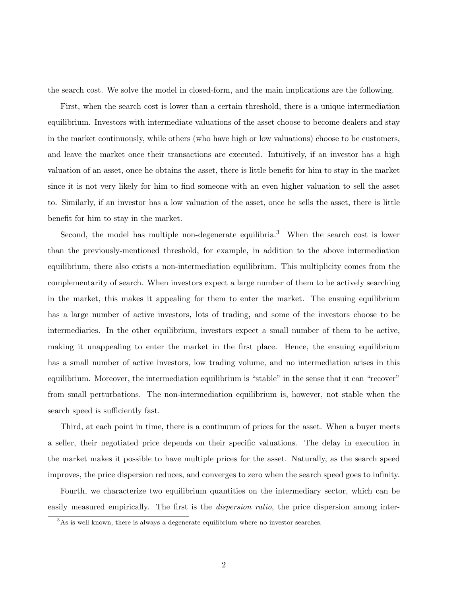the search cost. We solve the model in closed-form, and the main implications are the following.

First, when the search cost is lower than a certain threshold, there is a unique intermediation equilibrium. Investors with intermediate valuations of the asset choose to become dealers and stay in the market continuously, while others (who have high or low valuations) choose to be customers, and leave the market once their transactions are executed. Intuitively, if an investor has a high valuation of an asset, once he obtains the asset, there is little benefit for him to stay in the market since it is not very likely for him to find someone with an even higher valuation to sell the asset to. Similarly, if an investor has a low valuation of the asset, once he sells the asset, there is little benefit for him to stay in the market.

Second, the model has multiple non-degenerate equilibria.<sup>3</sup> When the search cost is lower than the previously-mentioned threshold, for example, in addition to the above intermediation equilibrium, there also exists a non-intermediation equilibrium. This multiplicity comes from the complementarity of search. When investors expect a large number of them to be actively searching in the market, this makes it appealing for them to enter the market. The ensuing equilibrium has a large number of active investors, lots of trading, and some of the investors choose to be intermediaries. In the other equilibrium, investors expect a small number of them to be active, making it unappealing to enter the market in the first place. Hence, the ensuing equilibrium has a small number of active investors, low trading volume, and no intermediation arises in this equilibrium. Moreover, the intermediation equilibrium is "stable" in the sense that it can "recover" from small perturbations. The non-intermediation equilibrium is, however, not stable when the search speed is sufficiently fast.

Third, at each point in time, there is a continuum of prices for the asset. When a buyer meets a seller, their negotiated price depends on their specific valuations. The delay in execution in the market makes it possible to have multiple prices for the asset. Naturally, as the search speed improves, the price dispersion reduces, and converges to zero when the search speed goes to infinity.

Fourth, we characterize two equilibrium quantities on the intermediary sector, which can be easily measured empirically. The first is the *dispersion ratio*, the price dispersion among inter-

<sup>&</sup>lt;sup>3</sup>As is well known, there is always a degenerate equilibrium where no investor searches.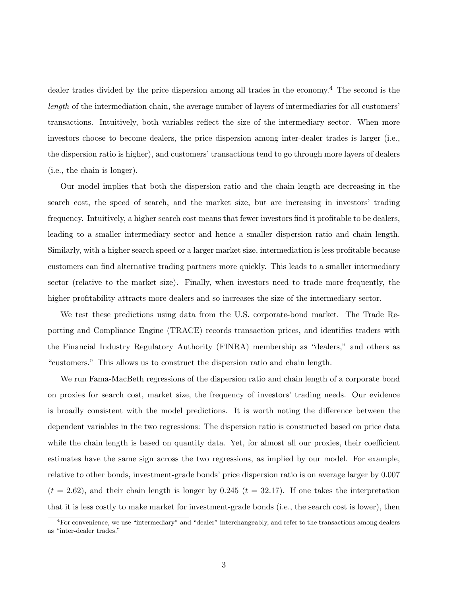dealer trades divided by the price dispersion among all trades in the economy.<sup>4</sup> The second is the length of the intermediation chain, the average number of layers of intermediaries for all customers' transactions. Intuitively, both variables reflect the size of the intermediary sector. When more investors choose to become dealers, the price dispersion among inter-dealer trades is larger (i.e., the dispersion ratio is higher), and customers' transactions tend to go through more layers of dealers (i.e., the chain is longer).

Our model implies that both the dispersion ratio and the chain length are decreasing in the search cost, the speed of search, and the market size, but are increasing in investors' trading frequency. Intuitively, a higher search cost means that fewer investors find it profitable to be dealers, leading to a smaller intermediary sector and hence a smaller dispersion ratio and chain length. Similarly, with a higher search speed or a larger market size, intermediation is less profitable because customers can find alternative trading partners more quickly. This leads to a smaller intermediary sector (relative to the market size). Finally, when investors need to trade more frequently, the higher profitability attracts more dealers and so increases the size of the intermediary sector.

We test these predictions using data from the U.S. corporate-bond market. The Trade Reporting and Compliance Engine (TRACE) records transaction prices, and identifies traders with the Financial Industry Regulatory Authority (FINRA) membership as "dealers," and others as "customers." This allows us to construct the dispersion ratio and chain length.

We run Fama-MacBeth regressions of the dispersion ratio and chain length of a corporate bond on proxies for search cost, market size, the frequency of investors' trading needs. Our evidence is broadly consistent with the model predictions. It is worth noting the difference between the dependent variables in the two regressions: The dispersion ratio is constructed based on price data while the chain length is based on quantity data. Yet, for almost all our proxies, their coefficient estimates have the same sign across the two regressions, as implied by our model. For example, relative to other bonds, investment-grade bonds' price dispersion ratio is on average larger by 0.007  $(t = 2.62)$ , and their chain length is longer by 0.245  $(t = 32.17)$ . If one takes the interpretation that it is less costly to make market for investment-grade bonds (i.e., the search cost is lower), then

 ${}^{4}$ For convenience, we use "intermediary" and "dealer" interchangeably, and refer to the transactions among dealers as "inter-dealer trades."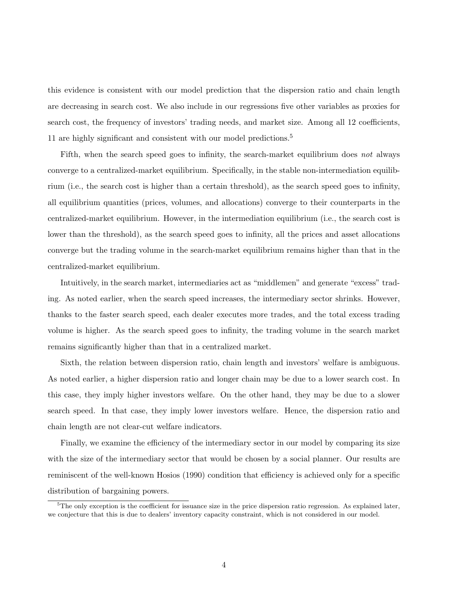this evidence is consistent with our model prediction that the dispersion ratio and chain length are decreasing in search cost. We also include in our regressions five other variables as proxies for search cost, the frequency of investors' trading needs, and market size. Among all 12 coefficients, 11 are highly significant and consistent with our model predictions.<sup>5</sup>

Fifth, when the search speed goes to infinity, the search-market equilibrium does not always converge to a centralized-market equilibrium. Specifically, in the stable non-intermediation equilibrium (i.e., the search cost is higher than a certain threshold), as the search speed goes to infinity, all equilibrium quantities (prices, volumes, and allocations) converge to their counterparts in the centralized-market equilibrium. However, in the intermediation equilibrium (i.e., the search cost is lower than the threshold), as the search speed goes to infinity, all the prices and asset allocations converge but the trading volume in the search-market equilibrium remains higher than that in the centralized-market equilibrium.

Intuitively, in the search market, intermediaries act as "middlemen" and generate "excess" trading. As noted earlier, when the search speed increases, the intermediary sector shrinks. However, thanks to the faster search speed, each dealer executes more trades, and the total excess trading volume is higher. As the search speed goes to infinity, the trading volume in the search market remains significantly higher than that in a centralized market.

Sixth, the relation between dispersion ratio, chain length and investors' welfare is ambiguous. As noted earlier, a higher dispersion ratio and longer chain may be due to a lower search cost. In this case, they imply higher investors welfare. On the other hand, they may be due to a slower search speed. In that case, they imply lower investors welfare. Hence, the dispersion ratio and chain length are not clear-cut welfare indicators.

Finally, we examine the efficiency of the intermediary sector in our model by comparing its size with the size of the intermediary sector that would be chosen by a social planner. Our results are reminiscent of the well-known Hosios (1990) condition that efficiency is achieved only for a specific distribution of bargaining powers.

 ${}^{5}$ The only exception is the coefficient for issuance size in the price dispersion ratio regression. As explained later, we conjecture that this is due to dealers' inventory capacity constraint, which is not considered in our model.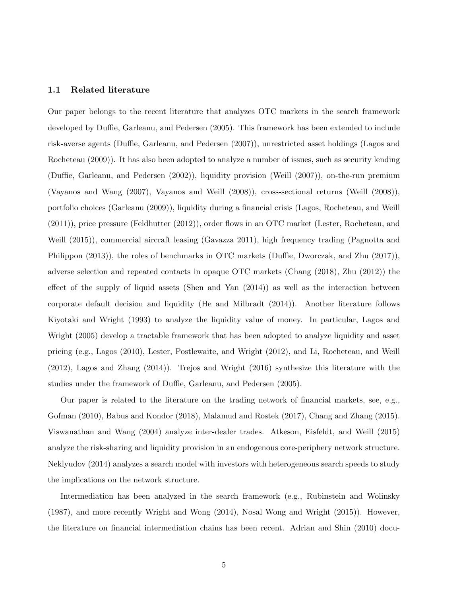#### 1.1 Related literature

Our paper belongs to the recent literature that analyzes OTC markets in the search framework developed by Duffie, Garleanu, and Pedersen (2005). This framework has been extended to include risk-averse agents (Duffie, Garleanu, and Pedersen (2007)), unrestricted asset holdings (Lagos and Rocheteau (2009)). It has also been adopted to analyze a number of issues, such as security lending (Duffie, Garleanu, and Pedersen (2002)), liquidity provision (Weill (2007)), on-the-run premium (Vayanos and Wang (2007), Vayanos and Weill (2008)), cross-sectional returns (Weill (2008)), portfolio choices (Garleanu (2009)), liquidity during a financial crisis (Lagos, Rocheteau, and Weill (2011)), price pressure (Feldhutter (2012)), order flows in an OTC market (Lester, Rocheteau, and Weill (2015)), commercial aircraft leasing (Gavazza 2011), high frequency trading (Pagnotta and Philippon (2013)), the roles of benchmarks in OTC markets (Duffie, Dworczak, and Zhu (2017)), adverse selection and repeated contacts in opaque OTC markets (Chang (2018), Zhu (2012)) the effect of the supply of liquid assets (Shen and Yan (2014)) as well as the interaction between corporate default decision and liquidity (He and Milbradt (2014)). Another literature follows Kiyotaki and Wright (1993) to analyze the liquidity value of money. In particular, Lagos and Wright (2005) develop a tractable framework that has been adopted to analyze liquidity and asset pricing (e.g., Lagos (2010), Lester, Postlewaite, and Wright (2012), and Li, Rocheteau, and Weill (2012), Lagos and Zhang (2014)). Trejos and Wright (2016) synthesize this literature with the studies under the framework of Duffie, Garleanu, and Pedersen (2005).

Our paper is related to the literature on the trading network of financial markets, see, e.g., Gofman (2010), Babus and Kondor (2018), Malamud and Rostek (2017), Chang and Zhang (2015). Viswanathan and Wang (2004) analyze inter-dealer trades. Atkeson, Eisfeldt, and Weill (2015) analyze the risk-sharing and liquidity provision in an endogenous core-periphery network structure. Neklyudov (2014) analyzes a search model with investors with heterogeneous search speeds to study the implications on the network structure.

Intermediation has been analyzed in the search framework (e.g., Rubinstein and Wolinsky (1987), and more recently Wright and Wong (2014), Nosal Wong and Wright (2015)). However, the literature on financial intermediation chains has been recent. Adrian and Shin (2010) docu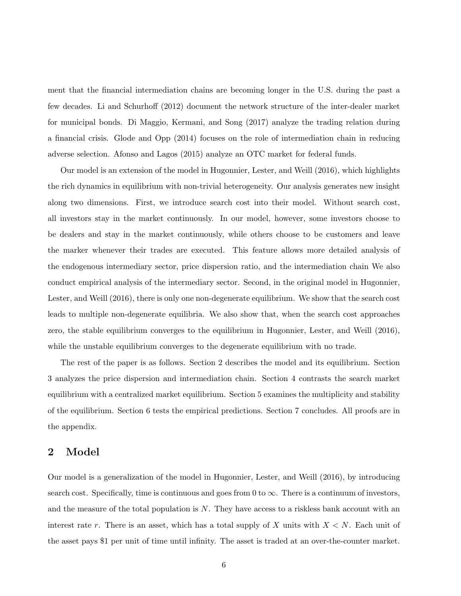ment that the financial intermediation chains are becoming longer in the U.S. during the past a few decades. Li and Schurhoff (2012) document the network structure of the inter-dealer market for municipal bonds. Di Maggio, Kermani, and Song (2017) analyze the trading relation during a financial crisis. Glode and Opp (2014) focuses on the role of intermediation chain in reducing adverse selection. Afonso and Lagos (2015) analyze an OTC market for federal funds.

Our model is an extension of the model in Hugonnier, Lester, and Weill (2016), which highlights the rich dynamics in equilibrium with non-trivial heterogeneity. Our analysis generates new insight along two dimensions. First, we introduce search cost into their model. Without search cost, all investors stay in the market continuously. In our model, however, some investors choose to be dealers and stay in the market continuously, while others choose to be customers and leave the marker whenever their trades are executed. This feature allows more detailed analysis of the endogenous intermediary sector, price dispersion ratio, and the intermediation chain We also conduct empirical analysis of the intermediary sector. Second, in the original model in Hugonnier, Lester, and Weill (2016), there is only one non-degenerate equilibrium. We show that the search cost leads to multiple non-degenerate equilibria. We also show that, when the search cost approaches zero, the stable equilibrium converges to the equilibrium in Hugonnier, Lester, and Weill (2016), while the unstable equilibrium converges to the degenerate equilibrium with no trade.

The rest of the paper is as follows. Section 2 describes the model and its equilibrium. Section 3 analyzes the price dispersion and intermediation chain. Section 4 contrasts the search market equilibrium with a centralized market equilibrium. Section 5 examines the multiplicity and stability of the equilibrium. Section 6 tests the empirical predictions. Section 7 concludes. All proofs are in the appendix.

## 2 Model

Our model is a generalization of the model in Hugonnier, Lester, and Weill (2016), by introducing search cost. Specifically, time is continuous and goes from 0 to  $\infty$ . There is a continuum of investors, and the measure of the total population is N. They have access to a riskless bank account with an interest rate r. There is an asset, which has a total supply of X units with  $X \leq N$ . Each unit of the asset pays \$1 per unit of time until infinity. The asset is traded at an over-the-counter market.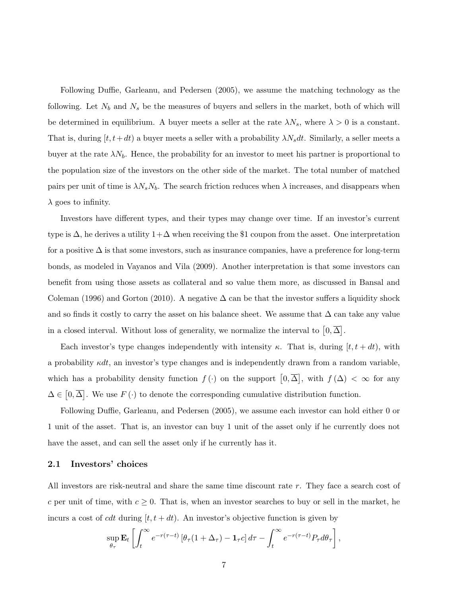Following Duffie, Garleanu, and Pedersen (2005), we assume the matching technology as the following. Let  $N_b$  and  $N_s$  be the measures of buyers and sellers in the market, both of which will be determined in equilibrium. A buyer meets a seller at the rate  $\lambda N_s$ , where  $\lambda > 0$  is a constant. That is, during  $[t, t+dt)$  a buyer meets a seller with a probability  $\lambda N_s dt$ . Similarly, a seller meets a buyer at the rate  $\lambda N_b$ . Hence, the probability for an investor to meet his partner is proportional to the population size of the investors on the other side of the market. The total number of matched pairs per unit of time is  $\lambda N_s N_b$ . The search friction reduces when  $\lambda$  increases, and disappears when  $\lambda$  goes to infinity.

Investors have different types, and their types may change over time. If an investor's current type is  $\Delta$ , he derives a utility  $1+\Delta$  when receiving the \$1 coupon from the asset. One interpretation for a positive  $\Delta$  is that some investors, such as insurance companies, have a preference for long-term bonds, as modeled in Vayanos and Vila (2009). Another interpretation is that some investors can benefit from using those assets as collateral and so value them more, as discussed in Bansal and Coleman (1996) and Gorton (2010). A negative  $\Delta$  can be that the investor suffers a liquidity shock and so finds it costly to carry the asset on his balance sheet. We assume that  $\Delta$  can take any value in a closed interval. Without loss of generality, we normalize the interval to  $[0, \overline{\Delta}]$ .

Each investor's type changes independently with intensity  $\kappa$ . That is, during  $[t, t + dt)$ , with a probability  $\kappa dt$ , an investor's type changes and is independently drawn from a random variable, which has a probability density function  $f(\cdot)$  on the support  $[0,\overline{\Delta}]$ , with  $f(\Delta) < \infty$  for any  $\Delta \in [0, \overline{\Delta}]$ . We use  $F(\cdot)$  to denote the corresponding cumulative distribution function.

Following Duffie, Garleanu, and Pedersen (2005), we assume each investor can hold either 0 or 1 unit of the asset. That is, an investor can buy 1 unit of the asset only if he currently does not have the asset, and can sell the asset only if he currently has it.

#### 2.1 Investors' choices

All investors are risk-neutral and share the same time discount rate r. They face a search cost of c per unit of time, with  $c \geq 0$ . That is, when an investor searches to buy or sell in the market, he incurs a cost of *cdt* during  $[t, t + dt)$ . An investor's objective function is given by

$$
\sup_{\theta_{\tau}} \mathbf{E}_{t} \left[ \int_{t}^{\infty} e^{-r(\tau - t)} \left[ \theta_{\tau} (1 + \Delta_{\tau}) - \mathbf{1}_{\tau} c \right] d\tau - \int_{t}^{\infty} e^{-r(\tau - t)} P_{\tau} d\theta_{\tau} \right],
$$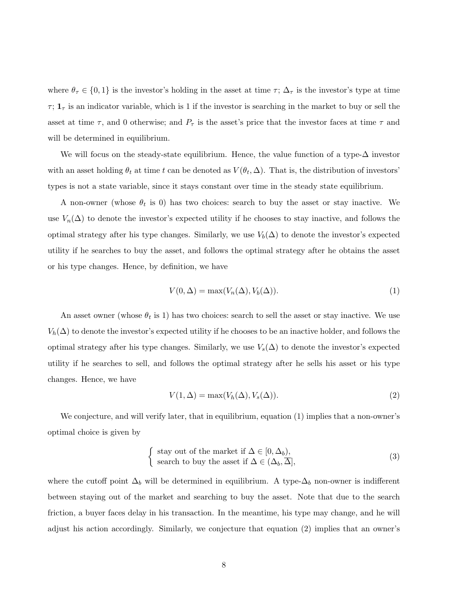where  $\theta_{\tau} \in \{0,1\}$  is the investor's holding in the asset at time  $\tau$ ;  $\Delta_{\tau}$  is the investor's type at time  $\tau$ ;  $\mathbf{1}_{\tau}$  is an indicator variable, which is 1 if the investor is searching in the market to buy or sell the asset at time  $\tau$ , and 0 otherwise; and  $P_{\tau}$  is the asset's price that the investor faces at time  $\tau$  and will be determined in equilibrium.

We will focus on the steady-state equilibrium. Hence, the value function of a type-∆ investor with an asset holding  $\theta_t$  at time t can be denoted as  $V(\theta_t, \Delta)$ . That is, the distribution of investors' types is not a state variable, since it stays constant over time in the steady state equilibrium.

A non-owner (whose  $\theta_t$  is 0) has two choices: search to buy the asset or stay inactive. We use  $V_n(\Delta)$  to denote the investor's expected utility if he chooses to stay inactive, and follows the optimal strategy after his type changes. Similarly, we use  $V_b(\Delta)$  to denote the investor's expected utility if he searches to buy the asset, and follows the optimal strategy after he obtains the asset or his type changes. Hence, by definition, we have

$$
V(0,\Delta) = \max(V_n(\Delta), V_b(\Delta)).
$$
\n(1)

An asset owner (whose  $\theta_t$  is 1) has two choices: search to sell the asset or stay inactive. We use  $V_h(\Delta)$  to denote the investor's expected utility if he chooses to be an inactive holder, and follows the optimal strategy after his type changes. Similarly, we use  $V_s(\Delta)$  to denote the investor's expected utility if he searches to sell, and follows the optimal strategy after he sells his asset or his type changes. Hence, we have

$$
V(1,\Delta) = \max(V_h(\Delta), V_s(\Delta)).
$$
\n(2)

We conjecture, and will verify later, that in equilibrium, equation (1) implies that a non-owner's optimal choice is given by

$$
\begin{cases}\n\text{stay out of the market if } \Delta \in [0, \Delta_b), \\
\text{search to buy the asset if } \Delta \in (\Delta_b, \overline{\Delta}],\n\end{cases}
$$
\n(3)

where the cutoff point  $\Delta_b$  will be determined in equilibrium. A type- $\Delta_b$  non-owner is indifferent between staying out of the market and searching to buy the asset. Note that due to the search friction, a buyer faces delay in his transaction. In the meantime, his type may change, and he will adjust his action accordingly. Similarly, we conjecture that equation (2) implies that an owner's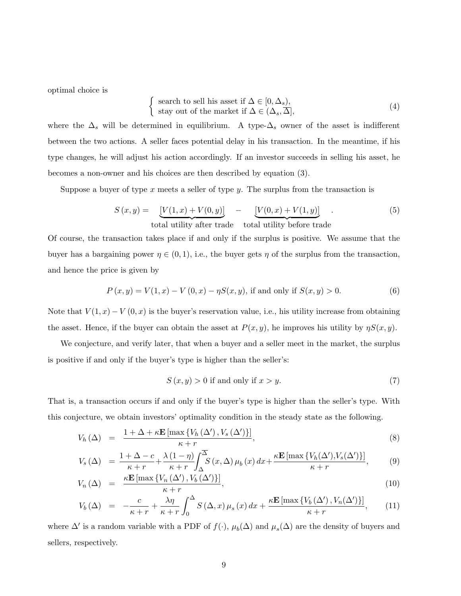optimal choice is

$$
\begin{cases}\n\text{ search to sell his asset if } \Delta \in [0, \Delta_s), \\
\text{stay out of the market if } \Delta \in (\Delta_s, \overline{\Delta}],\n\end{cases}
$$
\n(4)

where the  $\Delta_s$  will be determined in equilibrium. A type- $\Delta_s$  owner of the asset is indifferent between the two actions. A seller faces potential delay in his transaction. In the meantime, if his type changes, he will adjust his action accordingly. If an investor succeeds in selling his asset, he becomes a non-owner and his choices are then described by equation (3).

Suppose a buyer of type x meets a seller of type y. The surplus from the transaction is

$$
S(x,y) = \underbrace{[V(1,x) + V(0,y)]}_{\text{total utility after trade}} - \underbrace{[V(0,x) + V(1,y)]}_{\text{total utility before trade}}.
$$
\n
$$
(5)
$$

Of course, the transaction takes place if and only if the surplus is positive. We assume that the buyer has a bargaining power  $\eta \in (0,1)$ , i.e., the buyer gets  $\eta$  of the surplus from the transaction, and hence the price is given by

$$
P(x, y) = V(1, x) - V(0, x) - \eta S(x, y), \text{ if and only if } S(x, y) > 0.
$$
 (6)

Note that  $V(1, x) - V(0, x)$  is the buyer's reservation value, i.e., his utility increase from obtaining the asset. Hence, if the buyer can obtain the asset at  $P(x, y)$ , he improves his utility by  $\eta S(x, y)$ .

We conjecture, and verify later, that when a buyer and a seller meet in the market, the surplus is positive if and only if the buyer's type is higher than the seller's:

$$
S(x, y) > 0
$$
 if and only if  $x > y$ . (7)

That is, a transaction occurs if and only if the buyer's type is higher than the seller's type. With this conjecture, we obtain investors' optimality condition in the steady state as the following.

$$
V_h(\Delta) = \frac{1 + \Delta + \kappa \mathbf{E} \left[ \max \left\{ V_h(\Delta'), V_s(\Delta') \right\} \right]}{\kappa + r},\tag{8}
$$

$$
V_s(\Delta) = \frac{1 + \Delta - c}{\kappa + r} + \frac{\lambda (1 - \eta)}{\kappa + r} \int_{\Delta}^{\overline{\Delta}} S(x, \Delta) \mu_b(x) dx + \frac{\kappa \mathbf{E} [\max \{ V_h(\Delta'), V_s(\Delta') \}]}{\kappa + r}, \tag{9}
$$

$$
V_n(\Delta) = \frac{\kappa \mathbf{E} \left[ \max \left\{ V_n \left( \Delta' \right), V_b \left( \Delta' \right) \right\} \right]}{\kappa + r},\tag{10}
$$

$$
V_b(\Delta) = -\frac{c}{\kappa + r} + \frac{\lambda \eta}{\kappa + r} \int_0^{\Delta} S(\Delta, x) \mu_s(x) dx + \frac{\kappa \mathbf{E} \left[ \max \left\{ V_b(\Delta'), V_n(\Delta') \right\} \right]}{\kappa + r}, \quad (11)
$$

where  $\Delta'$  is a random variable with a PDF of  $f(\cdot)$ ,  $\mu_b(\Delta)$  and  $\mu_s(\Delta)$  are the density of buyers and sellers, respectively.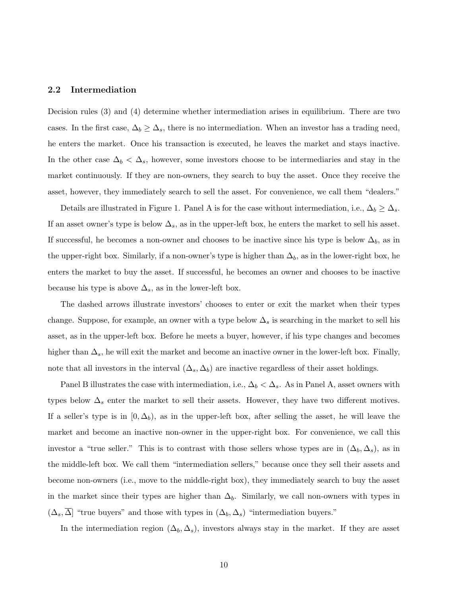#### 2.2 Intermediation

Decision rules (3) and (4) determine whether intermediation arises in equilibrium. There are two cases. In the first case,  $\Delta_b \geq \Delta_s$ , there is no intermediation. When an investor has a trading need, he enters the market. Once his transaction is executed, he leaves the market and stays inactive. In the other case  $\Delta_b < \Delta_s$ , however, some investors choose to be intermediaries and stay in the market continuously. If they are non-owners, they search to buy the asset. Once they receive the asset, however, they immediately search to sell the asset. For convenience, we call them "dealers."

Details are illustrated in Figure 1. Panel A is for the case without intermediation, i.e.,  $\Delta_b \geq \Delta_s$ . If an asset owner's type is below  $\Delta_s$ , as in the upper-left box, he enters the market to sell his asset. If successful, he becomes a non-owner and chooses to be inactive since his type is below  $\Delta_b$ , as in the upper-right box. Similarly, if a non-owner's type is higher than  $\Delta_b$ , as in the lower-right box, he enters the market to buy the asset. If successful, he becomes an owner and chooses to be inactive because his type is above  $\Delta_s$ , as in the lower-left box.

The dashed arrows illustrate investors' chooses to enter or exit the market when their types change. Suppose, for example, an owner with a type below  $\Delta_s$  is searching in the market to sell his asset, as in the upper-left box. Before he meets a buyer, however, if his type changes and becomes higher than  $\Delta_s$ , he will exit the market and become an inactive owner in the lower-left box. Finally, note that all investors in the interval  $(\Delta_s, \Delta_b)$  are inactive regardless of their asset holdings.

Panel B illustrates the case with intermediation, i.e.,  $\Delta_b < \Delta_s$ . As in Panel A, asset owners with types below  $\Delta_s$  enter the market to sell their assets. However, they have two different motives. If a seller's type is in  $[0, \Delta_b)$ , as in the upper-left box, after selling the asset, he will leave the market and become an inactive non-owner in the upper-right box. For convenience, we call this investor a "true seller." This is to contrast with those sellers whose types are in  $(\Delta_b, \Delta_s)$ , as in the middle-left box. We call them "intermediation sellers," because once they sell their assets and become non-owners (i.e., move to the middle-right box), they immediately search to buy the asset in the market since their types are higher than  $\Delta_b$ . Similarly, we call non-owners with types in  $(\Delta_s, \overline{\Delta})$  "true buyers" and those with types in  $(\Delta_b, \Delta_s)$  "intermediation buyers."

In the intermediation region  $(\Delta_b, \Delta_s)$ , investors always stay in the market. If they are asset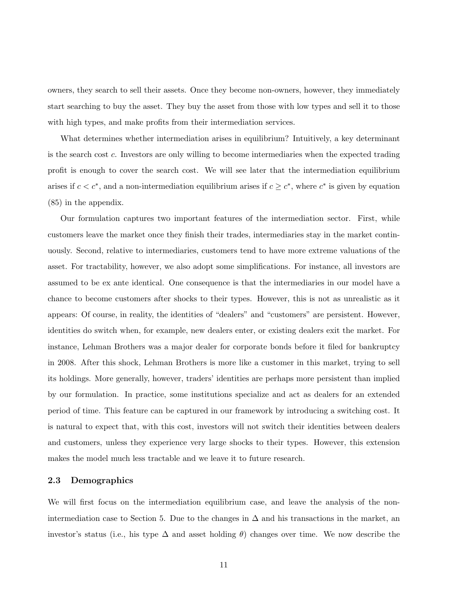owners, they search to sell their assets. Once they become non-owners, however, they immediately start searching to buy the asset. They buy the asset from those with low types and sell it to those with high types, and make profits from their intermediation services.

What determines whether intermediation arises in equilibrium? Intuitively, a key determinant is the search cost c. Investors are only willing to become intermediaries when the expected trading profit is enough to cover the search cost. We will see later that the intermediation equilibrium arises if  $c < c^*$ , and a non-intermediation equilibrium arises if  $c \geq c^*$ , where  $c^*$  is given by equation (85) in the appendix.

Our formulation captures two important features of the intermediation sector. First, while customers leave the market once they finish their trades, intermediaries stay in the market continuously. Second, relative to intermediaries, customers tend to have more extreme valuations of the asset. For tractability, however, we also adopt some simplifications. For instance, all investors are assumed to be ex ante identical. One consequence is that the intermediaries in our model have a chance to become customers after shocks to their types. However, this is not as unrealistic as it appears: Of course, in reality, the identities of "dealers" and "customers" are persistent. However, identities do switch when, for example, new dealers enter, or existing dealers exit the market. For instance, Lehman Brothers was a major dealer for corporate bonds before it filed for bankruptcy in 2008. After this shock, Lehman Brothers is more like a customer in this market, trying to sell its holdings. More generally, however, traders' identities are perhaps more persistent than implied by our formulation. In practice, some institutions specialize and act as dealers for an extended period of time. This feature can be captured in our framework by introducing a switching cost. It is natural to expect that, with this cost, investors will not switch their identities between dealers and customers, unless they experience very large shocks to their types. However, this extension makes the model much less tractable and we leave it to future research.

#### 2.3 Demographics

We will first focus on the intermediation equilibrium case, and leave the analysis of the nonintermediation case to Section 5. Due to the changes in  $\Delta$  and his transactions in the market, an investor's status (i.e., his type  $\Delta$  and asset holding  $\theta$ ) changes over time. We now describe the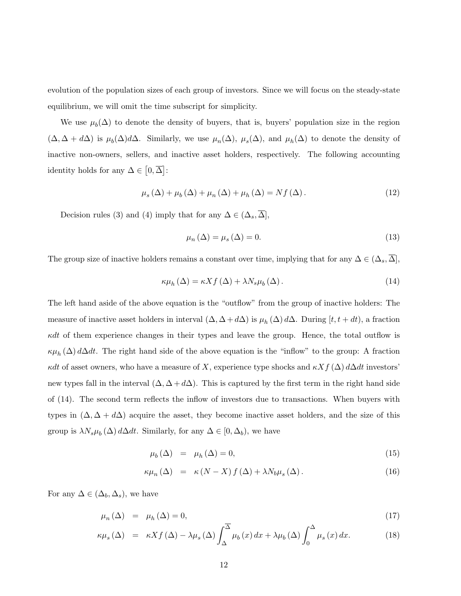evolution of the population sizes of each group of investors. Since we will focus on the steady-state equilibrium, we will omit the time subscript for simplicity.

We use  $\mu_b(\Delta)$  to denote the density of buyers, that is, buyers' population size in the region  $(\Delta, \Delta + d\Delta)$  is  $\mu_b(\Delta) d\Delta$ . Similarly, we use  $\mu_n(\Delta)$ ,  $\mu_s(\Delta)$ , and  $\mu_h(\Delta)$  to denote the density of inactive non-owners, sellers, and inactive asset holders, respectively. The following accounting identity holds for any  $\Delta \in [0, \overline{\Delta}]$ :

$$
\mu_{s}(\Delta) + \mu_{b}(\Delta) + \mu_{n}(\Delta) + \mu_{h}(\Delta) = Nf(\Delta). \tag{12}
$$

Decision rules (3) and (4) imply that for any  $\Delta \in (\Delta_s, \overline{\Delta}],$ 

$$
\mu_n(\Delta) = \mu_s(\Delta) = 0. \tag{13}
$$

The group size of inactive holders remains a constant over time, implying that for any  $\Delta \in (\Delta_s, \overline{\Delta}],$ 

$$
\kappa\mu_h\left(\Delta\right) = \kappa X f\left(\Delta\right) + \lambda N_s \mu_b\left(\Delta\right). \tag{14}
$$

The left hand aside of the above equation is the "outflow" from the group of inactive holders: The measure of inactive asset holders in interval  $(\Delta, \Delta + d\Delta)$  is  $\mu_h(\Delta) d\Delta$ . During  $[t, t + dt)$ , a fraction  $\kappa dt$  of them experience changes in their types and leave the group. Hence, the total outflow is  $\kappa\mu_h(\Delta) d\Delta dt$ . The right hand side of the above equation is the "inflow" to the group: A fraction κdt of asset owners, who have a measure of X, experience type shocks and  $\kappa Xf(\Delta) d\Delta dt$  investors' new types fall in the interval  $(\Delta, \Delta + d\Delta)$ . This is captured by the first term in the right hand side of (14). The second term reflects the inflow of investors due to transactions. When buyers with types in  $(\Delta, \Delta + d\Delta)$  acquire the asset, they become inactive asset holders, and the size of this group is  $\lambda N_s \mu_b(\Delta) d\Delta dt$ . Similarly, for any  $\Delta \in [0, \Delta_b)$ , we have

$$
\mu_b(\Delta) = \mu_h(\Delta) = 0,\tag{15}
$$

$$
\kappa \mu_n(\Delta) = \kappa (N - X) f(\Delta) + \lambda N_b \mu_s(\Delta). \qquad (16)
$$

For any  $\Delta \in (\Delta_b, \Delta_s)$ , we have

$$
\mu_n(\Delta) = \mu_h(\Delta) = 0,\tag{17}
$$

$$
\kappa \mu_s(\Delta) = \kappa X f(\Delta) - \lambda \mu_s(\Delta) \int_{\Delta}^{\Delta} \mu_b(x) dx + \lambda \mu_b(\Delta) \int_0^{\Delta} \mu_s(x) dx.
$$
 (18)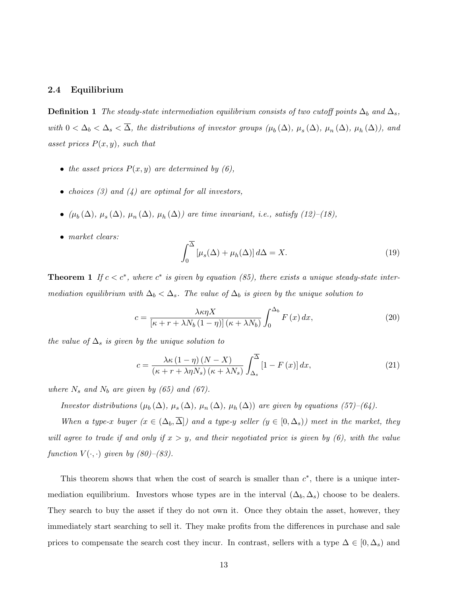#### 2.4 Equilibrium

**Definition 1** The steady-state intermediation equilibrium consists of two cutoff points  $\Delta_b$  and  $\Delta_s$ , with  $0 < \Delta_b < \Delta_s < \Delta$ , the distributions of investor groups  $(\mu_b(\Delta), \mu_s(\Delta), \mu_n(\Delta), \mu_h(\Delta))$ , and asset prices  $P(x, y)$ , such that

- the asset prices  $P(x, y)$  are determined by  $(6)$ ,
- choices  $(3)$  and  $(4)$  are optimal for all investors,
- $(\mu_b(\Delta), \mu_s(\Delta), \mu_n(\Delta), \mu_h(\Delta))$  are time invariant, i.e., satisfy (12)-(18),
- market clears:

$$
\int_0^{\overline{\Delta}} \left[ \mu_s(\Delta) + \mu_h(\Delta) \right] d\Delta = X. \tag{19}
$$

**Theorem 1** If  $c < c^*$ , where  $c^*$  is given by equation (85), there exists a unique steady-state intermediation equilibrium with  $\Delta_b < \Delta_s$ . The value of  $\Delta_b$  is given by the unique solution to

$$
c = \frac{\lambda \kappa \eta X}{\left[\kappa + r + \lambda N_b \left(1 - \eta\right)\right] \left(\kappa + \lambda N_b\right)} \int_0^{\Delta_b} F\left(x\right) dx,\tag{20}
$$

the value of  $\Delta_s$  is given by the unique solution to

$$
c = \frac{\lambda \kappa \left(1 - \eta\right) \left(N - X\right)}{\left(\kappa + r + \lambda \eta N_s\right) \left(\kappa + \lambda N_s\right)} \int_{\Delta_s}^{\overline{\Delta}} \left[1 - F\left(x\right)\right] dx,\tag{21}
$$

where  $N_s$  and  $N_b$  are given by (65) and (67).

Investor distributions  $(\mu_b(\Delta), \mu_s(\Delta), \mu_n(\Delta), \mu_h(\Delta))$  are given by equations (57)–(64).

When a type-x buyer  $(x \in (\Delta_b, \overline{\Delta}])$  and a type-y seller  $(y \in [0, \Delta_s))$  meet in the market, they will agree to trade if and only if  $x > y$ , and their negotiated price is given by (6), with the value function  $V(\cdot, \cdot)$  given by  $(80)$ – $(83)$ .

This theorem shows that when the cost of search is smaller than  $c^*$ , there is a unique intermediation equilibrium. Investors whose types are in the interval  $(\Delta_b, \Delta_s)$  choose to be dealers. They search to buy the asset if they do not own it. Once they obtain the asset, however, they immediately start searching to sell it. They make profits from the differences in purchase and sale prices to compensate the search cost they incur. In contrast, sellers with a type  $\Delta \in [0, \Delta_s)$  and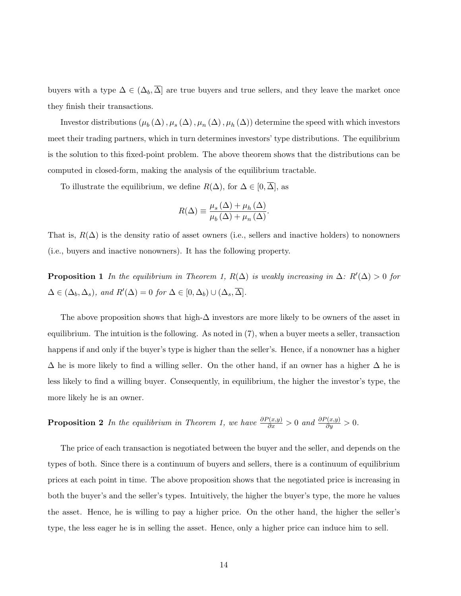buyers with a type  $\Delta \in (\Delta_b, \overline{\Delta}]$  are true buyers and true sellers, and they leave the market once they finish their transactions.

Investor distributions  $(\mu_b(\Delta), \mu_s(\Delta), \mu_n(\Delta), \mu_h(\Delta))$  determine the speed with which investors meet their trading partners, which in turn determines investors' type distributions. The equilibrium is the solution to this fixed-point problem. The above theorem shows that the distributions can be computed in closed-form, making the analysis of the equilibrium tractable.

To illustrate the equilibrium, we define  $R(\Delta)$ , for  $\Delta \in [0, \Delta]$ , as

$$
R(\Delta) \equiv \frac{\mu_s(\Delta) + \mu_h(\Delta)}{\mu_b(\Delta) + \mu_n(\Delta)}.
$$

That is,  $R(\Delta)$  is the density ratio of asset owners (i.e., sellers and inactive holders) to nonowners (i.e., buyers and inactive nonowners). It has the following property.

**Proposition 1** In the equilibrium in Theorem 1,  $R(\Delta)$  is weakly increasing in  $\Delta: R'(\Delta) > 0$  for  $\Delta \in (\Delta_b, \Delta_s)$ , and  $R'(\Delta) = 0$  for  $\Delta \in [0, \Delta_b) \cup (\Delta_s, \overline{\Delta}]$ .

The above proposition shows that high- $\Delta$  investors are more likely to be owners of the asset in equilibrium. The intuition is the following. As noted in (7), when a buyer meets a seller, transaction happens if and only if the buyer's type is higher than the seller's. Hence, if a nonowner has a higher  $\Delta$  he is more likely to find a willing seller. On the other hand, if an owner has a higher  $\Delta$  he is less likely to find a willing buyer. Consequently, in equilibrium, the higher the investor's type, the more likely he is an owner.

**Proposition 2** In the equilibrium in Theorem 1, we have  $\frac{\partial P(x,y)}{\partial x} > 0$  and  $\frac{\partial P(x,y)}{\partial y} > 0$ .

The price of each transaction is negotiated between the buyer and the seller, and depends on the types of both. Since there is a continuum of buyers and sellers, there is a continuum of equilibrium prices at each point in time. The above proposition shows that the negotiated price is increasing in both the buyer's and the seller's types. Intuitively, the higher the buyer's type, the more he values the asset. Hence, he is willing to pay a higher price. On the other hand, the higher the seller's type, the less eager he is in selling the asset. Hence, only a higher price can induce him to sell.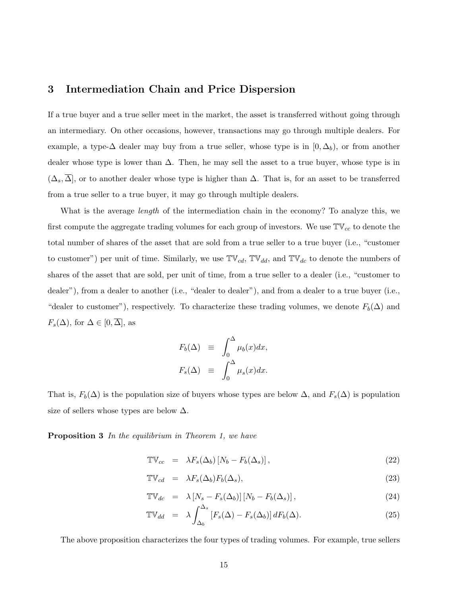### 3 Intermediation Chain and Price Dispersion

If a true buyer and a true seller meet in the market, the asset is transferred without going through an intermediary. On other occasions, however, transactions may go through multiple dealers. For example, a type- $\Delta$  dealer may buy from a true seller, whose type is in  $[0, \Delta_b)$ , or from another dealer whose type is lower than  $\Delta$ . Then, he may sell the asset to a true buyer, whose type is in  $(\Delta_s, \Delta)$ , or to another dealer whose type is higher than  $\Delta$ . That is, for an asset to be transferred from a true seller to a true buyer, it may go through multiple dealers.

What is the average *length* of the intermediation chain in the economy? To analyze this, we first compute the aggregate trading volumes for each group of investors. We use  $\mathbb{TV}_{cc}$  to denote the total number of shares of the asset that are sold from a true seller to a true buyer (i.e., "customer to customer") per unit of time. Similarly, we use  $\mathbb{TV}_{cd}$ ,  $\mathbb{TV}_{dd}$ , and  $\mathbb{TV}_{dc}$  to denote the numbers of shares of the asset that are sold, per unit of time, from a true seller to a dealer (i.e., "customer to dealer"), from a dealer to another (i.e., "dealer to dealer"), and from a dealer to a true buyer (i.e., "dealer to customer"), respectively. To characterize these trading volumes, we denote  $F_b(\Delta)$  and  $F_s(\Delta)$ , for  $\Delta \in [0, \overline{\Delta}]$ , as

$$
F_b(\Delta) \equiv \int_0^{\Delta} \mu_b(x) dx,
$$
  

$$
F_s(\Delta) \equiv \int_0^{\Delta} \mu_s(x) dx.
$$

That is,  $F_b(\Delta)$  is the population size of buyers whose types are below  $\Delta$ , and  $F_s(\Delta)$  is population size of sellers whose types are below  $\Delta$ .

Proposition 3 In the equilibrium in Theorem 1, we have

$$
\mathbb{TV}_{cc} = \lambda F_s(\Delta_b) [N_b - F_b(\Delta_s)], \qquad (22)
$$

$$
\mathbb{TV}_{cd} = \lambda F_s(\Delta_b) F_b(\Delta_s), \qquad (23)
$$

$$
\mathbb{TV}_{dc} = \lambda \left[ N_s - F_s(\Delta_b) \right] \left[ N_b - F_b(\Delta_s) \right],\tag{24}
$$

$$
\mathbb{TV}_{dd} = \lambda \int_{\Delta_b}^{\Delta_s} \left[ F_s(\Delta) - F_s(\Delta_b) \right] dF_b(\Delta). \tag{25}
$$

The above proposition characterizes the four types of trading volumes. For example, true sellers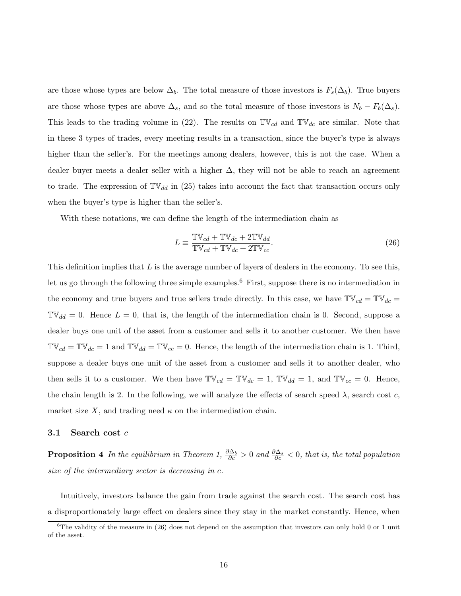are those whose types are below  $\Delta_b$ . The total measure of those investors is  $F_s(\Delta_b)$ . True buyers are those whose types are above  $\Delta_s$ , and so the total measure of those investors is  $N_b - F_b(\Delta_s)$ . This leads to the trading volume in (22). The results on  $\mathbb{TV}_{cd}$  and  $\mathbb{TV}_{dc}$  are similar. Note that in these 3 types of trades, every meeting results in a transaction, since the buyer's type is always higher than the seller's. For the meetings among dealers, however, this is not the case. When a dealer buyer meets a dealer seller with a higher  $\Delta$ , they will not be able to reach an agreement to trade. The expression of  $\mathbb{TV}_{dd}$  in (25) takes into account the fact that transaction occurs only when the buyer's type is higher than the seller's.

With these notations, we can define the length of the intermediation chain as

$$
L \equiv \frac{\mathbb{TV}_{cd} + \mathbb{TV}_{dc} + 2\mathbb{TV}_{dd}}{\mathbb{TV}_{cd} + \mathbb{TV}_{dc} + 2\mathbb{TV}_{cc}}.
$$
\n(26)

This definition implies that L is the average number of layers of dealers in the economy. To see this, let us go through the following three simple examples.<sup>6</sup> First, suppose there is no intermediation in the economy and true buyers and true sellers trade directly. In this case, we have  $\mathbb{TV}_{cd} = \mathbb{TV}_{dc} =$  $\mathbb{TV}_{dd} = 0$ . Hence  $L = 0$ , that is, the length of the intermediation chain is 0. Second, suppose a dealer buys one unit of the asset from a customer and sells it to another customer. We then have  $\mathbb{TV}_{cd} = \mathbb{TV}_{dc} = 1$  and  $\mathbb{TV}_{dd} = \mathbb{TV}_{cc} = 0$ . Hence, the length of the intermediation chain is 1. Third, suppose a dealer buys one unit of the asset from a customer and sells it to another dealer, who then sells it to a customer. We then have  $\mathbb{TV}_{cd} = \mathbb{TV}_{dc} = 1$ ,  $\mathbb{TV}_{dd} = 1$ , and  $\mathbb{TV}_{cc} = 0$ . Hence, the chain length is 2. In the following, we will analyze the effects of search speed  $\lambda$ , search cost c, market size X, and trading need  $\kappa$  on the intermediation chain.

### 3.1 Search cost  $c$

**Proposition 4** In the equilibrium in Theorem 1,  $\frac{\partial \Delta_b}{\partial c} > 0$  and  $\frac{\partial \Delta_s}{\partial c} < 0$ , that is, the total population size of the intermediary sector is decreasing in c.

Intuitively, investors balance the gain from trade against the search cost. The search cost has a disproportionately large effect on dealers since they stay in the market constantly. Hence, when

 ${}^{6}$ The validity of the measure in (26) does not depend on the assumption that investors can only hold 0 or 1 unit of the asset.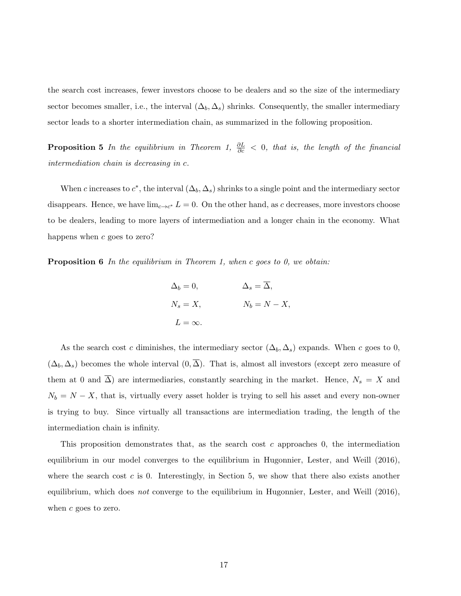the search cost increases, fewer investors choose to be dealers and so the size of the intermediary sector becomes smaller, i.e., the interval  $(\Delta_b, \Delta_s)$  shrinks. Consequently, the smaller intermediary sector leads to a shorter intermediation chain, as summarized in the following proposition.

**Proposition 5** In the equilibrium in Theorem 1,  $\frac{\partial L}{\partial c} < 0$ , that is, the length of the financial intermediation chain is decreasing in c.

When c increases to  $c^*$ , the interval  $(\Delta_b, \Delta_s)$  shrinks to a single point and the intermediary sector disappears. Hence, we have  $\lim_{c \to c^*} L = 0$ . On the other hand, as c decreases, more investors choose to be dealers, leading to more layers of intermediation and a longer chain in the economy. What happens when c goes to zero?

**Proposition 6** In the equilibrium in Theorem 1, when c goes to 0, we obtain:

$$
\Delta_b = 0, \qquad \Delta_s = \overline{\Delta},
$$
  
\n
$$
N_s = X, \qquad N_b = N - X,
$$
  
\n
$$
L = \infty.
$$

As the search cost c diminishes, the intermediary sector  $(\Delta_b, \Delta_s)$  expands. When c goes to 0,  $(\Delta_b, \Delta_s)$  becomes the whole interval  $(0, \overline{\Delta})$ . That is, almost all investors (except zero measure of them at 0 and  $\overline{\Delta}$ ) are intermediaries, constantly searching in the market. Hence,  $N_s = X$  and  $N_b = N - X$ , that is, virtually every asset holder is trying to sell his asset and every non-owner is trying to buy. Since virtually all transactions are intermediation trading, the length of the intermediation chain is infinity.

This proposition demonstrates that, as the search cost  $c$  approaches 0, the intermediation equilibrium in our model converges to the equilibrium in Hugonnier, Lester, and Weill (2016), where the search cost  $c$  is 0. Interestingly, in Section 5, we show that there also exists another equilibrium, which does *not* converge to the equilibrium in Hugonnier, Lester, and Weill  $(2016)$ , when  $c$  goes to zero.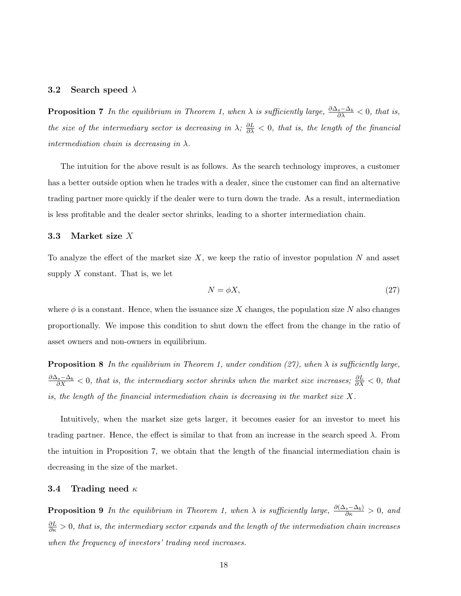#### 3.2 Search speed  $\lambda$

**Proposition 7** In the equilibrium in Theorem 1, when  $\lambda$  is sufficiently large,  $\frac{\partial \Delta_s - \Delta_b}{\partial \lambda} < 0$ , that is, the size of the intermediary sector is decreasing in  $\lambda$ ;  $\frac{\partial L}{\partial \lambda} < 0$ , that is, the length of the financial intermediation chain is decreasing in  $\lambda$ .

The intuition for the above result is as follows. As the search technology improves, a customer has a better outside option when he trades with a dealer, since the customer can find an alternative trading partner more quickly if the dealer were to turn down the trade. As a result, intermediation is less profitable and the dealer sector shrinks, leading to a shorter intermediation chain.

#### 3.3 Market size X

To analyze the effect of the market size  $X$ , we keep the ratio of investor population N and asset supply  $X$  constant. That is, we let

$$
N = \phi X,\tag{27}
$$

where  $\phi$  is a constant. Hence, when the issuance size X changes, the population size N also changes proportionally. We impose this condition to shut down the effect from the change in the ratio of asset owners and non-owners in equilibrium.

**Proposition 8** In the equilibrium in Theorem 1, under condition (27), when  $\lambda$  is sufficiently large,  $\frac{\partial \Delta_s - \Delta_b}{\partial X}$  < 0, that is, the intermediary sector shrinks when the market size increases;  $\frac{\partial L}{\partial X}$  < 0, that is, the length of the financial intermediation chain is decreasing in the market size  $X$ .

Intuitively, when the market size gets larger, it becomes easier for an investor to meet his trading partner. Hence, the effect is similar to that from an increase in the search speed  $\lambda$ . From the intuition in Proposition 7, we obtain that the length of the financial intermediation chain is decreasing in the size of the market.

#### 3.4 Trading need  $\kappa$

**Proposition 9** In the equilibrium in Theorem 1, when  $\lambda$  is sufficiently large,  $\frac{\partial(\Delta_s-\Delta_b)}{\partial \kappa} > 0$ , and  $\frac{\partial L}{\partial \kappa} > 0$ , that is, the intermediary sector expands and the length of the intermediation chain increases when the frequency of investors' trading need increases.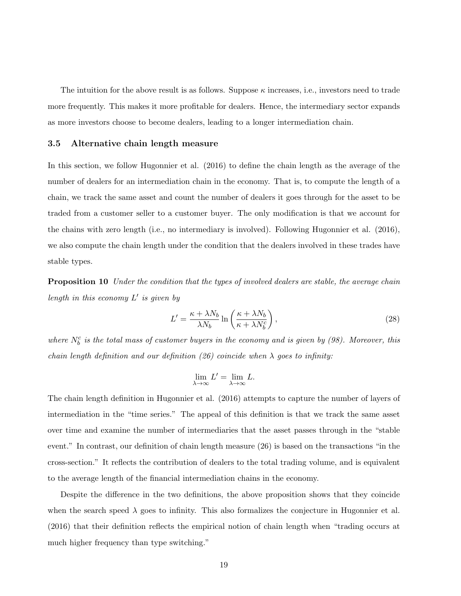The intuition for the above result is as follows. Suppose  $\kappa$  increases, i.e., investors need to trade more frequently. This makes it more profitable for dealers. Hence, the intermediary sector expands as more investors choose to become dealers, leading to a longer intermediation chain.

#### 3.5 Alternative chain length measure

In this section, we follow Hugonnier et al. (2016) to define the chain length as the average of the number of dealers for an intermediation chain in the economy. That is, to compute the length of a chain, we track the same asset and count the number of dealers it goes through for the asset to be traded from a customer seller to a customer buyer. The only modification is that we account for the chains with zero length (i.e., no intermediary is involved). Following Hugonnier et al. (2016), we also compute the chain length under the condition that the dealers involved in these trades have stable types.

**Proposition 10** Under the condition that the types of involved dealers are stable, the average chain length in this economy  $L'$  is given by

$$
L' = \frac{\kappa + \lambda N_b}{\lambda N_b} \ln \left( \frac{\kappa + \lambda N_b}{\kappa + \lambda N_b^c} \right),\tag{28}
$$

where  $N_b^c$  is the total mass of customer buyers in the economy and is given by (98). Moreover, this chain length definition and our definition (26) coincide when  $\lambda$  goes to infinity:

$$
\lim_{\lambda\to\infty}L'=\lim_{\lambda\to\infty}L.
$$

The chain length definition in Hugonnier et al. (2016) attempts to capture the number of layers of intermediation in the "time series." The appeal of this definition is that we track the same asset over time and examine the number of intermediaries that the asset passes through in the "stable event." In contrast, our definition of chain length measure (26) is based on the transactions "in the cross-section." It reflects the contribution of dealers to the total trading volume, and is equivalent to the average length of the financial intermediation chains in the economy.

Despite the difference in the two definitions, the above proposition shows that they coincide when the search speed  $\lambda$  goes to infinity. This also formalizes the conjecture in Hugonnier et al. (2016) that their definition reflects the empirical notion of chain length when "trading occurs at much higher frequency than type switching."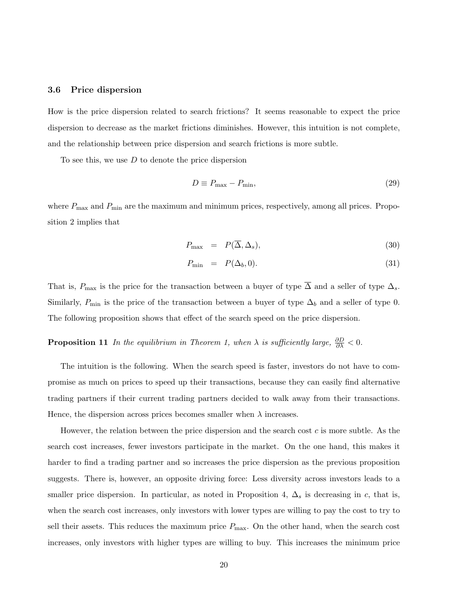#### 3.6 Price dispersion

How is the price dispersion related to search frictions? It seems reasonable to expect the price dispersion to decrease as the market frictions diminishes. However, this intuition is not complete, and the relationship between price dispersion and search frictions is more subtle.

To see this, we use  $D$  to denote the price dispersion

$$
D \equiv P_{\text{max}} - P_{\text{min}},\tag{29}
$$

where  $P_{\text{max}}$  and  $P_{\text{min}}$  are the maximum and minimum prices, respectively, among all prices. Proposition 2 implies that

$$
P_{\text{max}} = P(\overline{\Delta}, \Delta_s), \tag{30}
$$

$$
P_{\min} = P(\Delta_b, 0). \tag{31}
$$

That is,  $P_{\text{max}}$  is the price for the transaction between a buyer of type  $\overline{\Delta}$  and a seller of type  $\Delta_s$ . Similarly,  $P_{\min}$  is the price of the transaction between a buyer of type  $\Delta_b$  and a seller of type 0. The following proposition shows that effect of the search speed on the price dispersion.

# **Proposition 11** In the equilibrium in Theorem 1, when  $\lambda$  is sufficiently large,  $\frac{\partial D}{\partial \lambda} < 0$ .

The intuition is the following. When the search speed is faster, investors do not have to compromise as much on prices to speed up their transactions, because they can easily find alternative trading partners if their current trading partners decided to walk away from their transactions. Hence, the dispersion across prices becomes smaller when  $\lambda$  increases.

However, the relation between the price dispersion and the search cost  $c$  is more subtle. As the search cost increases, fewer investors participate in the market. On the one hand, this makes it harder to find a trading partner and so increases the price dispersion as the previous proposition suggests. There is, however, an opposite driving force: Less diversity across investors leads to a smaller price dispersion. In particular, as noted in Proposition 4,  $\Delta_s$  is decreasing in c, that is, when the search cost increases, only investors with lower types are willing to pay the cost to try to sell their assets. This reduces the maximum price  $P_{\text{max}}$ . On the other hand, when the search cost increases, only investors with higher types are willing to buy. This increases the minimum price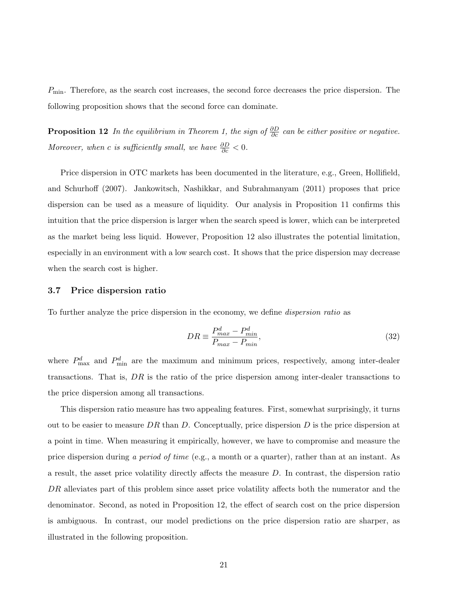$P_{\text{min}}$ . Therefore, as the search cost increases, the second force decreases the price dispersion. The following proposition shows that the second force can dominate.

**Proposition 12** In the equilibrium in Theorem 1, the sign of  $\frac{\partial D}{\partial c}$  can be either positive or negative. Moreover, when c is sufficiently small, we have  $\frac{\partial D}{\partial c} < 0$ .

Price dispersion in OTC markets has been documented in the literature, e.g., Green, Hollifield, and Schurhoff (2007). Jankowitsch, Nashikkar, and Subrahmanyam (2011) proposes that price dispersion can be used as a measure of liquidity. Our analysis in Proposition 11 confirms this intuition that the price dispersion is larger when the search speed is lower, which can be interpreted as the market being less liquid. However, Proposition 12 also illustrates the potential limitation, especially in an environment with a low search cost. It shows that the price dispersion may decrease when the search cost is higher.

#### 3.7 Price dispersion ratio

To further analyze the price dispersion in the economy, we define dispersion ratio as

$$
DR \equiv \frac{P_{max}^d - P_{min}^d}{P_{max} - P_{min}},\tag{32}
$$

where  $P_{\text{max}}^d$  and  $P_{\text{min}}^d$  are the maximum and minimum prices, respectively, among inter-dealer transactions. That is,  $DR$  is the ratio of the price dispersion among inter-dealer transactions to the price dispersion among all transactions.

This dispersion ratio measure has two appealing features. First, somewhat surprisingly, it turns out to be easier to measure DR than D. Conceptually, price dispersion D is the price dispersion at a point in time. When measuring it empirically, however, we have to compromise and measure the price dispersion during a period of time (e.g., a month or a quarter), rather than at an instant. As a result, the asset price volatility directly affects the measure D. In contrast, the dispersion ratio DR alleviates part of this problem since asset price volatility affects both the numerator and the denominator. Second, as noted in Proposition 12, the effect of search cost on the price dispersion is ambiguous. In contrast, our model predictions on the price dispersion ratio are sharper, as illustrated in the following proposition.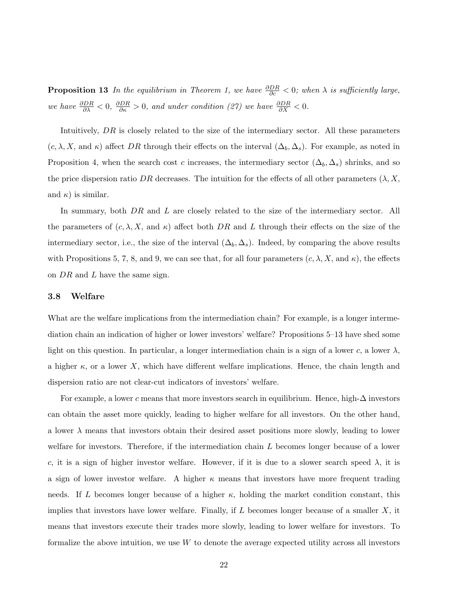**Proposition 13** In the equilibrium in Theorem 1, we have  $\frac{\partial DR}{\partial c} < 0$ ; when  $\lambda$  is sufficiently large, we have  $\frac{\partial DR}{\partial \lambda} < 0$ ,  $\frac{\partial DR}{\partial \kappa} > 0$ , and under condition (27) we have  $\frac{\partial DR}{\partial X} < 0$ .

Intuitively, DR is closely related to the size of the intermediary sector. All these parameters  $(c, \lambda, X, \text{ and } \kappa)$  affect DR through their effects on the interval  $(\Delta_b, \Delta_s)$ . For example, as noted in Proposition 4, when the search cost c increases, the intermediary sector  $(\Delta_b, \Delta_s)$  shrinks, and so the price dispersion ratio DR decreases. The intuition for the effects of all other parameters  $(\lambda, X, \lambda)$ and  $\kappa$ ) is similar.

In summary, both DR and L are closely related to the size of the intermediary sector. All the parameters of  $(c, \lambda, X, \text{ and } \kappa)$  affect both DR and L through their effects on the size of the intermediary sector, i.e., the size of the interval  $(\Delta_b, \Delta_s)$ . Indeed, by comparing the above results with Propositions 5, 7, 8, and 9, we can see that, for all four parameters  $(c, \lambda, X, \text{ and } \kappa)$ , the effects on  $DR$  and  $L$  have the same sign.

#### 3.8 Welfare

What are the welfare implications from the intermediation chain? For example, is a longer intermediation chain an indication of higher or lower investors' welfare? Propositions 5–13 have shed some light on this question. In particular, a longer intermediation chain is a sign of a lower c, a lower  $\lambda$ , a higher  $\kappa$ , or a lower X, which have different welfare implications. Hence, the chain length and dispersion ratio are not clear-cut indicators of investors' welfare.

For example, a lower c means that more investors search in equilibrium. Hence, high- $\Delta$  investors can obtain the asset more quickly, leading to higher welfare for all investors. On the other hand, a lower  $\lambda$  means that investors obtain their desired asset positions more slowly, leading to lower welfare for investors. Therefore, if the intermediation chain L becomes longer because of a lower c, it is a sign of higher investor welfare. However, if it is due to a slower search speed  $\lambda$ , it is a sign of lower investor welfare. A higher  $\kappa$  means that investors have more frequent trading needs. If L becomes longer because of a higher  $\kappa$ , holding the market condition constant, this implies that investors have lower welfare. Finally, if  $L$  becomes longer because of a smaller  $X$ , it means that investors execute their trades more slowly, leading to lower welfare for investors. To formalize the above intuition, we use  $W$  to denote the average expected utility across all investors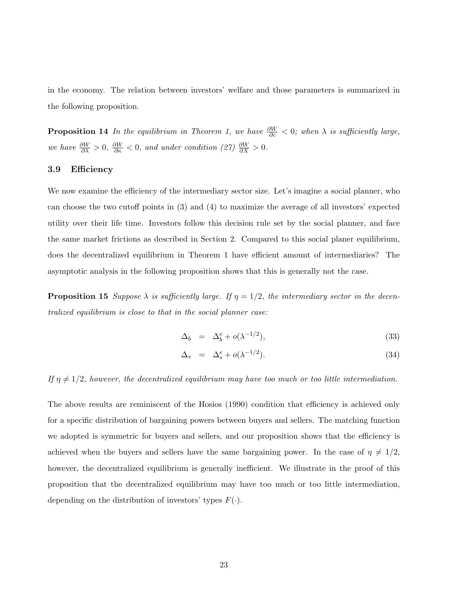in the economy. The relation between investors' welfare and those parameters is summarized in the following proposition.

**Proposition 14** In the equilibrium in Theorem 1, we have  $\frac{\partial W}{\partial c} < 0$ ; when  $\lambda$  is sufficiently large, we have  $\frac{\partial W}{\partial \lambda} > 0$ ,  $\frac{\partial W}{\partial \kappa} < 0$ , and under condition (27)  $\frac{\partial W}{\partial X} > 0$ .

### 3.9 Efficiency

We now examine the efficiency of the intermediary sector size. Let's imagine a social planner, who can choose the two cutoff points in (3) and (4) to maximize the average of all investors' expected utility over their life time. Investors follow this decision rule set by the social planner, and face the same market frictions as described in Section 2. Compared to this social planer equilibrium, does the decentralized equilibrium in Theorem 1 have efficient amount of intermediaries? The asymptotic analysis in the following proposition shows that this is generally not the case.

**Proposition 15** Suppose  $\lambda$  is sufficiently large. If  $\eta = 1/2$ , the intermediary sector in the decentralized equilibrium is close to that in the social planner case:

$$
\Delta_b = \Delta_b^e + o(\lambda^{-1/2}), \tag{33}
$$

$$
\Delta_s = \Delta_s^e + o(\lambda^{-1/2}). \tag{34}
$$

If  $\eta \neq 1/2$ , however, the decentralized equilibrium may have too much or too little intermediation.

The above results are reminiscent of the Hosios (1990) condition that efficiency is achieved only for a specific distribution of bargaining powers between buyers and sellers. The matching function we adopted is symmetric for buyers and sellers, and our proposition shows that the efficiency is achieved when the buyers and sellers have the same bargaining power. In the case of  $\eta \neq 1/2$ , however, the decentralized equilibrium is generally inefficient. We illustrate in the proof of this proposition that the decentralized equilibrium may have too much or too little intermediation, depending on the distribution of investors' types  $F(\cdot)$ .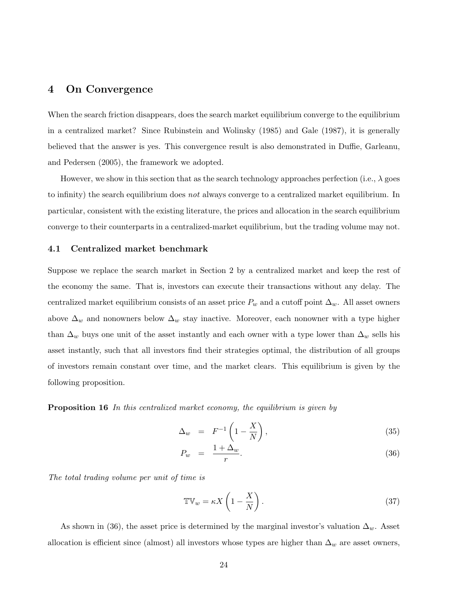## 4 On Convergence

When the search friction disappears, does the search market equilibrium converge to the equilibrium in a centralized market? Since Rubinstein and Wolinsky (1985) and Gale (1987), it is generally believed that the answer is yes. This convergence result is also demonstrated in Duffie, Garleanu, and Pedersen (2005), the framework we adopted.

However, we show in this section that as the search technology approaches perfection (i.e.,  $\lambda$  goes to infinity) the search equilibrium does not always converge to a centralized market equilibrium. In particular, consistent with the existing literature, the prices and allocation in the search equilibrium converge to their counterparts in a centralized-market equilibrium, but the trading volume may not.

#### 4.1 Centralized market benchmark

Suppose we replace the search market in Section 2 by a centralized market and keep the rest of the economy the same. That is, investors can execute their transactions without any delay. The centralized market equilibrium consists of an asset price  $P_w$  and a cutoff point  $\Delta_w$ . All asset owners above  $\Delta_w$  and nonowners below  $\Delta_w$  stay inactive. Moreover, each nonowner with a type higher than  $\Delta_w$  buys one unit of the asset instantly and each owner with a type lower than  $\Delta_w$  sells his asset instantly, such that all investors find their strategies optimal, the distribution of all groups of investors remain constant over time, and the market clears. This equilibrium is given by the following proposition.

**Proposition 16** In this centralized market economy, the equilibrium is given by

$$
\Delta_w = F^{-1} \left( 1 - \frac{X}{N} \right), \tag{35}
$$

$$
P_w = \frac{1 + \Delta_w}{r}.\tag{36}
$$

The total trading volume per unit of time is

$$
\mathbb{TV}_w = \kappa X \left( 1 - \frac{X}{N} \right). \tag{37}
$$

As shown in (36), the asset price is determined by the marginal investor's valuation  $\Delta_w$ . Asset allocation is efficient since (almost) all investors whose types are higher than  $\Delta_w$  are asset owners,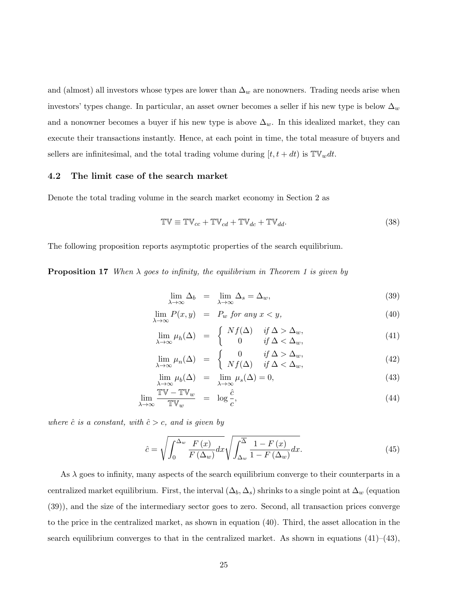and (almost) all investors whose types are lower than  $\Delta_w$  are nonowners. Trading needs arise when investors' types change. In particular, an asset owner becomes a seller if his new type is below  $\Delta_w$ and a nonowner becomes a buyer if his new type is above  $\Delta_w$ . In this idealized market, they can execute their transactions instantly. Hence, at each point in time, the total measure of buyers and sellers are infinitesimal, and the total trading volume during  $[t, t + dt)$  is  $\mathbb{TV}_w dt$ .

#### 4.2 The limit case of the search market

Denote the total trading volume in the search market economy in Section 2 as

$$
\mathbb{TV} \equiv \mathbb{TV}_{cc} + \mathbb{TV}_{cd} + \mathbb{TV}_{dc} + \mathbb{TV}_{dd}.
$$
\n(38)

The following proposition reports asymptotic properties of the search equilibrium.

**Proposition 17** When  $\lambda$  goes to infinity, the equilibrium in Theorem 1 is given by

$$
\lim_{\lambda \to \infty} \Delta_b = \lim_{\lambda \to \infty} \Delta_s = \Delta_w,\tag{39}
$$

$$
\lim_{\lambda \to \infty} P(x, y) = P_w \text{ for any } x < y,\tag{40}
$$

$$
\lim_{\lambda \to \infty} \mu_h(\Delta) = \begin{cases} Nf(\Delta) & \text{if } \Delta > \Delta_w, \\ 0 & \text{if } \Delta < \Delta_w, \end{cases}
$$
\n(41)

$$
\lim_{\lambda \to \infty} \mu_n(\Delta) = \begin{cases} 0 & \text{if } \Delta > \Delta_w, \\ Nf(\Delta) & \text{if } \Delta < \Delta_w, \end{cases}
$$
 (42)

$$
\lim_{\lambda \to \infty} \mu_b(\Delta) = \lim_{\lambda \to \infty} \mu_s(\Delta) = 0,
$$
\n(43)

$$
\lim_{\lambda \to \infty} \frac{\mathbb{TV} - \mathbb{TV}_w}{\mathbb{TV}_w} = \log \frac{\hat{c}}{c},\tag{44}
$$

where  $\hat{c}$  is a constant, with  $\hat{c} > c$ , and is given by

$$
\hat{c} = \sqrt{\int_0^{\Delta_w} \frac{F(x)}{F(\Delta_w)} dx} \sqrt{\int_{\Delta_w}^{\overline{\Delta}} \frac{1 - F(x)}{1 - F(\Delta_w)} dx}.
$$
\n(45)

As  $\lambda$  goes to infinity, many aspects of the search equilibrium converge to their counterparts in a centralized market equilibrium. First, the interval  $(\Delta_b, \Delta_s)$  shrinks to a single point at  $\Delta_w$  (equation (39)), and the size of the intermediary sector goes to zero. Second, all transaction prices converge to the price in the centralized market, as shown in equation (40). Third, the asset allocation in the search equilibrium converges to that in the centralized market. As shown in equations  $(41)$ – $(43)$ ,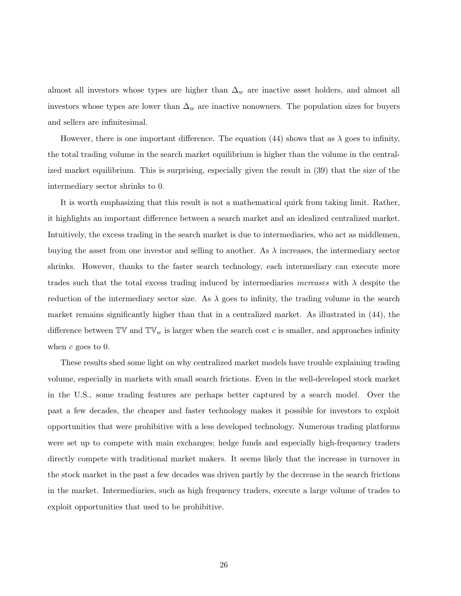almost all investors whose types are higher than  $\Delta_w$  are inactive asset holders, and almost all investors whose types are lower than  $\Delta_w$  are inactive nonowners. The population sizes for buyers and sellers are infinitesimal.

However, there is one important difference. The equation (44) shows that as  $\lambda$  goes to infinity, the total trading volume in the search market equilibrium is higher than the volume in the centralized market equilibrium. This is surprising, especially given the result in (39) that the size of the intermediary sector shrinks to 0.

It is worth emphasizing that this result is not a mathematical quirk from taking limit. Rather, it highlights an important difference between a search market and an idealized centralized market. Intuitively, the excess trading in the search market is due to intermediaries, who act as middlemen, buying the asset from one investor and selling to another. As  $\lambda$  increases, the intermediary sector shrinks. However, thanks to the faster search technology, each intermediary can execute more trades such that the total excess trading induced by intermediaries *increases* with  $\lambda$  despite the reduction of the intermediary sector size. As  $\lambda$  goes to infinity, the trading volume in the search market remains significantly higher than that in a centralized market. As illustrated in (44), the difference between  $\mathbb{TV}$  and  $\mathbb{TV}_w$  is larger when the search cost c is smaller, and approaches infinity when  $c$  goes to 0.

These results shed some light on why centralized market models have trouble explaining trading volume, especially in markets with small search frictions. Even in the well-developed stock market in the U.S., some trading features are perhaps better captured by a search model. Over the past a few decades, the cheaper and faster technology makes it possible for investors to exploit opportunities that were prohibitive with a less developed technology. Numerous trading platforms were set up to compete with main exchanges; hedge funds and especially high-frequency traders directly compete with traditional market makers. It seems likely that the increase in turnover in the stock market in the past a few decades was driven partly by the decrease in the search frictions in the market. Intermediaries, such as high frequency traders, execute a large volume of trades to exploit opportunities that used to be prohibitive.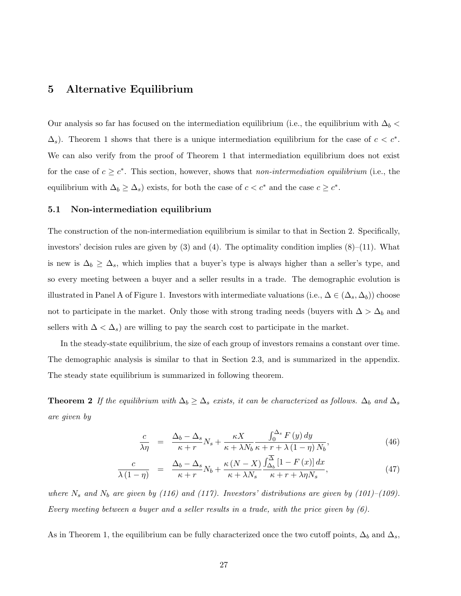## 5 Alternative Equilibrium

Our analysis so far has focused on the intermediation equilibrium (i.e., the equilibrium with  $\Delta_b$  <  $\Delta_s$ ). Theorem 1 shows that there is a unique intermediation equilibrium for the case of  $c < c^*$ . We can also verify from the proof of Theorem 1 that intermediation equilibrium does not exist for the case of  $c \geq c^*$ . This section, however, shows that non-intermediation equilibrium (i.e., the equilibrium with  $\Delta_b \geq \Delta_s$ ) exists, for both the case of  $c < c^*$  and the case  $c \geq c^*$ .

#### 5.1 Non-intermediation equilibrium

The construction of the non-intermediation equilibrium is similar to that in Section 2. Specifically, investors' decision rules are given by  $(3)$  and  $(4)$ . The optimality condition implies  $(8)$ – $(11)$ . What is new is  $\Delta_b \geq \Delta_s$ , which implies that a buyer's type is always higher than a seller's type, and so every meeting between a buyer and a seller results in a trade. The demographic evolution is illustrated in Panel A of Figure 1. Investors with intermediate valuations (i.e.,  $\Delta \in (\Delta_s, \Delta_b)$ ) choose not to participate in the market. Only those with strong trading needs (buyers with  $\Delta > \Delta_b$ ) and sellers with  $\Delta < \Delta_s$ ) are willing to pay the search cost to participate in the market.

In the steady-state equilibrium, the size of each group of investors remains a constant over time. The demographic analysis is similar to that in Section 2.3, and is summarized in the appendix. The steady state equilibrium is summarized in following theorem.

**Theorem 2** If the equilibrium with  $\Delta_b \geq \Delta_s$  exists, it can be characterized as follows.  $\Delta_b$  and  $\Delta_s$ are given by

$$
\frac{c}{\lambda \eta} = \frac{\Delta_b - \Delta_s}{\kappa + r} N_s + \frac{\kappa X}{\kappa + \lambda N_b} \frac{\int_0^{\Delta_s} F(y) \, dy}{\kappa + r + \lambda (1 - \eta) N_b},\tag{46}
$$

$$
\frac{c}{\lambda(1-\eta)} = \frac{\Delta_b - \Delta_s}{\kappa + r} N_b + \frac{\kappa (N - X)}{\kappa + \lambda N_s} \frac{\int_{\Delta_b}^{\Delta} [1 - F(x)] dx}{\kappa + r + \lambda \eta N_s},\tag{47}
$$

where  $N_s$  and  $N_b$  are given by (116) and (117). Investors' distributions are given by (101)–(109). Every meeting between a buyer and a seller results in a trade, with the price given by (6).

As in Theorem 1, the equilibrium can be fully characterized once the two cutoff points,  $\Delta_b$  and  $\Delta_s$ ,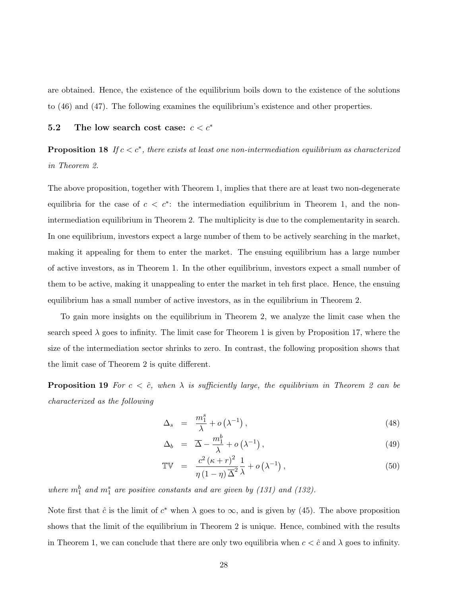are obtained. Hence, the existence of the equilibrium boils down to the existence of the solutions to (46) and (47). The following examines the equilibrium's existence and other properties.

## 5.2 The low search cost case:  $c < c^*$

**Proposition 18** If  $c < c^*$ , there exists at least one non-intermediation equilibrium as characterized in Theorem 2.

The above proposition, together with Theorem 1, implies that there are at least two non-degenerate equilibria for the case of  $c < c^*$ : the intermediation equilibrium in Theorem 1, and the nonintermediation equilibrium in Theorem 2. The multiplicity is due to the complementarity in search. In one equilibrium, investors expect a large number of them to be actively searching in the market, making it appealing for them to enter the market. The ensuing equilibrium has a large number of active investors, as in Theorem 1. In the other equilibrium, investors expect a small number of them to be active, making it unappealing to enter the market in teh first place. Hence, the ensuing equilibrium has a small number of active investors, as in the equilibrium in Theorem 2.

To gain more insights on the equilibrium in Theorem 2, we analyze the limit case when the search speed  $\lambda$  goes to infinity. The limit case for Theorem 1 is given by Proposition 17, where the size of the intermediation sector shrinks to zero. In contrast, the following proposition shows that the limit case of Theorem 2 is quite different.

**Proposition 19** For  $c < \hat{c}$ , when  $\lambda$  is sufficiently large, the equilibrium in Theorem 2 can be characterized as the following

$$
\Delta_s = \frac{m_1^s}{\lambda} + o\left(\lambda^{-1}\right),\tag{48}
$$

$$
\Delta_b = \overline{\Delta} - \frac{m_1^b}{\lambda} + o\left(\lambda^{-1}\right),\tag{49}
$$

$$
\mathbb{TV} = \frac{c^2 (\kappa + r)^2}{\eta (1 - \eta) \overline{\Delta}^2} \frac{1}{\lambda} + o\left(\lambda^{-1}\right),\tag{50}
$$

where  $m_1^b$  and  $m_1^s$  are positive constants and are given by (131) and (132).

Note first that  $\hat{c}$  is the limit of  $c^*$  when  $\lambda$  goes to  $\infty$ , and is given by (45). The above proposition shows that the limit of the equilibrium in Theorem 2 is unique. Hence, combined with the results in Theorem 1, we can conclude that there are only two equilibria when  $c < \hat{c}$  and  $\lambda$  goes to infinity.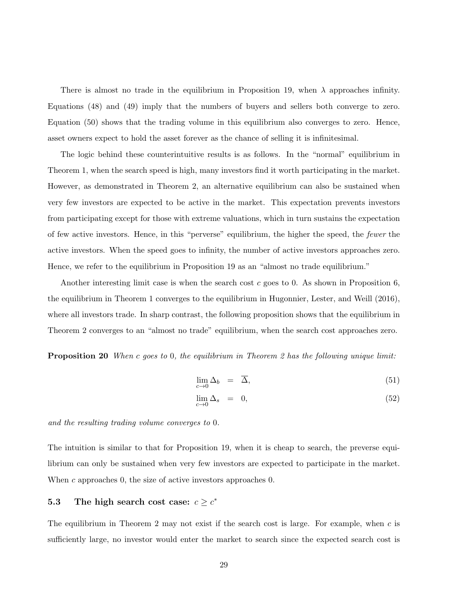There is almost no trade in the equilibrium in Proposition 19, when  $\lambda$  approaches infinity. Equations (48) and (49) imply that the numbers of buyers and sellers both converge to zero. Equation (50) shows that the trading volume in this equilibrium also converges to zero. Hence, asset owners expect to hold the asset forever as the chance of selling it is infinitesimal.

The logic behind these counterintuitive results is as follows. In the "normal" equilibrium in Theorem 1, when the search speed is high, many investors find it worth participating in the market. However, as demonstrated in Theorem 2, an alternative equilibrium can also be sustained when very few investors are expected to be active in the market. This expectation prevents investors from participating except for those with extreme valuations, which in turn sustains the expectation of few active investors. Hence, in this "perverse" equilibrium, the higher the speed, the fewer the active investors. When the speed goes to infinity, the number of active investors approaches zero. Hence, we refer to the equilibrium in Proposition 19 as an "almost no trade equilibrium."

Another interesting limit case is when the search cost c goes to 0. As shown in Proposition  $6$ , the equilibrium in Theorem 1 converges to the equilibrium in Hugonnier, Lester, and Weill (2016), where all investors trade. In sharp contrast, the following proposition shows that the equilibrium in Theorem 2 converges to an "almost no trade" equilibrium, when the search cost approaches zero.

**Proposition 20** When c goes to 0, the equilibrium in Theorem 2 has the following unique limit:

$$
\lim_{c \to 0} \Delta_b = \overline{\Delta}, \tag{51}
$$

$$
\lim_{c \to 0} \Delta_s = 0, \tag{52}
$$

and the resulting trading volume converges to 0.

The intuition is similar to that for Proposition 19, when it is cheap to search, the preverse equilibrium can only be sustained when very few investors are expected to participate in the market. When c approaches 0, the size of active investors approaches 0.

## 5.3 The high search cost case:  $c \geq c^*$

The equilibrium in Theorem 2 may not exist if the search cost is large. For example, when  $c$  is sufficiently large, no investor would enter the market to search since the expected search cost is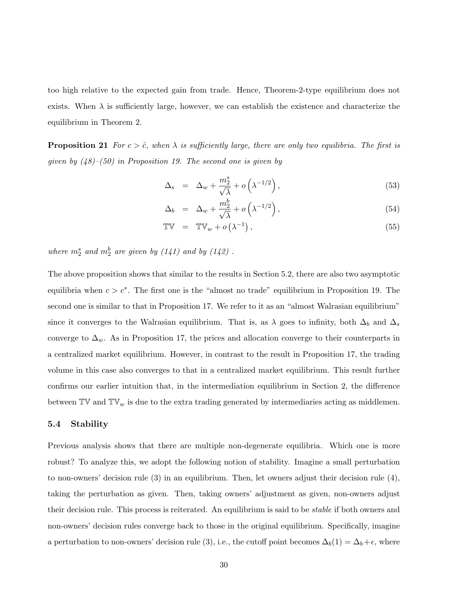too high relative to the expected gain from trade. Hence, Theorem-2-type equilibrium does not exists. When  $\lambda$  is sufficiently large, however, we can establish the existence and characterize the equilibrium in Theorem 2.

**Proposition 21** For  $c > \hat{c}$ , when  $\lambda$  is sufficiently large, there are only two equilibria. The first is given by  $(48)$ – $(50)$  in Proposition 19. The second one is given by

$$
\Delta_s = \Delta_w + \frac{m_2^s}{\sqrt{\lambda}} + o\left(\lambda^{-1/2}\right),\tag{53}
$$

$$
\Delta_b = \Delta_w + \frac{m_2^b}{\sqrt{\lambda}} + o\left(\lambda^{-1/2}\right),\tag{54}
$$

$$
\mathbb{TV} = \mathbb{TV}_w + o\left(\lambda^{-1}\right),\tag{55}
$$

where  $m_2^s$  and  $m_2^b$  are given by  $(141)$  and by  $(142)$ .

The above proposition shows that similar to the results in Section 5.2, there are also two asymptotic equilibria when  $c > c^*$ . The first one is the "almost no trade" equilibrium in Proposition 19. The second one is similar to that in Proposition 17. We refer to it as an "almost Walrasian equilibrium" since it converges to the Walrasian equilibrium. That is, as  $\lambda$  goes to infinity, both  $\Delta_b$  and  $\Delta_s$ converge to  $\Delta_w$ . As in Proposition 17, the prices and allocation converge to their counterparts in a centralized market equilibrium. However, in contrast to the result in Proposition 17, the trading volume in this case also converges to that in a centralized market equilibrium. This result further confirms our earlier intuition that, in the intermediation equilibrium in Section 2, the difference between  $\mathbb{TV}$  and  $\mathbb{TV}_w$  is due to the extra trading generated by intermediaries acting as middlemen.

#### 5.4 Stability

Previous analysis shows that there are multiple non-degenerate equilibria. Which one is more robust? To analyze this, we adopt the following notion of stability. Imagine a small perturbation to non-owners' decision rule (3) in an equilibrium. Then, let owners adjust their decision rule (4), taking the perturbation as given. Then, taking owners' adjustment as given, non-owners adjust their decision rule. This process is reiterated. An equilibrium is said to be *stable* if both owners and non-owners' decision rules converge back to those in the original equilibrium. Specifically, imagine a perturbation to non-owners' decision rule (3), i.e., the cutoff point becomes  $\Delta_b(1) = \Delta_b + \epsilon$ , where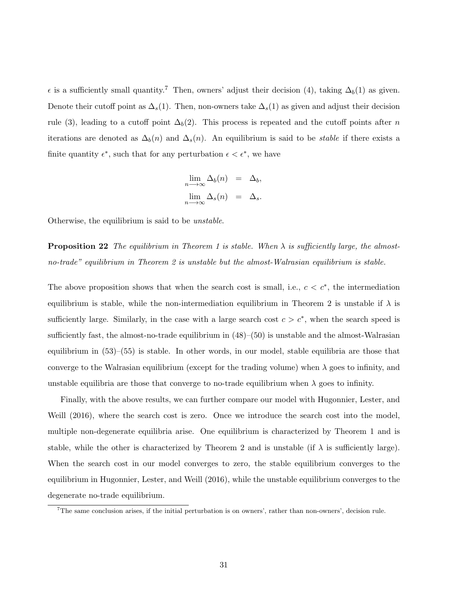$\epsilon$  is a sufficiently small quantity.<sup>7</sup> Then, owners' adjust their decision (4), taking  $\Delta_b(1)$  as given. Denote their cutoff point as  $\Delta_s(1)$ . Then, non-owners take  $\Delta_s(1)$  as given and adjust their decision rule (3), leading to a cutoff point  $\Delta_b(2)$ . This process is repeated and the cutoff points after n iterations are denoted as  $\Delta_b(n)$  and  $\Delta_s(n)$ . An equilibrium is said to be *stable* if there exists a finite quantity  $\epsilon^*$ , such that for any perturbation  $\epsilon < \epsilon^*$ , we have

$$
\lim_{n \to \infty} \Delta_b(n) = \Delta_b,
$$
  

$$
\lim_{n \to \infty} \Delta_s(n) = \Delta_s.
$$

Otherwise, the equilibrium is said to be unstable.

**Proposition 22** The equilibrium in Theorem 1 is stable. When  $\lambda$  is sufficiently large, the almostno-trade" equilibrium in Theorem 2 is unstable but the almost-Walrasian equilibrium is stable.

The above proposition shows that when the search cost is small, i.e.,  $c < c^*$ , the intermediation equilibrium is stable, while the non-intermediation equilibrium in Theorem 2 is unstable if  $\lambda$  is sufficiently large. Similarly, in the case with a large search cost  $c > c^*$ , when the search speed is sufficiently fast, the almost-no-trade equilibrium in  $(48)$ – $(50)$  is unstable and the almost-Walrasian equilibrium in  $(53)$ – $(55)$  is stable. In other words, in our model, stable equilibria are those that converge to the Walrasian equilibrium (except for the trading volume) when  $\lambda$  goes to infinity, and unstable equilibria are those that converge to no-trade equilibrium when  $\lambda$  goes to infinity.

Finally, with the above results, we can further compare our model with Hugonnier, Lester, and Weill (2016), where the search cost is zero. Once we introduce the search cost into the model, multiple non-degenerate equilibria arise. One equilibrium is characterized by Theorem 1 and is stable, while the other is characterized by Theorem 2 and is unstable (if  $\lambda$  is sufficiently large). When the search cost in our model converges to zero, the stable equilibrium converges to the equilibrium in Hugonnier, Lester, and Weill (2016), while the unstable equilibrium converges to the degenerate no-trade equilibrium.

<sup>7</sup>The same conclusion arises, if the initial perturbation is on owners', rather than non-owners', decision rule.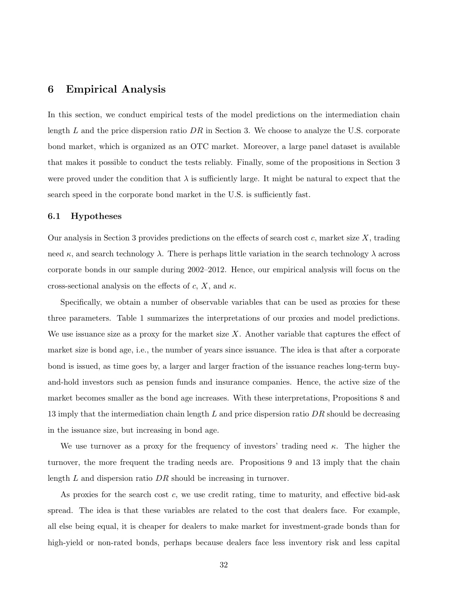## 6 Empirical Analysis

In this section, we conduct empirical tests of the model predictions on the intermediation chain length L and the price dispersion ratio  $DR$  in Section 3. We choose to analyze the U.S. corporate bond market, which is organized as an OTC market. Moreover, a large panel dataset is available that makes it possible to conduct the tests reliably. Finally, some of the propositions in Section 3 were proved under the condition that  $\lambda$  is sufficiently large. It might be natural to expect that the search speed in the corporate bond market in the U.S. is sufficiently fast.

#### 6.1 Hypotheses

Our analysis in Section 3 provides predictions on the effects of search cost  $c$ , market size  $X$ , trading need  $\kappa$ , and search technology  $\lambda$ . There is perhaps little variation in the search technology  $\lambda$  across corporate bonds in our sample during 2002–2012. Hence, our empirical analysis will focus on the cross-sectional analysis on the effects of c, X, and  $\kappa$ .

Specifically, we obtain a number of observable variables that can be used as proxies for these three parameters. Table 1 summarizes the interpretations of our proxies and model predictions. We use issuance size as a proxy for the market size  $X$ . Another variable that captures the effect of market size is bond age, i.e., the number of years since issuance. The idea is that after a corporate bond is issued, as time goes by, a larger and larger fraction of the issuance reaches long-term buyand-hold investors such as pension funds and insurance companies. Hence, the active size of the market becomes smaller as the bond age increases. With these interpretations, Propositions 8 and 13 imply that the intermediation chain length  $L$  and price dispersion ratio  $DR$  should be decreasing in the issuance size, but increasing in bond age.

We use turnover as a proxy for the frequency of investors' trading need  $\kappa$ . The higher the turnover, the more frequent the trading needs are. Propositions 9 and 13 imply that the chain length  $L$  and dispersion ratio  $DR$  should be increasing in turnover.

As proxies for the search cost  $c$ , we use credit rating, time to maturity, and effective bid-ask spread. The idea is that these variables are related to the cost that dealers face. For example, all else being equal, it is cheaper for dealers to make market for investment-grade bonds than for high-yield or non-rated bonds, perhaps because dealers face less inventory risk and less capital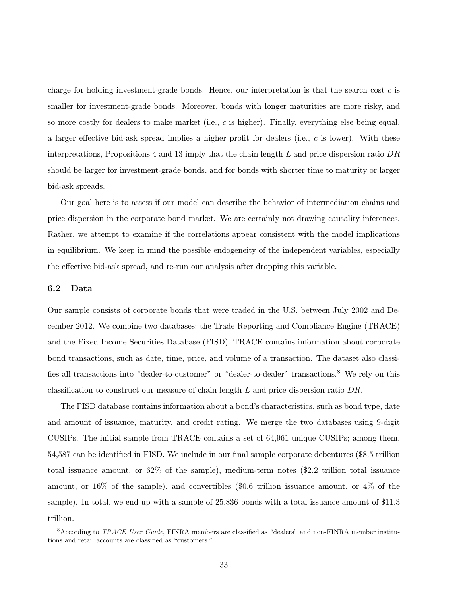charge for holding investment-grade bonds. Hence, our interpretation is that the search cost  $c$  is smaller for investment-grade bonds. Moreover, bonds with longer maturities are more risky, and so more costly for dealers to make market (i.e.,  $c$  is higher). Finally, everything else being equal, a larger effective bid-ask spread implies a higher profit for dealers (i.e.,  $c$  is lower). With these interpretations, Propositions 4 and 13 imply that the chain length L and price dispersion ratio  $DR$ should be larger for investment-grade bonds, and for bonds with shorter time to maturity or larger bid-ask spreads.

Our goal here is to assess if our model can describe the behavior of intermediation chains and price dispersion in the corporate bond market. We are certainly not drawing causality inferences. Rather, we attempt to examine if the correlations appear consistent with the model implications in equilibrium. We keep in mind the possible endogeneity of the independent variables, especially the effective bid-ask spread, and re-run our analysis after dropping this variable.

#### 6.2 Data

Our sample consists of corporate bonds that were traded in the U.S. between July 2002 and December 2012. We combine two databases: the Trade Reporting and Compliance Engine (TRACE) and the Fixed Income Securities Database (FISD). TRACE contains information about corporate bond transactions, such as date, time, price, and volume of a transaction. The dataset also classifies all transactions into "dealer-to-customer" or "dealer-to-dealer" transactions.<sup>8</sup> We rely on this classification to construct our measure of chain length  $L$  and price dispersion ratio  $DR$ .

The FISD database contains information about a bond's characteristics, such as bond type, date and amount of issuance, maturity, and credit rating. We merge the two databases using 9-digit CUSIPs. The initial sample from TRACE contains a set of 64,961 unique CUSIPs; among them, 54,587 can be identified in FISD. We include in our final sample corporate debentures (\$8.5 trillion total issuance amount, or 62% of the sample), medium-term notes (\$2.2 trillion total issuance amount, or 16% of the sample), and convertibles (\$0.6 trillion issuance amount, or 4% of the sample). In total, we end up with a sample of 25,836 bonds with a total issuance amount of \$11.3 trillion.

<sup>&</sup>lt;sup>8</sup>According to TRACE User Guide, FINRA members are classified as "dealers" and non-FINRA member institutions and retail accounts are classified as "customers."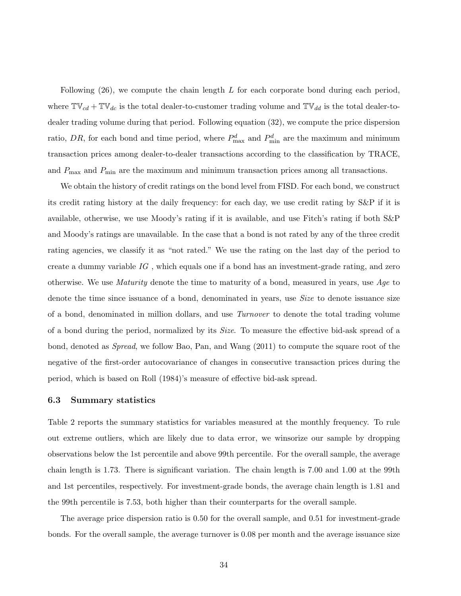Following  $(26)$ , we compute the chain length L for each corporate bond during each period, where  $\mathbb{TV}_{cd} + \mathbb{TV}_{dc}$  is the total dealer-to-customer trading volume and  $\mathbb{TV}_{dd}$  is the total dealer-todealer trading volume during that period. Following equation (32), we compute the price dispersion ratio, DR, for each bond and time period, where  $P_{\text{max}}^d$  and  $P_{\text{min}}^d$  are the maximum and minimum transaction prices among dealer-to-dealer transactions according to the classification by TRACE, and  $P_{\text{max}}$  and  $P_{\text{min}}$  are the maximum and minimum transaction prices among all transactions.

We obtain the history of credit ratings on the bond level from FISD. For each bond, we construct its credit rating history at the daily frequency: for each day, we use credit rating by S&P if it is available, otherwise, we use Moody's rating if it is available, and use Fitch's rating if both S&P and Moody's ratings are unavailable. In the case that a bond is not rated by any of the three credit rating agencies, we classify it as "not rated." We use the rating on the last day of the period to create a dummy variable  $IG$  , which equals one if a bond has an investment-grade rating, and zero otherwise. We use *Maturity* denote the time to maturity of a bond, measured in years, use  $Age$  to denote the time since issuance of a bond, denominated in years, use Size to denote issuance size of a bond, denominated in million dollars, and use Turnover to denote the total trading volume of a bond during the period, normalized by its Size. To measure the effective bid-ask spread of a bond, denoted as Spread, we follow Bao, Pan, and Wang (2011) to compute the square root of the negative of the first-order autocovariance of changes in consecutive transaction prices during the period, which is based on Roll (1984)'s measure of effective bid-ask spread.

#### 6.3 Summary statistics

Table 2 reports the summary statistics for variables measured at the monthly frequency. To rule out extreme outliers, which are likely due to data error, we winsorize our sample by dropping observations below the 1st percentile and above 99th percentile. For the overall sample, the average chain length is 1.73. There is significant variation. The chain length is 7.00 and 1.00 at the 99th and 1st percentiles, respectively. For investment-grade bonds, the average chain length is 1.81 and the 99th percentile is 7.53, both higher than their counterparts for the overall sample.

The average price dispersion ratio is 0.50 for the overall sample, and 0.51 for investment-grade bonds. For the overall sample, the average turnover is 0.08 per month and the average issuance size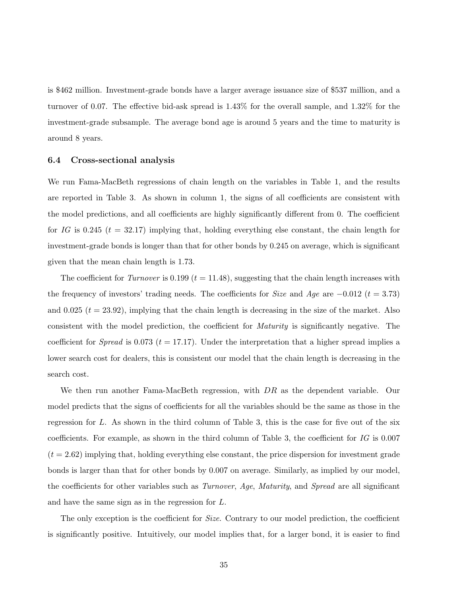is \$462 million. Investment-grade bonds have a larger average issuance size of \$537 million, and a turnover of 0.07. The effective bid-ask spread is 1.43% for the overall sample, and 1.32% for the investment-grade subsample. The average bond age is around 5 years and the time to maturity is around 8 years.

#### 6.4 Cross-sectional analysis

We run Fama-MacBeth regressions of chain length on the variables in Table 1, and the results are reported in Table 3. As shown in column 1, the signs of all coefficients are consistent with the model predictions, and all coefficients are highly significantly different from 0. The coefficient for IG is 0.245 ( $t = 32.17$ ) implying that, holding everything else constant, the chain length for investment-grade bonds is longer than that for other bonds by 0.245 on average, which is significant given that the mean chain length is 1.73.

The coefficient for *Turnover* is 0.199 ( $t = 11.48$ ), suggesting that the chain length increases with the frequency of investors' trading needs. The coefficients for Size and Age are  $-0.012$  (t = 3.73) and 0.025  $(t = 23.92)$ , implying that the chain length is decreasing in the size of the market. Also consistent with the model prediction, the coefficient for Maturity is significantly negative. The coefficient for *Spread* is 0.073 ( $t = 17.17$ ). Under the interpretation that a higher spread implies a lower search cost for dealers, this is consistent our model that the chain length is decreasing in the search cost.

We then run another Fama-MacBeth regression, with DR as the dependent variable. Our model predicts that the signs of coefficients for all the variables should be the same as those in the regression for L. As shown in the third column of Table 3, this is the case for five out of the six coefficients. For example, as shown in the third column of Table 3, the coefficient for  $IG$  is 0.007  $(t = 2.62)$  implying that, holding everything else constant, the price dispersion for investment grade bonds is larger than that for other bonds by 0.007 on average. Similarly, as implied by our model, the coefficients for other variables such as *Turnover*, Age, Maturity, and *Spread* are all significant and have the same sign as in the regression for L.

The only exception is the coefficient for *Size*. Contrary to our model prediction, the coefficient is significantly positive. Intuitively, our model implies that, for a larger bond, it is easier to find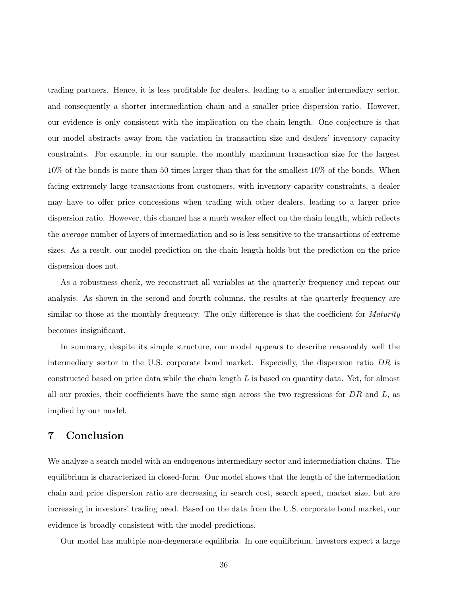trading partners. Hence, it is less profitable for dealers, leading to a smaller intermediary sector, and consequently a shorter intermediation chain and a smaller price dispersion ratio. However, our evidence is only consistent with the implication on the chain length. One conjecture is that our model abstracts away from the variation in transaction size and dealers' inventory capacity constraints. For example, in our sample, the monthly maximum transaction size for the largest 10% of the bonds is more than 50 times larger than that for the smallest 10% of the bonds. When facing extremely large transactions from customers, with inventory capacity constraints, a dealer may have to offer price concessions when trading with other dealers, leading to a larger price dispersion ratio. However, this channel has a much weaker effect on the chain length, which reflects the average number of layers of intermediation and so is less sensitive to the transactions of extreme sizes. As a result, our model prediction on the chain length holds but the prediction on the price dispersion does not.

As a robustness check, we reconstruct all variables at the quarterly frequency and repeat our analysis. As shown in the second and fourth columns, the results at the quarterly frequency are similar to those at the monthly frequency. The only difference is that the coefficient for *Maturity* becomes insignificant.

In summary, despite its simple structure, our model appears to describe reasonably well the intermediary sector in the U.S. corporate bond market. Especially, the dispersion ratio  $DR$  is constructed based on price data while the chain length  $L$  is based on quantity data. Yet, for almost all our proxies, their coefficients have the same sign across the two regressions for  $DR$  and  $L$ , as implied by our model.

## 7 Conclusion

We analyze a search model with an endogenous intermediary sector and intermediation chains. The equilibrium is characterized in closed-form. Our model shows that the length of the intermediation chain and price dispersion ratio are decreasing in search cost, search speed, market size, but are increasing in investors' trading need. Based on the data from the U.S. corporate bond market, our evidence is broadly consistent with the model predictions.

Our model has multiple non-degenerate equilibria. In one equilibrium, investors expect a large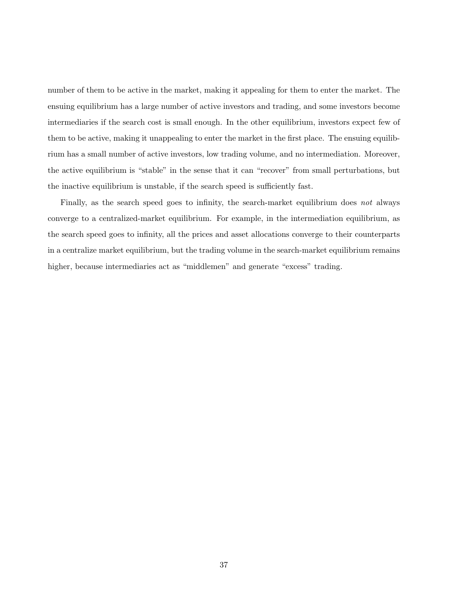number of them to be active in the market, making it appealing for them to enter the market. The ensuing equilibrium has a large number of active investors and trading, and some investors become intermediaries if the search cost is small enough. In the other equilibrium, investors expect few of them to be active, making it unappealing to enter the market in the first place. The ensuing equilibrium has a small number of active investors, low trading volume, and no intermediation. Moreover, the active equilibrium is "stable" in the sense that it can "recover" from small perturbations, but the inactive equilibrium is unstable, if the search speed is sufficiently fast.

Finally, as the search speed goes to infinity, the search-market equilibrium does not always converge to a centralized-market equilibrium. For example, in the intermediation equilibrium, as the search speed goes to infinity, all the prices and asset allocations converge to their counterparts in a centralize market equilibrium, but the trading volume in the search-market equilibrium remains higher, because intermediaries act as "middlemen" and generate "excess" trading.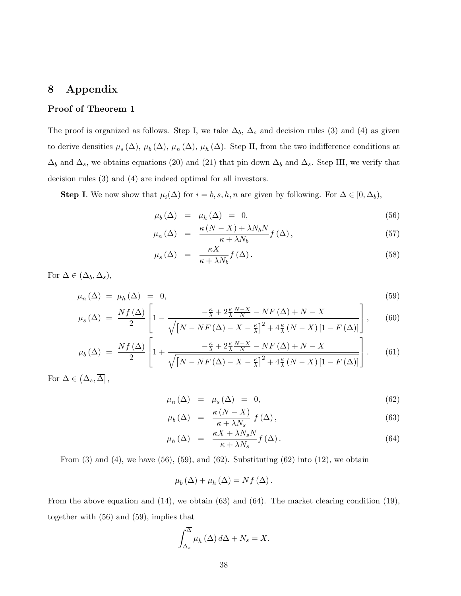## 8 Appendix

### Proof of Theorem 1

The proof is organized as follows. Step I, we take  $\Delta_b$ ,  $\Delta_s$  and decision rules (3) and (4) as given to derive densities  $\mu_s(\Delta)$ ,  $\mu_b(\Delta)$ ,  $\mu_n(\Delta)$ ,  $\mu_h(\Delta)$ . Step II, from the two indifference conditions at  $\Delta_b$  and  $\Delta_s$ , we obtains equations (20) and (21) that pin down  $\Delta_b$  and  $\Delta_s$ . Step III, we verify that decision rules (3) and (4) are indeed optimal for all investors.

**Step I.** We now show that  $\mu_i(\Delta)$  for  $i = b, s, h, n$  are given by following. For  $\Delta \in [0, \Delta_b)$ ,

$$
\mu_b(\Delta) = \mu_h(\Delta) = 0, \qquad (56)
$$

$$
\mu_n(\Delta) = \frac{\kappa (N - X) + \lambda N_b N}{\kappa + \lambda N_b} f(\Delta), \qquad (57)
$$

$$
\mu_s(\Delta) = \frac{\kappa X}{\kappa + \lambda N_b} f(\Delta). \tag{58}
$$

For  $\Delta \in (\Delta_b, \Delta_s)$ ,

$$
\mu_n(\Delta) = \mu_h(\Delta) = 0, \tag{59}
$$
\n
$$
Nf(\Delta) \begin{bmatrix} \frac{\kappa}{2} + 2\frac{\kappa N - X}{N} - NF(\Delta) + N - Y \end{bmatrix}
$$

$$
\mu_s(\Delta) = \frac{Nf(\Delta)}{2} \left[ 1 - \frac{-\frac{\kappa}{\lambda} + 2\frac{\kappa}{\lambda} \frac{N-X}{N} - NF(\Delta) + N - X}{\sqrt{\left[N - NF(\Delta) - X - \frac{\kappa}{\lambda}\right]^2 + 4\frac{\kappa}{\lambda} \left(N - X\right) \left[1 - F(\Delta)\right]}} \right],\tag{60}
$$

$$
\mu_b(\Delta) = \frac{Nf(\Delta)}{2} \left[ 1 + \frac{-\frac{\kappa}{\lambda} + 2\frac{\kappa}{\lambda} \frac{N-X}{N} - NF(\Delta) + N - X}{\sqrt{\left[N - NF(\Delta) - X - \frac{\kappa}{\lambda}\right]^2 + 4\frac{\kappa}{\lambda} \left(N - X\right) \left[1 - F(\Delta)\right]}} \right].
$$
 (61)

For  $\Delta \in (\Delta_s, \overline{\Delta}),$ 

$$
\mu_n(\Delta) = \mu_s(\Delta) = 0, \tag{62}
$$

$$
\mu_b(\Delta) = \frac{\kappa (N - X)}{\kappa + \lambda N_s} f(\Delta), \qquad (63)
$$

$$
\mu_h(\Delta) = \frac{\kappa X + \lambda N_s N}{\kappa + \lambda N_s} f(\Delta). \tag{64}
$$

From  $(3)$  and  $(4)$ , we have  $(56)$ ,  $(59)$ , and  $(62)$ . Substituting  $(62)$  into  $(12)$ , we obtain

$$
\mu_b(\Delta) + \mu_h(\Delta) = Nf(\Delta).
$$

From the above equation and  $(14)$ , we obtain  $(63)$  and  $(64)$ . The market clearing condition  $(19)$ , together with (56) and (59), implies that

$$
\int_{\Delta_s}^{\overline{\Delta}} \mu_h(\Delta) \, d\Delta + N_s = X.
$$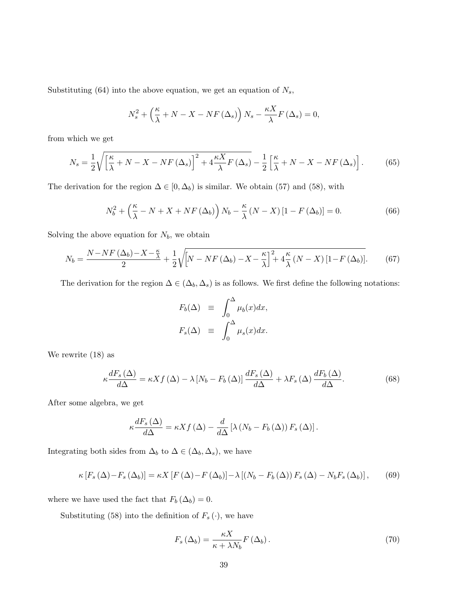Substituting (64) into the above equation, we get an equation of  $N_s$ ,

$$
N_s^2 + \left(\frac{\kappa}{\lambda} + N - X - NF\left(\Delta_s\right)\right)N_s - \frac{\kappa X}{\lambda}F\left(\Delta_s\right) = 0,
$$

from which we get

$$
N_s = \frac{1}{2} \sqrt{\left[\frac{\kappa}{\lambda} + N - X - NF(\Delta_s)\right]^2 + 4\frac{\kappa X}{\lambda}F(\Delta_s)} - \frac{1}{2}\left[\frac{\kappa}{\lambda} + N - X - NF(\Delta_s)\right].\tag{65}
$$

The derivation for the region  $\Delta \in [0, \Delta_b)$  is similar. We obtain (57) and (58), with

$$
N_b^2 + \left(\frac{\kappa}{\lambda} - N + X + NF(\Delta_b)\right)N_b - \frac{\kappa}{\lambda}(N - X)[1 - F(\Delta_b)] = 0.
$$
 (66)

Solving the above equation for  $N_b$ , we obtain

$$
N_b = \frac{N - NF\left(\Delta_b\right) - X - \frac{\kappa}{\lambda}}{2} + \frac{1}{2} \sqrt{\left[N - NF\left(\Delta_b\right) - X - \frac{\kappa}{\lambda}\right]^2 + 4\frac{\kappa}{\lambda}\left(N - X\right)\left[1 - F\left(\Delta_b\right)\right]}.\tag{67}
$$

The derivation for the region  $\Delta \in (\Delta_b, \Delta_s)$  is as follows. We first define the following notations:

$$
F_b(\Delta) \equiv \int_0^{\Delta} \mu_b(x) dx,
$$
  

$$
F_s(\Delta) \equiv \int_0^{\Delta} \mu_s(x) dx.
$$

We rewrite (18) as

$$
\kappa \frac{dF_s(\Delta)}{d\Delta} = \kappa X f(\Delta) - \lambda \left[ N_b - F_b(\Delta) \right] \frac{dF_s(\Delta)}{d\Delta} + \lambda F_s(\Delta) \frac{dF_b(\Delta)}{d\Delta}.
$$
 (68)

After some algebra, we get

$$
\kappa \frac{dF_s(\Delta)}{d\Delta} = \kappa X f(\Delta) - \frac{d}{d\Delta} \left[ \lambda \left( N_b - F_b(\Delta) \right) F_s(\Delta) \right].
$$

Integrating both sides from  $\Delta_b$  to  $\Delta \in (\Delta_b, \Delta_s)$ , we have

$$
\kappa\left[F_s\left(\Delta\right)-F_s\left(\Delta_b\right)\right]=\kappa X\left[F\left(\Delta\right)-F\left(\Delta_b\right)\right]-\lambda\left[\left(N_b-F_b\left(\Delta\right)\right)F_s\left(\Delta\right)-N_bF_s\left(\Delta_b\right)\right],\qquad(69)
$$

where we have used the fact that  $F_b \left( \Delta_b \right) = 0.$ 

Substituting (58) into the definition of  $F_s\left(\cdot\right)$  , we have

$$
F_s\left(\Delta_b\right) = \frac{\kappa X}{\kappa + \lambda N_b} F\left(\Delta_b\right). \tag{70}
$$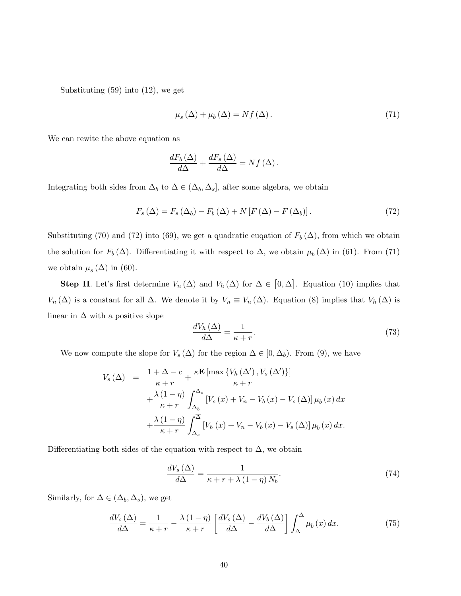Substituting (59) into (12), we get

$$
\mu_s(\Delta) + \mu_b(\Delta) = Nf(\Delta). \tag{71}
$$

We can rewite the above equation as

$$
\frac{dF_b\left(\Delta\right)}{d\Delta} + \frac{dF_s\left(\Delta\right)}{d\Delta} = Nf\left(\Delta\right).
$$

Integrating both sides from  $\Delta_b$  to  $\Delta \in (\Delta_b, \Delta_s]$ , after some algebra, we obtain

$$
F_s(\Delta) = F_s(\Delta_b) - F_b(\Delta) + N \left[ F(\Delta) - F(\Delta_b) \right]. \tag{72}
$$

Substituting (70) and (72) into (69), we get a quadratic eugation of  $F_b(\Delta)$ , from which we obtain the solution for  $F_b(\Delta)$ . Differentiating it with respect to  $\Delta$ , we obtain  $\mu_b(\Delta)$  in (61). From (71) we obtain  $\mu_s(\Delta)$  in (60).

**Step II**. Let's first determine  $V_n(\Delta)$  and  $V_h(\Delta)$  for  $\Delta \in [0, \overline{\Delta}]$ . Equation (10) implies that  $V_n(\Delta)$  is a constant for all  $\Delta$ . We denote it by  $V_n \equiv V_n(\Delta)$ . Equation (8) implies that  $V_h(\Delta)$  is linear in  $\Delta$  with a positive slope

$$
\frac{dV_h\left(\Delta\right)}{d\Delta} = \frac{1}{\kappa + r}.\tag{73}
$$

We now compute the slope for  $V_s(\Delta)$  for the region  $\Delta \in [0, \Delta_b)$ . From (9), we have

$$
V_s(\Delta) = \frac{1 + \Delta - c}{\kappa + r} + \frac{\kappa \mathbf{E} \left[ \max \left\{ V_h(\Delta'), V_s(\Delta') \right\} \right]}{\kappa + r} + \frac{\lambda (1 - \eta)}{\kappa + r} \int_{\Delta_b}^{\Delta_s} \left[ V_s(x) + V_n - V_b(x) - V_s(\Delta) \right] \mu_b(x) dx + \frac{\lambda (1 - \eta)}{\kappa + r} \int_{\Delta_s}^{\overline{\Delta}} \left[ V_h(x) + V_n - V_b(x) - V_s(\Delta) \right] \mu_b(x) dx.
$$

Differentiating both sides of the equation with respect to  $\Delta$ , we obtain

$$
\frac{dV_s\left(\Delta\right)}{d\Delta} = \frac{1}{\kappa + r + \lambda\left(1 - \eta\right)N_b}.\tag{74}
$$

Similarly, for  $\Delta \in (\Delta_b, \Delta_s)$ , we get

$$
\frac{dV_s(\Delta)}{d\Delta} = \frac{1}{\kappa + r} - \frac{\lambda (1 - \eta)}{\kappa + r} \left[ \frac{dV_s(\Delta)}{d\Delta} - \frac{dV_b(\Delta)}{d\Delta} \right] \int_{\Delta}^{\overline{\Delta}} \mu_b(x) \, dx. \tag{75}
$$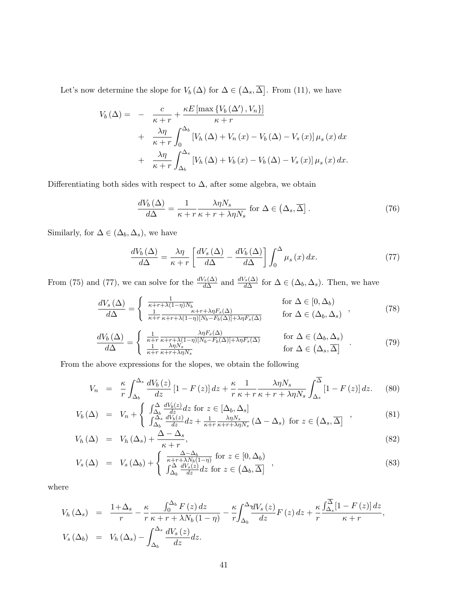Let's now determine the slope for  $V_b(\Delta)$  for  $\Delta \in (\Delta_s, \overline{\Delta}]$ . From (11), we have

$$
V_b(\Delta) = - \frac{c}{\kappa + r} + \frac{\kappa E \left[ \max \left\{ V_b(\Delta'), V_n \right\} \right]}{\kappa + r} + \frac{\lambda \eta}{\kappa + r} \int_0^{\Delta_b} \left[ V_h(\Delta) + V_n(x) - V_b(\Delta) - V_s(x) \right] \mu_s(x) dx + \frac{\lambda \eta}{\kappa + r} \int_{\Delta_b}^{\Delta_s} \left[ V_h(\Delta) + V_b(x) - V_b(\Delta) - V_s(x) \right] \mu_s(x) dx.
$$

Differentiating both sides with respect to  $\Delta,$  after some algebra, we obtain

$$
\frac{dV_b\left(\Delta\right)}{d\Delta} = \frac{1}{\kappa + r} \frac{\lambda \eta N_s}{\kappa + r + \lambda \eta N_s} \text{ for } \Delta \in \left(\Delta_s, \overline{\Delta}\right].\tag{76}
$$

Similarly, for  $\Delta \in (\Delta_b, \Delta_s),$  we have

$$
\frac{dV_b\left(\Delta\right)}{d\Delta} = \frac{\lambda \eta}{\kappa + r} \left[ \frac{dV_s\left(\Delta\right)}{d\Delta} - \frac{dV_b\left(\Delta\right)}{d\Delta} \right] \int_0^\Delta \mu_s\left(x\right) dx. \tag{77}
$$

From (75) and (77), we can solve for the  $\frac{dV_s(\Delta)}{d\Delta}$  and  $\frac{dV_s(\Delta)}{d\Delta}$  for  $\Delta \in (\Delta_b, \Delta_s)$ . Then, we have

$$
\frac{dV_s(\Delta)}{d\Delta} = \begin{cases} \frac{1}{\kappa + r + \lambda(1 - \eta)N_b} & \text{for } \Delta \in [0, \Delta_b) \\ \frac{1}{\kappa + r} \frac{\kappa + r + \lambda\eta F_s(\Delta)}{\kappa + r + \lambda(1 - \eta)[N_b - F_b(\Delta)] + \lambda\eta F_s(\Delta)} & \text{for } \Delta \in (\Delta_b, \Delta_s) \end{cases} (78)
$$

$$
\frac{dV_b(\Delta)}{d\Delta} = \begin{cases} \frac{1}{\kappa + r} \frac{\lambda \eta F_s(\Delta)}{\kappa + r + \lambda (1 - \eta)[N_b - F_b(\Delta)] + \lambda \eta F_s(\Delta)} & \text{for } \Delta \in (\Delta_b, \Delta_s) \\ \frac{1}{\kappa + r} \frac{\lambda \eta N_s}{\kappa + r + \lambda \eta N_s} & \text{for } \Delta \in (\Delta_s, \overline{\Delta}] \end{cases} (79)
$$

From the above expressions for the slopes, we obtain the following

$$
V_n = \frac{\kappa}{r} \int_{\Delta_b}^{\Delta_s} \frac{dV_b(z)}{dz} \left[1 - F(z)\right] dz + \frac{\kappa}{r} \frac{1}{\kappa + r} \frac{\lambda \eta N_s}{\kappa + r + \lambda \eta N_s} \int_{\Delta_s}^{\overline{\Delta}} \left[1 - F(z)\right] dz. \tag{80}
$$

$$
V_b(\Delta) = V_n + \begin{cases} \int_{\Delta_b}^{\Delta} \frac{dV_b(z)}{dz} dz \text{ for } z \in [\Delta_b, \Delta_s] \\ \int_{\Delta_b}^{\Delta_s} \frac{dV_b(z)}{dz} dz + \frac{1}{\kappa + r} \frac{\lambda \eta N_s}{\kappa + r + \lambda \eta N_s} (\Delta - \Delta_s) \text{ for } z \in (\Delta_s, \overline{\Delta}] \end{cases} ,
$$
(81)

$$
V_h(\Delta) = V_h(\Delta_s) + \frac{\Delta - \Delta_s}{\kappa + r}, \qquad (82)
$$

$$
V_s(\Delta) = V_s(\Delta_b) + \begin{cases} \frac{\Delta - \Delta_b}{\kappa + r + \lambda N_b (1 - \eta)} \text{ for } z \in [0, \Delta_b) \\ \int_{\Delta_b}^{\Delta} \frac{dV_s(z)}{dz} dz \text{ for } z \in (\Delta_b, \overline{\Delta}) \end{cases},
$$
\n(83)

where

$$
V_h(\Delta_s) = \frac{1+\Delta_s}{r} - \frac{\kappa}{r} \frac{\int_0^{\Delta_b} F(z) dz}{\kappa + r + \lambda N_b (1-\eta)} - \frac{\kappa}{r} \int_{\Delta_b}^{\Delta_s} \frac{dV_s(z)}{dz} F(z) dz + \frac{\kappa}{r} \frac{\int_{\Delta_s}^{\Delta} [1 - F(z)] dz}{\kappa + r},
$$
  
\n
$$
V_s(\Delta_b) = V_h(\Delta_s) - \int_{\Delta_b}^{\Delta_s} \frac{dV_s(z)}{dz} dz.
$$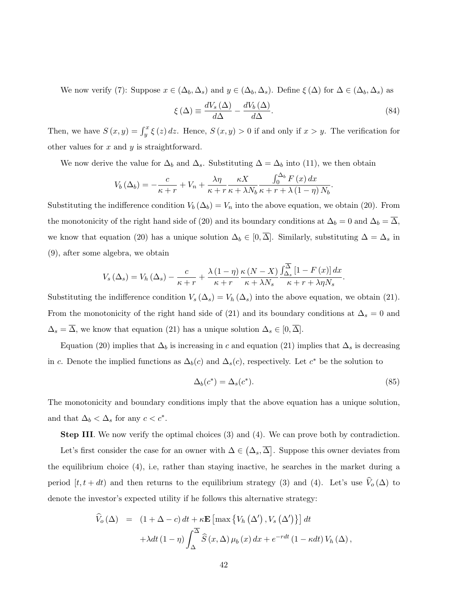We now verify (7): Suppose  $x \in (\Delta_b, \Delta_s)$  and  $y \in (\Delta_b, \Delta_s)$ . Define  $\xi(\Delta)$  for  $\Delta \in (\Delta_b, \Delta_s)$  as

$$
\xi(\Delta) \equiv \frac{dV_s(\Delta)}{d\Delta} - \frac{dV_b(\Delta)}{d\Delta}.\tag{84}
$$

Then, we have  $S(x, y) = \int_y^x \xi(z) dz$ . Hence,  $S(x, y) > 0$  if and only if  $x > y$ . The verification for other values for  $x$  and  $y$  is straightforward.

We now derive the value for  $\Delta_b$  and  $\Delta_s$ . Substituting  $\Delta = \Delta_b$  into (11), we then obtain

$$
V_b\left(\Delta_b\right) = -\frac{c}{\kappa + r} + V_n + \frac{\lambda \eta}{\kappa + r} \frac{\kappa X}{\kappa + \lambda N_b} \frac{\int_0^{\Delta_b} F\left(x\right) dx}{\kappa + r + \lambda \left(1 - \eta\right) N_b}.
$$

Substituting the indifference condition  $V_b(\Delta_b) = V_n$  into the above equation, we obtain (20). From the monotonicity of the right hand side of (20) and its boundary conditions at  $\Delta_b = 0$  and  $\Delta_b = \Delta$ , we know that equation (20) has a unique solution  $\Delta_b \in [0, \overline{\Delta}]$ . Similarly, substituting  $\Delta = \Delta_s$  in (9), after some algebra, we obtain

$$
V_s(\Delta_s) = V_h(\Delta_s) - \frac{c}{\kappa + r} + \frac{\lambda(1-\eta)}{\kappa + r} \frac{\kappa(N-X)}{\kappa + \lambda N_s} \frac{\int_{\Delta_s}^{\overline{\Delta}} [1 - F(x)] dx}{\kappa + r + \lambda \eta N_s}.
$$

Substituting the indifference condition  $V_s(\Delta_s) = V_h(\Delta_s)$  into the above equation, we obtain (21). From the monotonicity of the right hand side of (21) and its boundary conditions at  $\Delta_s = 0$  and  $\Delta_s = \overline{\Delta}$ , we know that equation (21) has a unique solution  $\Delta_s \in [0, \overline{\Delta}]$ .

Equation (20) implies that  $\Delta_b$  is increasing in c and equation (21) implies that  $\Delta_s$  is decreasing in c. Denote the implied functions as  $\Delta_b(c)$  and  $\Delta_s(c)$ , respectively. Let  $c^*$  be the solution to

$$
\Delta_b(c^*) = \Delta_s(c^*). \tag{85}
$$

The monotonicity and boundary conditions imply that the above equation has a unique solution, and that  $\Delta_b < \Delta_s$  for any  $c < c^*$ .

Step III. We now verify the optimal choices (3) and (4). We can prove both by contradiction.

Let's first consider the case for an owner with  $\Delta \in (\Delta_s, \overline{\Delta}]$ . Suppose this owner deviates from the equilibrium choice (4), i.e, rather than staying inactive, he searches in the market during a period  $[t, t + dt)$  and then returns to the equilibrium strategy (3) and (4). Let's use  $\hat{V}_{o}(\Delta)$  to denote the investor's expected utility if he follows this alternative strategy:

$$
\hat{V}_o(\Delta) = (1 + \Delta - c) dt + \kappa \mathbf{E} \left[ \max \left\{ V_h(\Delta') , V_s(\Delta') \right\} \right] dt \n+ \lambda dt (1 - \eta) \int_{\Delta}^{\overline{\Delta}} \hat{S}(x, \Delta) \mu_b(x) dx + e^{-r dt} (1 - \kappa dt) V_h(\Delta),
$$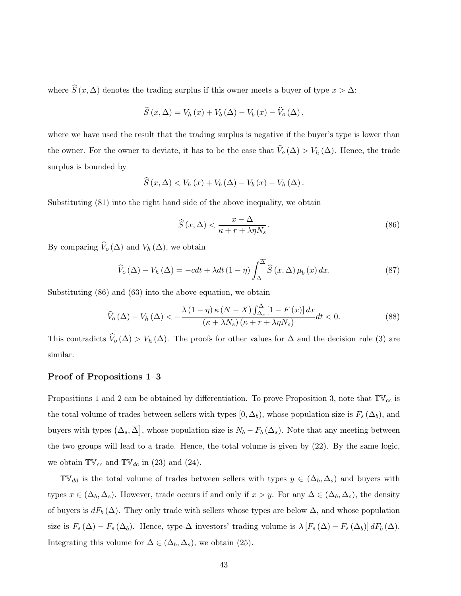where  $\widehat{S}(x, \Delta)$  denotes the trading surplus if this owner meets a buyer of type  $x > \Delta$ :

$$
\widehat{S}(x,\Delta) = V_h(x) + V_b(\Delta) - V_b(x) - \widehat{V}_o(\Delta),
$$

where we have used the result that the trading surplus is negative if the buyer's type is lower than the owner. For the owner to deviate, it has to be the case that  $\widehat{V}_o(\Delta) > V_h(\Delta)$ . Hence, the trade surplus is bounded by

$$
\widehat{S}(x,\Delta) < V_h(x) + V_b(\Delta) - V_b(x) - V_h(\Delta).
$$

Substituting (81) into the right hand side of the above inequality, we obtain

$$
\widehat{S}(x,\Delta) < \frac{x-\Delta}{\kappa + r + \lambda \eta N_s}.\tag{86}
$$

By comparing  $\widehat{V}_o(\Delta)$  and  $V_h(\Delta)$ , we obtain

$$
\widehat{V}_{o}(\Delta) - V_{h}(\Delta) = -cdt + \lambda dt \left(1 - \eta\right) \int_{\Delta}^{\overline{\Delta}} \widehat{S}\left(x, \Delta\right) \mu_{b}\left(x\right) dx. \tag{87}
$$

Substituting (86) and (63) into the above equation, we obtain

$$
\widehat{V}_o(\Delta) - V_h(\Delta) < -\frac{\lambda \left(1 - \eta\right) \kappa \left(N - X\right) \int_{\Delta_s}^{\Delta} \left[1 - F\left(x\right)\right] dx}{\left(\kappa + \lambda N_s\right) \left(\kappa + r + \lambda \eta N_s\right)} dt < 0. \tag{88}
$$

This contradicts  $\widehat{V}_o(\Delta) > V_h(\Delta)$ . The proofs for other values for  $\Delta$  and the decision rule (3) are similar.

### Proof of Propositions 1–3

Propositions 1 and 2 can be obtained by differentiation. To prove Proposition 3, note that  $\mathbb{TV}_{cc}$  is the total volume of trades between sellers with types  $[0, \Delta_b)$ , whose population size is  $F_s(\Delta_b)$ , and buyers with types  $(\Delta_s, \overline{\Delta})$ , whose population size is  $N_b - F_b(\Delta_s)$ . Note that any meeting between the two groups will lead to a trade. Hence, the total volume is given by (22). By the same logic, we obtain  $\mathbb{TV}_{cc}$  and  $\mathbb{TV}_{dc}$  in (23) and (24).

 $\mathbb{TV}_{dd}$  is the total volume of trades between sellers with types  $y \in (\Delta_b, \Delta_s)$  and buyers with types  $x \in (\Delta_b, \Delta_s)$ . However, trade occurs if and only if  $x > y$ . For any  $\Delta \in (\Delta_b, \Delta_s)$ , the density of buyers is  $dF_b(\Delta)$ . They only trade with sellers whose types are below  $\Delta$ , and whose population size is  $F_s(\Delta) - F_s(\Delta_b)$ . Hence, type- $\Delta$  investors' trading volume is  $\lambda [F_s(\Delta) - F_s(\Delta_b)] dF_b(\Delta)$ . Integrating this volume for  $\Delta \in (\Delta_b, \Delta_s)$ , we obtain (25).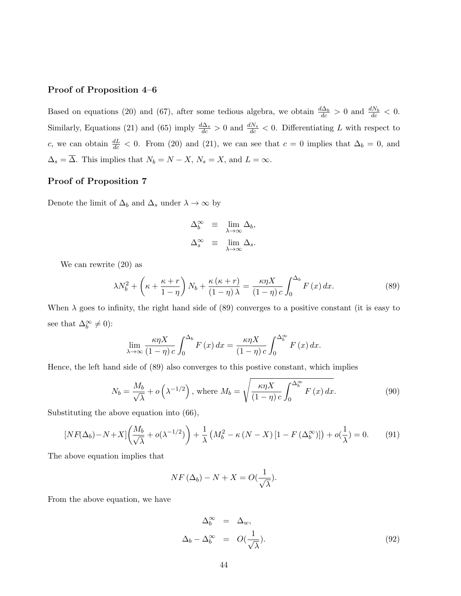#### Proof of Proposition 4–6

Based on equations (20) and (67), after some tedious algebra, we obtain  $\frac{d\Delta_b}{dc} > 0$  and  $\frac{dN_b}{dc} < 0$ . Similarly, Equations (21) and (65) imply  $\frac{d\Delta_s}{dc} > 0$  and  $\frac{dN_s}{dc} < 0$ . Differentiating L with respect to c, we can obtain  $\frac{dL}{dc}$  < 0. From (20) and (21), we can see that  $c = 0$  implies that  $\Delta_b = 0$ , and  $\Delta_s = \overline{\Delta}$ . This implies that  $N_b = N - X$ ,  $N_s = X$ , and  $L = \infty$ .

#### Proof of Proposition 7

Denote the limit of  $\Delta_b$  and  $\Delta_s$  under  $\lambda \to \infty$  by

$$
\begin{array}{rcl} \Delta_b^{\infty} & \equiv & \lim_{\lambda \to \infty} \Delta_b, \\ \Delta_s^{\infty} & \equiv & \lim_{\lambda \to \infty} \Delta_s. \end{array}
$$

We can rewrite (20) as

$$
\lambda N_b^2 + \left(\kappa + \frac{\kappa + r}{1 - \eta}\right) N_b + \frac{\kappa (\kappa + r)}{(1 - \eta)\lambda} = \frac{\kappa \eta X}{(1 - \eta)c} \int_0^{\Delta_b} F(x) dx.
$$
 (89)

When  $\lambda$  goes to infinity, the right hand side of (89) converges to a positive constant (it is easy to see that  $\Delta_b^{\infty} \neq 0$ :

$$
\lim_{\lambda \to \infty} \frac{\kappa \eta X}{(1 - \eta) c} \int_0^{\Delta_b} F(x) dx = \frac{\kappa \eta X}{(1 - \eta) c} \int_0^{\Delta_b^{\infty}} F(x) dx.
$$

Hence, the left hand side of (89) also converges to this postive constant, which implies

$$
N_b = \frac{M_b}{\sqrt{\lambda}} + o\left(\lambda^{-1/2}\right), \text{ where } M_b = \sqrt{\frac{\kappa \eta X}{(1-\eta)c} \int_0^{\Delta_b^{\infty}} F(x) dx}.
$$
 (90)

Substituting the above equation into (66),

$$
[N F(\Delta_b) - N + X] \left(\frac{M_b}{\sqrt{\lambda}} + o(\lambda^{-1/2})\right) + \frac{1}{\lambda} \left(M_b^2 - \kappa \left(N - X\right) \left[1 - F\left(\Delta_b^{\infty}\right)\right]\right) + o\left(\frac{1}{\lambda}\right) = 0. \tag{91}
$$

The above equation implies that

$$
NF\left(\Delta_b\right) - N + X = O\left(\frac{1}{\sqrt{\lambda}}\right).
$$

From the above equation, we have

$$
\Delta_b^{\infty} = \Delta_w,
$$
  

$$
\Delta_b - \Delta_b^{\infty} = O(\frac{1}{\sqrt{\lambda}}).
$$
 (92)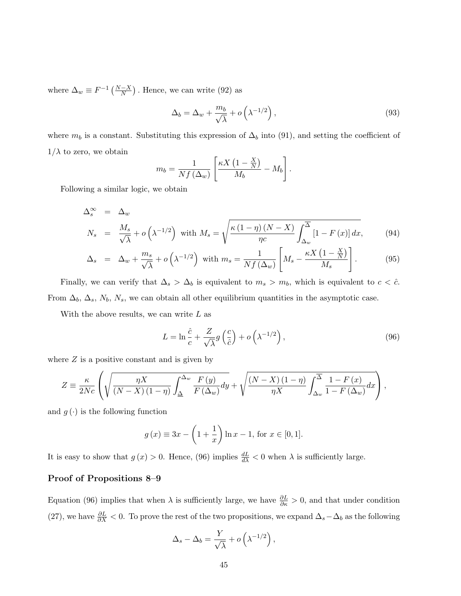where  $\Delta_w \equiv F^{-1}\left(\frac{N-X}{N}\right)$ . Hence, we can write (92) as

$$
\Delta_b = \Delta_w + \frac{m_b}{\sqrt{\lambda}} + o\left(\lambda^{-1/2}\right),\tag{93}
$$

where  $m_b$  is a constant. Substituting this expression of  $\Delta_b$  into (91), and setting the coefficient of  $1/\lambda$  to zero, we obtain

$$
m_b = \frac{1}{Nf\left(\Delta_w\right)} \left[ \frac{\kappa X \left(1 - \frac{X}{N}\right)}{M_b} - M_b \right].
$$

Following a similar logic, we obtain

$$
\Delta_s^{\infty} = \Delta_w
$$
\n
$$
N_s = \frac{M_s}{\sqrt{\lambda}} + o\left(\lambda^{-1/2}\right) \text{ with } M_s = \sqrt{\frac{\kappa (1 - \eta)(N - X)}{\eta c} \int_{\Delta_w}^{\overline{\Delta}} [1 - F(x)] dx},\tag{94}
$$

$$
\Delta_s = \Delta_w + \frac{m_s}{\sqrt{\lambda}} + o\left(\lambda^{-1/2}\right) \text{ with } m_s = \frac{1}{Nf\left(\Delta_w\right)} \left[M_s - \frac{\kappa X \left(1 - \frac{X}{N}\right)}{M_s}\right]. \tag{95}
$$

Finally, we can verify that  $\Delta_s > \Delta_b$  is equivalent to  $m_s > m_b$ , which is equivalent to  $c < \hat{c}$ . From  $\Delta_b$ ,  $\Delta_s$ ,  $N_b$ ,  $N_s$ , we can obtain all other equilibrium quantities in the asymptotic case.

With the above results, we can write  $L$  as

$$
L = \ln \frac{\hat{c}}{c} + \frac{Z}{\sqrt{\lambda}} g\left(\frac{c}{\hat{c}}\right) + o\left(\lambda^{-1/2}\right),\tag{96}
$$

where  $Z$  is a positive constant and is given by

$$
Z = \frac{\kappa}{2Nc} \left( \sqrt{\frac{\eta X}{(N-X)(1-\eta)}} \int_{\Delta}^{\Delta_w} \frac{F(y)}{F(\Delta_w)} dy + \sqrt{\frac{(N-X)(1-\eta)}{\eta X}} \int_{\Delta_w}^{\overline{\Delta}} \frac{1-F(x)}{1-F(\Delta_w)} dx \right),
$$

and  $g(\cdot)$  is the following function

$$
g(x) \equiv 3x - \left(1 + \frac{1}{x}\right) \ln x - 1
$$
, for  $x \in [0, 1]$ .

It is easy to show that  $g(x) > 0$ . Hence, (96) implies  $\frac{dL}{d\lambda} < 0$  when  $\lambda$  is sufficiently large.

#### Proof of Propositions 8–9

Equation (96) implies that when  $\lambda$  is sufficiently large, we have  $\frac{\partial L}{\partial \kappa} > 0$ , and that under condition (27), we have  $\frac{\partial L}{\partial X}$  < 0. To prove the rest of the two propositions, we expand  $\Delta_s - \Delta_b$  as the following

$$
\Delta_s - \Delta_b = \frac{Y}{\sqrt{\lambda}} + o\left(\lambda^{-1/2}\right),\,
$$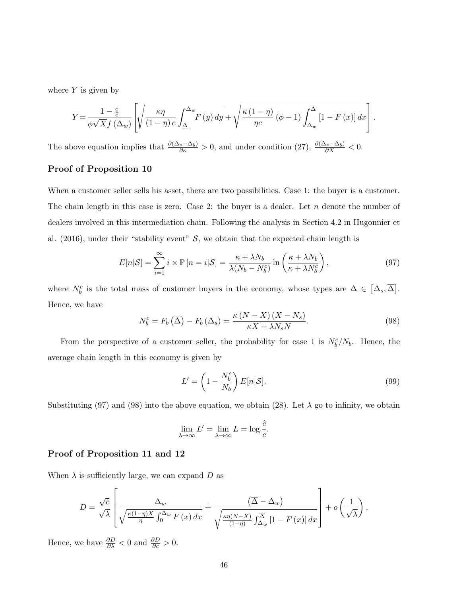where  $Y$  is given by

$$
Y = \frac{1 - \frac{c}{c}}{\phi \sqrt{X} f(\Delta_w)} \left[ \sqrt{\frac{\kappa \eta}{(1 - \eta) c} \int_{\Delta}^{\Delta_w} F(y) dy} + \sqrt{\frac{\kappa (1 - \eta)}{\eta c} (\phi - 1) \int_{\Delta_w}^{\overline{\Delta}} [1 - F(x)] dx} \right].
$$

The above equation implies that  $\frac{\partial (\Delta_s - \Delta_b)}{\partial \kappa} > 0$ , and under condition (27),  $\frac{\partial (\Delta_s - \Delta_b)}{\partial X} < 0$ .

#### Proof of Proposition 10

When a customer seller sells his asset, there are two possibilities. Case 1: the buyer is a customer. The chain length in this case is zero. Case 2: the buyer is a dealer. Let  $n$  denote the number of dealers involved in this intermediation chain. Following the analysis in Section 4.2 in Hugonnier et al. (2016), under their "stability event"  $S$ , we obtain that the expected chain length is

$$
E[n|\mathcal{S}] = \sum_{i=1}^{\infty} i \times \mathbb{P}[n=i|\mathcal{S}] = \frac{\kappa + \lambda N_b}{\lambda (N_b - N_b^c)} \ln\left(\frac{\kappa + \lambda N_b}{\kappa + \lambda N_b^c}\right),\tag{97}
$$

where  $N_b^c$  is the total mass of customer buyers in the economy, whose types are  $\Delta \in [\Delta_s, \overline{\Delta}]$ . Hence, we have

$$
N_b^c = F_b\left(\overline{\Delta}\right) - F_b\left(\Delta_s\right) = \frac{\kappa \left(N - X\right)\left(X - N_s\right)}{\kappa X + \lambda N_s N}.\tag{98}
$$

From the perspective of a customer seller, the probability for case 1 is  $N_b^c/N_b$ . Hence, the average chain length in this economy is given by

$$
L' = \left(1 - \frac{N_b^c}{N_b}\right) E[n|\mathcal{S}].\tag{99}
$$

Substituting (97) and (98) into the above equation, we obtain (28). Let  $\lambda$  go to infinity, we obtain

$$
\lim_{\lambda \to \infty} L' = \lim_{\lambda \to \infty} L = \log \frac{\hat{c}}{c}.
$$

#### Proof of Proposition 11 and 12

When  $\lambda$  is sufficiently large, we can expand D as

$$
D = \frac{\sqrt{c}}{\sqrt{\lambda}} \left[ \frac{\Delta_w}{\sqrt{\frac{\kappa(1-\eta)X}{\eta} \int_0^{\Delta_w} F(x) dx}} + \frac{(\overline{\Delta} - \Delta_w)}{\sqrt{\frac{\kappa \eta(N-X)}{(1-\eta)} \int_{\Delta_w}^{\Delta} [1 - F(x)] dx}} \right] + o\left(\frac{1}{\sqrt{\lambda}}\right).
$$

Hence, we have  $\frac{\partial D}{\partial \lambda} < 0$  and  $\frac{\partial D}{\partial c} > 0$ .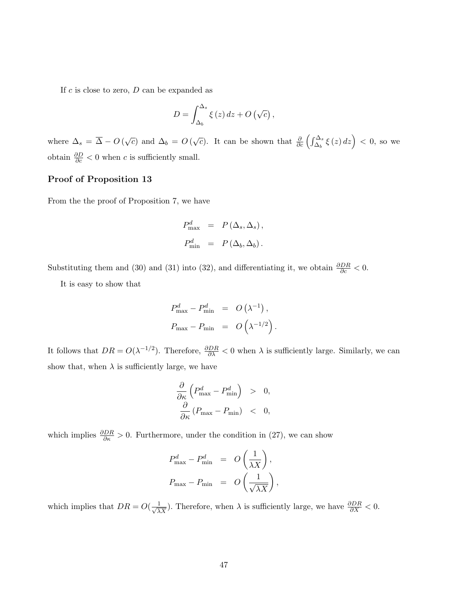If  $c$  is close to zero,  $D$  can be expanded as

$$
D = \int_{\Delta_b}^{\Delta_s} \xi(z) dz + O\left(\sqrt{c}\right),
$$

where  $\Delta_s = \overline{\Delta} - O(\sqrt{c})$  and  $\Delta_b = O(\sqrt{c})$ . It can be shown that  $\frac{\partial}{\partial c} \left( \int_{\Delta_b}^{\Delta_s} \xi(z) dz \right) < 0$ , so we obtain  $\frac{\partial D}{\partial c} < 0$  when c is sufficiently small.

### Proof of Proposition 13

From the the proof of Proposition 7, we have

$$
P_{\text{max}}^d = P(\Delta_s, \Delta_s),
$$
  

$$
P_{\text{min}}^d = P(\Delta_b, \Delta_b).
$$

Substituting them and (30) and (31) into (32), and differentiating it, we obtain  $\frac{\partial DR}{\partial c} < 0$ .

It is easy to show that

$$
P_{\text{max}}^d - P_{\text{min}}^d = O(\lambda^{-1}),
$$
  

$$
P_{\text{max}} - P_{\text{min}} = O(\lambda^{-1/2}).
$$

It follows that  $DR = O(\lambda^{-1/2})$ . Therefore,  $\frac{\partial DR}{\partial \lambda} < 0$  when  $\lambda$  is sufficiently large. Similarly, we can show that, when  $\lambda$  is sufficiently large, we have

$$
\frac{\partial}{\partial \kappa} \left( P_{\text{max}}^d - P_{\text{min}}^d \right) > 0, \n\frac{\partial}{\partial \kappa} \left( P_{\text{max}} - P_{\text{min}} \right) < 0,
$$

which implies  $\frac{\partial DR}{\partial \kappa} > 0$ . Furthermore, under the condition in (27), we can show

$$
P_{\text{max}}^d - P_{\text{min}}^d = O\left(\frac{1}{\lambda X}\right),
$$
  

$$
P_{\text{max}} - P_{\text{min}} = O\left(\frac{1}{\sqrt{\lambda X}}\right),
$$

which implies that  $DR = O(\frac{1}{\sqrt{\lambda X}})$ . Therefore, when  $\lambda$  is sufficiently large, we have  $\frac{\partial DR}{\partial X} < 0$ .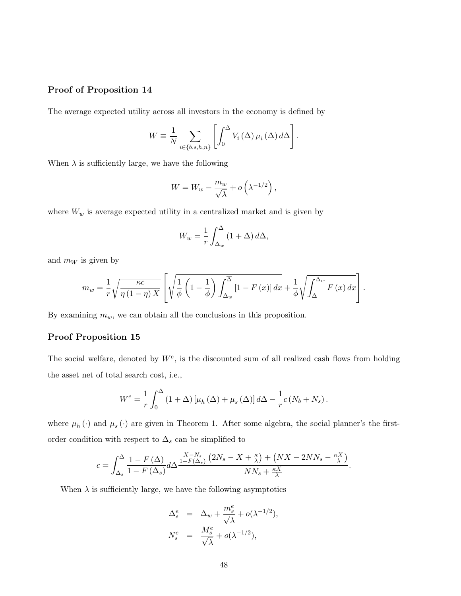### Proof of Proposition 14

The average expected utility across all investors in the economy is defined by

$$
W \equiv \frac{1}{N} \sum_{i \in \{b, s, h, n\}} \left[ \int_0^{\overline{\Delta}} V_i(\Delta) \, \mu_i(\Delta) \, d\Delta \right].
$$

When  $\lambda$  is sufficiently large, we have the following

$$
W = W_w - \frac{m_w}{\sqrt{\lambda}} + o\left(\lambda^{-1/2}\right),
$$

where  $W_w$  is average expected utility in a centralized market and is given by

$$
W_w = \frac{1}{r} \int_{\Delta_w}^{\overline{\Delta}} (1 + \Delta) d\Delta,
$$

and  $m_W$  is given by

$$
m_{w} = \frac{1}{r} \sqrt{\frac{\kappa c}{\eta \left(1-\eta\right) X}} \left[ \sqrt{\frac{1}{\phi} \left(1-\frac{1}{\phi}\right) \int_{\Delta_{w}}^{\Delta_{w}} \left[1-F\left(x\right)\right] dx} + \frac{1}{\phi} \sqrt{\int_{\Delta_{w}}^{\Delta_{w}} F\left(x\right) dx} \right].
$$

By examining  $m_w$ , we can obtain all the conclusions in this proposition.

#### Proof Proposition 15

The social welfare, denoted by  $W^e$ , is the discounted sum of all realized cash flows from holding the asset net of total search cost, i.e.,

$$
W^{e} = \frac{1}{r} \int_{0}^{\overline{\Delta}} (1 + \Delta) \left[ \mu_{h}(\Delta) + \mu_{s}(\Delta) \right] d\Delta - \frac{1}{r} c \left( N_{b} + N_{s} \right).
$$

where  $\mu_h(\cdot)$  and  $\mu_s(\cdot)$  are given in Theorem 1. After some algebra, the social planner's the firstorder condition with respect to  $\Delta_s$  can be simplified to

$$
c = \int_{\Delta_s}^{\overline{\Delta}} \frac{1 - F(\Delta)}{1 - F(\Delta_s)} d\Delta \frac{\frac{X - N_s}{1 - F(\Delta_s)} \left(2N_s - X + \frac{\kappa}{\lambda}\right) + \left(NX - 2NN_s - \frac{\kappa X}{\lambda}\right)}{NN_s + \frac{\kappa X}{\lambda}}.
$$

When  $\lambda$  is sufficiently large, we have the following asymptotics

$$
\Delta_s^e = \Delta_w + \frac{m_s^e}{\sqrt{\lambda}} + o(\lambda^{-1/2}),
$$
  

$$
N_s^e = \frac{M_s^e}{\sqrt{\lambda}} + o(\lambda^{-1/2}),
$$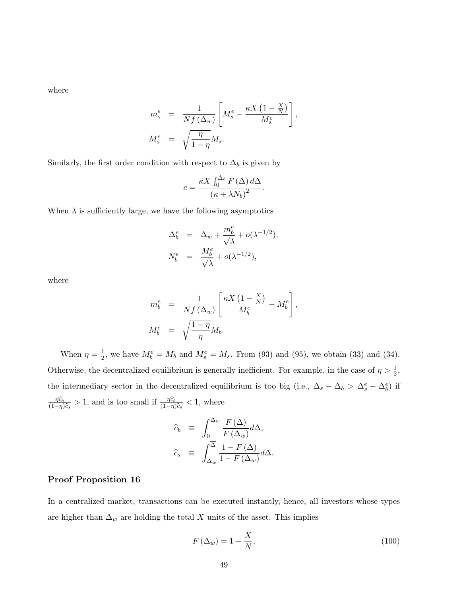where

$$
\begin{array}{rcl} m^e_s &=& \displaystyle \frac{1}{Nf\left(\Delta_w\right)} \left[ M^e_s - \frac{\kappa X\left(1-\frac{X}{N}\right)}{M^e_s} \right], \\[2ex] M^e_s &=& \displaystyle \sqrt{\frac{\eta}{1-\eta}} M_s. \end{array}
$$

Similarly, the first order condition with respect to  $\Delta_b$  is given by

$$
c = \frac{\kappa X \int_0^{\Delta_b} F(\Delta) d\Delta}{\left(\kappa + \lambda N_b\right)^2}.
$$

When  $\lambda$  is sufficiently large, we have the following asymptotics

$$
\Delta_b^e = \Delta_w + \frac{m_b^e}{\sqrt{\lambda}} + o(\lambda^{-1/2}),
$$
  

$$
N_b^e = \frac{M_b^e}{\sqrt{\lambda}} + o(\lambda^{-1/2}),
$$

where

$$
m_b^e = \frac{1}{Nf(\Delta_w)} \left[ \frac{\kappa X (1 - \frac{X}{N})}{M_b^e} - M_b^e \right],
$$
  

$$
M_b^e = \sqrt{\frac{1 - \eta}{\eta}} M_b.
$$

When  $\eta = \frac{1}{2}$  $\frac{1}{2}$ , we have  $M_b^e = M_b$  and  $M_s^e = M_s$ . From (93) and (95), we obtain (33) and (34). Otherwise, the decentralized equilibrium is generally inefficient. For example, in the case of  $\eta > \frac{1}{2}$ , the intermediary sector in the decentralized equilibrium is too big (i.e.,  $\Delta_s - \Delta_b > \Delta_s^e - \Delta_b^e$ ) if  $\frac{\eta \widehat{c}_b}{-n}$  $(1-\eta)\widehat{c}_s$  $> 1$ , and is too small if  $\frac{\eta \widehat{c}_b}{(1-\eta)}$  $\frac{\eta c_b}{(1-\eta)\widehat{c}_s} < 1$ , where

$$
\begin{array}{rcl}\n\widehat{c}_b & \equiv & \int_0^{\Delta_w} \frac{F(\Delta)}{F(\Delta_w)} d\Delta, \\
\widehat{c}_s & \equiv & \int_{\Delta_w}^{\overline{\Delta}} \frac{1 - F(\Delta)}{1 - F(\Delta_w)} d\Delta.\n\end{array}
$$

### Proof Proposition 16

In a centralized market, transactions can be executed instantly, hence, all investors whose types are higher than  $\Delta_w$  are holding the total X units of the asset. This implies

$$
F\left(\Delta_w\right) = 1 - \frac{X}{N},\tag{100}
$$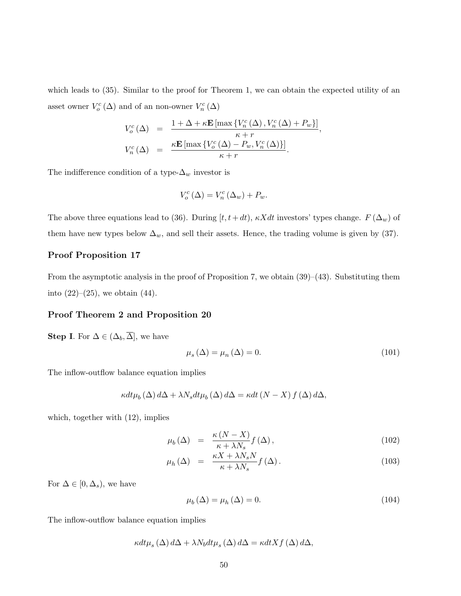which leads to (35). Similar to the proof for Theorem 1, we can obtain the expected utility of an asset owner  $V^c_o(\Delta)$  and of an non-owner  $V^c_n(\Delta)$ 

$$
V_o^c(\Delta) = \frac{1 + \Delta + \kappa \mathbf{E} \left[ \max \left\{ V_n^c(\Delta), V_n^c(\Delta) + P_w \right\} \right]}{\kappa + r},
$$
  

$$
V_n^c(\Delta) = \frac{\kappa \mathbf{E} \left[ \max \left\{ V_o^c(\Delta) - P_w, V_n^c(\Delta) \right\} \right]}{\kappa + r}.
$$

The indifference condition of a type- $\Delta_w$  investor is

$$
V_o^c(\Delta) = V_n^c(\Delta_w) + P_w.
$$

The above three equations lead to (36). During  $[t, t+dt)$ ,  $\kappa Xdt$  investors' types change.  $F(\Delta_w)$  of them have new types below  $\Delta_w$ , and sell their assets. Hence, the trading volume is given by (37).

### Proof Proposition 17

From the asymptotic analysis in the proof of Proposition 7, we obtain  $(39)–(43)$ . Substituting them into  $(22)–(25)$ , we obtain  $(44)$ .

#### Proof Theorem 2 and Proposition 20

**Step I.** For  $\Delta \in (\Delta_b, \overline{\Delta}]$ , we have

$$
\mu_s(\Delta) = \mu_n(\Delta) = 0. \tag{101}
$$

The inflow-outflow balance equation implies

$$
\kappa dt \mu_b(\Delta) d\Delta + \lambda N_s dt \mu_b(\Delta) d\Delta = \kappa dt (N - X) f(\Delta) d\Delta,
$$

which, together with (12), implies

$$
\mu_b(\Delta) = \frac{\kappa (N - X)}{\kappa + \lambda N_s} f(\Delta), \qquad (102)
$$

$$
\mu_h(\Delta) = \frac{\kappa X + \lambda N_s N}{\kappa + \lambda N_s} f(\Delta). \tag{103}
$$

For  $\Delta \in [0, \Delta_s)$ , we have

$$
\mu_b(\Delta) = \mu_h(\Delta) = 0. \tag{104}
$$

The inflow-outflow balance equation implies

$$
\kappa dt \mu_s(\Delta) d\Delta + \lambda N_b dt \mu_s(\Delta) d\Delta = \kappa dt X f(\Delta) d\Delta,
$$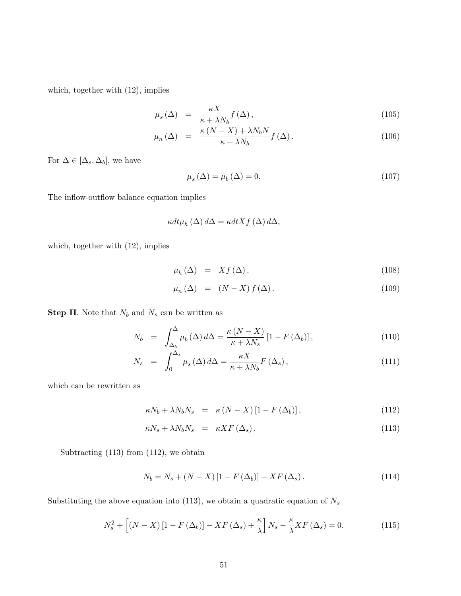which, together with (12), implies

$$
\mu_s(\Delta) = \frac{\kappa X}{\kappa + \lambda N_b} f(\Delta), \qquad (105)
$$

$$
\mu_n(\Delta) = \frac{\kappa (N - X) + \lambda N_b N}{\kappa + \lambda N_b} f(\Delta). \tag{106}
$$

For  $\Delta \in [\Delta_s, \Delta_b],$  we have

$$
\mu_s(\Delta) = \mu_b(\Delta) = 0. \tag{107}
$$

The inflow-outflow balance equation implies

$$
\kappa dt \mu_h(\Delta) d\Delta = \kappa dt X f(\Delta) d\Delta,
$$

which, together with (12), implies

$$
\mu_h(\Delta) = Xf(\Delta), \qquad (108)
$$

$$
\mu_n(\Delta) = (N - X) f(\Delta). \tag{109}
$$

**Step II.** Note that  $N_b$  and  $N_s$  can be written as

$$
N_b = \int_{\Delta_b}^{\overline{\Delta}} \mu_b(\Delta) d\Delta = \frac{\kappa (N - X)}{\kappa + \lambda N_s} \left[1 - F(\Delta_b)\right],
$$
\n(110)

$$
N_s = \int_0^{\Delta_s} \mu_s(\Delta) d\Delta = \frac{\kappa X}{\kappa + \lambda N_b} F(\Delta_s), \qquad (111)
$$

which can be rewritten as

$$
\kappa N_b + \lambda N_b N_s = \kappa (N - X) [1 - F(\Delta_b)], \qquad (112)
$$

$$
\kappa N_s + \lambda N_b N_s = \kappa X F(\Delta_s). \tag{113}
$$

Subtracting  $(113)$  from  $(112)$ , we obtain

$$
N_b = N_s + (N - X) \left[ 1 - F\left(\Delta_b\right) \right] - XF\left(\Delta_s\right). \tag{114}
$$

Substituting the above equation into (113), we obtain a quadratic equation of  $N_s$ 

$$
N_s^2 + \left[ (N - X) \left[ 1 - F \left( \Delta_b \right) \right] - X F \left( \Delta_s \right) + \frac{\kappa}{\lambda} \right] N_s - \frac{\kappa}{\lambda} X F \left( \Delta_s \right) = 0. \tag{115}
$$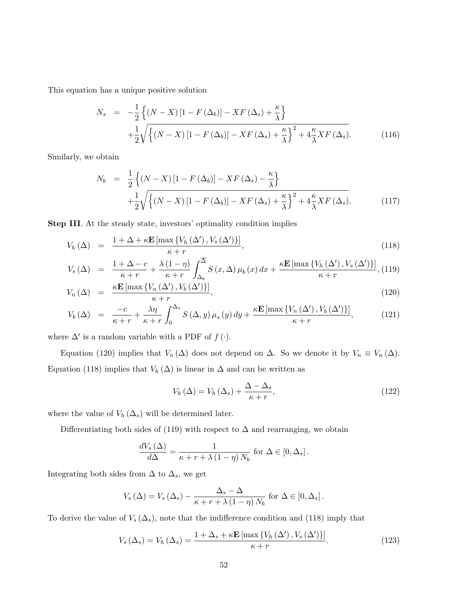This equation has a unique positive solution

$$
N_s = -\frac{1}{2} \left\{ (N - X) \left[ 1 - F(\Delta_b) \right] - XF(\Delta_s) + \frac{\kappa}{\lambda} \right\}
$$
  
+ 
$$
\frac{1}{2} \sqrt{\left\{ (N - X) \left[ 1 - F(\Delta_b) \right] - XF(\Delta_s) + \frac{\kappa}{\lambda} \right\}^2 + 4 \frac{\kappa}{\lambda} XF(\Delta_s).}
$$
(116)

Similarly, we obtain

$$
N_b = \frac{1}{2} \left\{ (N - X) \left[ 1 - F(\Delta_b) \right] - XF(\Delta_s) - \frac{\kappa}{\lambda} \right\} + \frac{1}{2} \sqrt{\left\{ (N - X) \left[ 1 - F(\Delta_b) \right] - XF(\Delta_s) + \frac{\kappa}{\lambda} \right\}^2 + 4 \frac{\kappa}{\lambda} XF(\Delta_s)}.
$$
 (117)

Step III. At the steady state, investors' optimality condition implies

$$
V_h(\Delta) = \frac{1 + \Delta + \kappa \mathbf{E} \left[ \max \left\{ V_h(\Delta'), V_s(\Delta') \right\} \right]}{\kappa + r},\tag{118}
$$

$$
V_s(\Delta) = \frac{1 + \Delta - c}{\kappa + r} + \frac{\lambda (1 - \eta)}{\kappa + r} \int_{\Delta_b}^{\overline{\Delta}} S(x, \Delta) \mu_b(x) dx + \frac{\kappa \mathbf{E} [\max \{ V_h(\Delta'), V_s(\Delta') \}]}{\kappa + r}, (119)
$$

$$
V_n(\Delta) = \frac{\kappa \mathbf{E} \left[ \max \left\{ V_n \left( \Delta' \right), V_b \left( \Delta' \right) \right\} \right]}{\kappa + r},\tag{120}
$$

$$
V_b(\Delta) = \frac{-c}{\kappa + r} + \frac{\lambda \eta}{\kappa + r} \int_0^{\Delta_s} S(\Delta, y) \mu_s(y) dy + \frac{\kappa \mathbf{E} \left[ \max \left\{ V_n(\Delta'), V_b(\Delta') \right\} \right]}{\kappa + r}, \tag{121}
$$

where  $\Delta'$  is a random variable with a PDF of  $f(\cdot)$ .

Equation (120) implies that  $V_n(\Delta)$  does not depend on  $\Delta$ . So we denote it by  $V_n \equiv V_n(\Delta)$ . Equation (118) implies that  $V_h(\Delta)$  is linear in  $\Delta$  and can be written as

$$
V_h(\Delta) = V_h(\Delta_s) + \frac{\Delta - \Delta_s}{\kappa + r},\tag{122}
$$

where the value of  $V_h(\Delta_s)$  will be determined later.

Differentiating both sides of (119) with respect to  $\Delta$  and rearranging, we obtain

$$
\frac{dV_s(\Delta)}{d\Delta} = \frac{1}{\kappa + r + \lambda (1 - \eta) N_b}
$$
 for  $\Delta \in [0, \Delta_s]$ .

Integrating both sides from  $\Delta$  to  $\Delta_s$ , we get

$$
V_s(\Delta) = V_s(\Delta_s) - \frac{\Delta_s - \Delta}{\kappa + r + \lambda (1 - \eta) N_b}
$$
 for  $\Delta \in [0, \Delta_s]$ .

To derive the value of  $V_s(\Delta_s)$ , note that the indifference condition and (118) imply that

$$
V_s(\Delta_s) = V_h(\Delta_s) = \frac{1 + \Delta_s + \kappa \mathbf{E} \left[ \max \left\{ V_h(\Delta'), V_s(\Delta') \right\} \right]}{\kappa + r}.
$$
\n(123)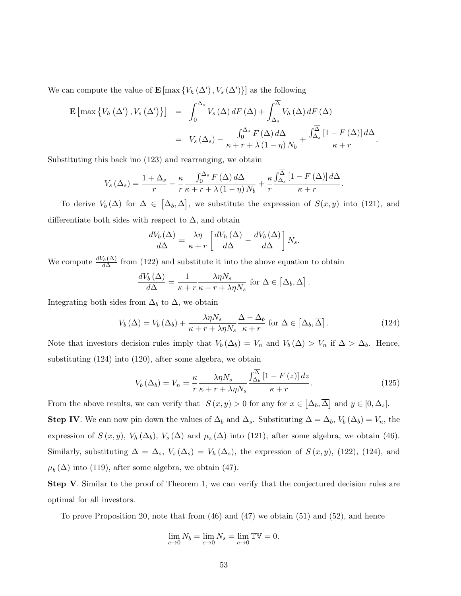We can compute the value of  $\mathbf{E} \left[ \max \left\{ V_h \left( \Delta' \right), V_s \left( \Delta' \right) \right\} \right]$  as the following

$$
\mathbf{E} \left[ \max \left\{ V_h \left( \Delta' \right), V_s \left( \Delta' \right) \right\} \right] = \int_0^{\Delta_s} V_s \left( \Delta \right) dF \left( \Delta \right) + \int_{\Delta_s}^{\overline{\Delta}} V_h \left( \Delta \right) dF \left( \Delta \right)
$$

$$
= V_s \left( \Delta_s \right) - \frac{\int_0^{\Delta_s} F \left( \Delta \right) d\Delta}{\kappa + r + \lambda \left( 1 - \eta \right) N_b} + \frac{\int_{\Delta_s}^{\overline{\Delta}} \left[ 1 - F \left( \Delta \right) \right] d\Delta}{\kappa + r}.
$$

Substituting this back ino (123) and rearranging, we obtain

$$
V_s(\Delta_s) = \frac{1 + \Delta_s}{r} - \frac{\kappa}{r} \frac{\int_0^{\Delta_s} F(\Delta) d\Delta}{\kappa + r + \lambda (1 - \eta) N_b} + \frac{\kappa}{r} \frac{\int_{\Delta_s}^{\Delta} [1 - F(\Delta)] d\Delta}{\kappa + r}
$$

To derive  $V_b(\Delta)$  for  $\Delta \in [\Delta_b, \overline{\Delta}]$ , we substitute the expression of  $S(x, y)$  into (121), and differentiate both sides with respect to  $\Delta$ , and obtain

$$
\frac{dV_b\left(\Delta\right)}{d\Delta} = \frac{\lambda \eta}{\kappa + r} \left[ \frac{dV_h\left(\Delta\right)}{d\Delta} - \frac{dV_b\left(\Delta\right)}{d\Delta} \right] N_s.
$$

We compute  $\frac{dV_h(\Delta)}{d\Delta}$  from (122) and substitute it into the above equation to obtain

$$
\frac{dV_b(\Delta)}{d\Delta} = \frac{1}{\kappa + r} \frac{\lambda \eta N_s}{\kappa + r + \lambda \eta N_s} \text{ for } \Delta \in [\Delta_b, \overline{\Delta}].
$$

Integrating both sides from  $\Delta_b$  to  $\Delta$ , we obtain

$$
V_b(\Delta) = V_b(\Delta_b) + \frac{\lambda \eta N_s}{\kappa + r + \lambda \eta N_s} \frac{\Delta - \Delta_b}{\kappa + r} \text{ for } \Delta \in [\Delta_b, \overline{\Delta}]. \tag{124}
$$

.

Note that investors decision rules imply that  $V_b(\Delta_b) = V_n$  and  $V_b(\Delta) > V_n$  if  $\Delta > \Delta_b$ . Hence, substituting (124) into (120), after some algebra, we obtain

$$
V_b\left(\Delta_b\right) = V_n = \frac{\kappa}{r} \frac{\lambda \eta N_s}{\kappa + r + \lambda \eta N_s} \frac{\int_{\Delta_b}^{\Delta} \left[1 - F\left(z\right)\right] dz}{\kappa + r}.\tag{125}
$$

From the above results, we can verify that  $S(x, y) > 0$  for any for  $x \in [\Delta_b, \overline{\Delta}]$  and  $y \in [0, \Delta_s]$ . **Step IV**. We can now pin down the values of  $\Delta_b$  and  $\Delta_s$ . Substituting  $\Delta = \Delta_b$ ,  $V_b(\Delta_b) = V_n$ , the expression of  $S(x, y)$ ,  $V_h(\Delta_b)$ ,  $V_s(\Delta)$  and  $\mu_s(\Delta)$  into (121), after some algebra, we obtain (46). Similarly, substituting  $\Delta = \Delta_s$ ,  $V_s(\Delta_s) = V_h(\Delta_s)$ , the expression of  $S(x, y)$ , (122), (124), and  $\mu_b(\Delta)$  into (119), after some algebra, we obtain (47).

Step V. Similar to the proof of Theorem 1, we can verify that the conjectured decision rules are optimal for all investors.

To prove Proposition 20, note that from (46) and (47) we obtain (51) and (52), and hence

$$
\lim_{c \to 0} N_b = \lim_{c \to 0} N_s = \lim_{c \to 0} \mathbb{TV} = 0.
$$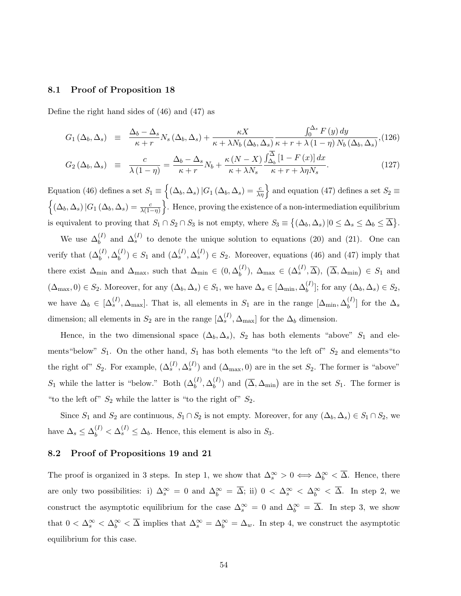#### 8.1 Proof of Proposition 18

Define the right hand sides of (46) and (47) as

$$
G_1(\Delta_b, \Delta_s) \equiv \frac{\Delta_b - \Delta_s}{\kappa + r} N_s(\Delta_b, \Delta_s) + \frac{\kappa X}{\kappa + \lambda N_b(\Delta_b, \Delta_s)} \frac{\int_0^{\Delta_s} F(y) dy}{\kappa + r + \lambda (1 - \eta) N_b(\Delta_b, \Delta_s)},
$$
\n
$$
G_2(\Delta_b, \Delta_s) \equiv \frac{c}{\kappa + r} = \frac{\Delta_b - \Delta_s}{\Delta_b N_b} N_b + \frac{\kappa (N - X)}{\Delta_b} \frac{\int_{\Delta_b}^{\Delta} [1 - F(x)] dx}{\Delta_b N_b}.
$$
\n(127)

$$
G_2\left(\Delta_b, \Delta_s\right) \equiv \frac{c}{\lambda\left(1-\eta\right)} = \frac{\Delta_b - \Delta_s}{\kappa + r} N_b + \frac{\kappa\left(N - \Lambda\right)}{\kappa + \lambda N_s} \frac{J_{\Delta_b}\left(1 - \frac{1}{\kappa}\right) \Delta_s}{\kappa + r + \lambda \eta N_s}.
$$
\n(127)

Equation (46) defines a set  $S_1 \equiv \left\{ (\Delta_b, \Delta_s) | G_1 (\Delta_b, \Delta_s) = \frac{c}{\lambda \eta} \right\}$  and equation (47) defines a set  $S_2 \equiv$  $\left\{ (\Delta_b, \Delta_s) | G_1 (\Delta_b, \Delta_s) = \frac{c}{\lambda(1-\eta)} \right\}$ . Hence, proving the existence of a non-intermediation equilibrium is equivalent to proving that  $S_1 \cap S_2 \cap S_3$  is not empty, where  $S_3 \equiv \{(\Delta_b, \Delta_s) | 0 \leq \Delta_s \leq \Delta_b \leq \overline{\Delta}\}.$ 

We use  $\Delta_b^{(I)}$  and  $\Delta_s^{(I)}$  to denote the unique solution to equations (20) and (21). One can verify that  $(\Delta_b^{(I)}, \Delta_b^{(I)})$  $b_b^{(I)}$ )  $\in S_1$  and  $(\Delta_s^{(I)}, \Delta_s^{(I)}) \in S_2$ . Moreover, equations (46) and (47) imply that there exist  $\Delta_{\min}$  and  $\Delta_{\max}$ , such that  $\Delta_{\min} \in (0, \Delta_b^{(I)})$  $\delta_b^{(I)}$ ),  $\Delta_{\text{max}} \in (\Delta_s^{(I)}, \overline{\Delta})$ ,  $(\overline{\Delta}, \Delta_{\text{min}}) \in S_1$  and  $(\Delta_{\text{max}}, 0) \in S_2$ . Moreover, for any  $(\Delta_b, \Delta_s) \in S_1$ , we have  $\Delta_s \in [\Delta_{\text{min}}, \Delta_b^{(I)}]$  $\left\{ \begin{matrix} (I) \\ b \end{matrix} \right\}$ ; for any  $(\Delta_b, \Delta_s) \in S_2$ , we have  $\Delta_b \in [\Delta_s^{(I)}, \Delta_{\text{max}}]$ . That is, all elements in  $S_1$  are in the range  $[\Delta_{\text{min}}, \Delta_b^{(I)}]$  $\big[\begin{smallmatrix} 1 & \\ b \end{smallmatrix}\big]$  for the  $\Delta_s$ dimension; all elements in  $S_2$  are in the range  $[\Delta_s^{(I)}, \Delta_{\text{max}}]$  for the  $\Delta_b$  dimension.

Hence, in the two dimensional space  $(\Delta_b, \Delta_s)$ ,  $S_2$  has both elements "above"  $S_1$  and elements "below"  $S_1$ . On the other hand,  $S_1$  has both elements "to the left of"  $S_2$  and elements "to the right of"  $S_2$ . For example,  $(\Delta_s^{(I)}, \Delta_s^{(I)})$  and  $(\Delta_{\text{max}}, 0)$  are in the set  $S_2$ . The former is "above"  $S_1$  while the latter is "below." Both  $(\Delta_b^{(I)}, \Delta_b^{(I)})$  $\binom{I}{b}$  and  $\left(\overline{\Delta}, \Delta_{\min}\right)$  are in the set  $S_1$ . The former is "to the left of"  $S_2$  while the latter is "to the right of"  $S_2$ .

Since  $S_1$  and  $S_2$  are continuous,  $S_1 \cap S_2$  is not empty. Moreover, for any  $(\Delta_b, \Delta_s) \in S_1 \cap S_2$ , we have  $\Delta_s \leq \Delta_b^{(I)} < \Delta_s^{(I)} \leq \Delta_b$ . Hence, this element is also in  $S_3$ .

### 8.2 Proof of Propositions 19 and 21

The proof is organized in 3 steps. In step 1, we show that  $\Delta_s^{\infty} > 0 \iff \Delta_b^{\infty} < \overline{\Delta}$ . Hence, there are only two possibilities: i)  $\Delta_s^{\infty} = 0$  and  $\Delta_b^{\infty} = \overline{\Delta}$ ; ii)  $0 < \Delta_s^{\infty} < \Delta_b^{\infty} < \overline{\Delta}$ . In step 2, we construct the asymptotic equilibrium for the case  $\Delta_s^{\infty} = 0$  and  $\Delta_b^{\infty} = \overline{\Delta}$ . In step 3, we show that  $0 < \Delta_s^{\infty} < \Delta_b^{\infty} < \overline{\Delta}$  implies that  $\Delta_s^{\infty} = \Delta_b^{\infty} = \Delta_w$ . In step 4, we construct the asymptotic equilibrium for this case.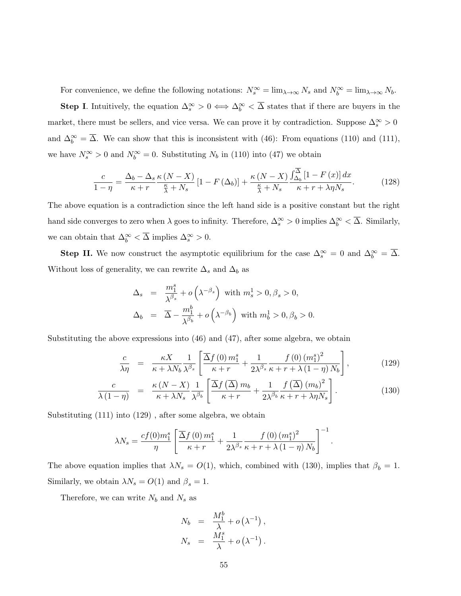For convenience, we define the following notations:  $N_s^{\infty} = \lim_{\lambda \to \infty} N_s$  and  $N_b^{\infty} = \lim_{\lambda \to \infty} N_b$ .

**Step I**. Intuitively, the equation  $\Delta_s^{\infty} > 0 \iff \Delta_b^{\infty} < \overline{\Delta}$  states that if there are buyers in the market, there must be sellers, and vice versa. We can prove it by contradiction. Suppose  $\Delta_s^{\infty} > 0$ and  $\Delta_b^{\infty} = \overline{\Delta}$ . We can show that this is inconsistent with (46): From equations (110) and (111), we have  $N_s^{\infty} > 0$  and  $N_b^{\infty} = 0$ . Substituting  $N_b$  in (110) into (47) we obtain

$$
\frac{c}{1-\eta} = \frac{\Delta_b - \Delta_s \kappa (N - X)}{\kappa + r} \left[1 - F(\Delta_b)\right] + \frac{\kappa (N - X)}{\frac{\kappa}{\lambda} + N_s} \frac{\int_{\Delta_b}^{\Delta} \left[1 - F(x)\right] dx}{\kappa + r + \lambda \eta N_s}.
$$
(128)

The above equation is a contradiction since the left hand side is a positive constant but the right hand side converges to zero when  $\lambda$  goes to infinity. Therefore,  $\Delta_s^{\infty} > 0$  implies  $\Delta_b^{\infty} < \overline{\Delta}$ . Similarly, we can obtain that  $\Delta_b^{\infty} < \overline{\Delta}$  implies  $\Delta_s^{\infty} > 0$ .

**Step II.** We now construct the asymptotic equilibrium for the case  $\Delta_s^{\infty} = 0$  and  $\Delta_b^{\infty} = \overline{\Delta}$ . Without loss of generality, we can rewrite  $\Delta_s$  and  $\Delta_b$  as

$$
\begin{array}{rcl} \Delta_s & = & \displaystyle \frac{m_1^s}{\lambda^{\beta_s}} + o\left(\lambda^{-\beta_s}\right) \text{ with } m_s^1 > 0, \beta_s > 0, \\[2ex] \Delta_b & = & \displaystyle \overline{\Delta} - \frac{m_1^b}{\lambda^{\beta_b}} + o\left(\lambda^{-\beta_b}\right) \text{ with } m_b^1 > 0, \beta_b > 0. \end{array}
$$

Substituting the above expressions into  $(46)$  and  $(47)$ , after some algebra, we obtain

$$
\frac{c}{\lambda \eta} = \frac{\kappa X}{\kappa + \lambda N_b} \frac{1}{\lambda^{\beta_s}} \left[ \frac{\overline{\Delta} f(0) \, m_1^s}{\kappa + r} + \frac{1}{2 \lambda^{\beta_s}} \frac{f(0) \, (m_1^s)^2}{\kappa + r + \lambda \, (1 - \eta) \, N_b} \right],\tag{129}
$$

.

$$
\frac{c}{\lambda(1-\eta)} = \frac{\kappa (N-X)}{\kappa + \lambda N_s} \frac{1}{\lambda^{\beta_b}} \left[ \frac{\overline{\Delta}f(\overline{\Delta}) m_b}{\kappa + r} + \frac{1}{2\lambda^{\beta_b}} \frac{f(\overline{\Delta}) (m_b)^2}{\kappa + r + \lambda \eta N_s} \right].
$$
\n(130)

Substituting (111) into (129) , after some algebra, we obtain

$$
\lambda N_s = \frac{cf(0)m_1^s}{\eta} \left[ \frac{\overline{\Delta}f(0) m_1^s}{\kappa + r} + \frac{1}{2\lambda^{\beta_s}} \frac{f(0) (m_1^s)^2}{\kappa + r + \lambda (1 - \eta) N_b} \right]^{-1}
$$

The above equation implies that  $\lambda N_s = O(1)$ , which, combined with (130), implies that  $\beta_b = 1$ . Similarly, we obtain  $\lambda N_s = O(1)$  and  $\beta_s = 1$ .

Therefore, we can write  $N_b$  and  $N_s$  as

$$
N_b = \frac{M_1^b}{\lambda} + o(\lambda^{-1}),
$$
  

$$
N_s = \frac{M_1^s}{\lambda} + o(\lambda^{-1}).
$$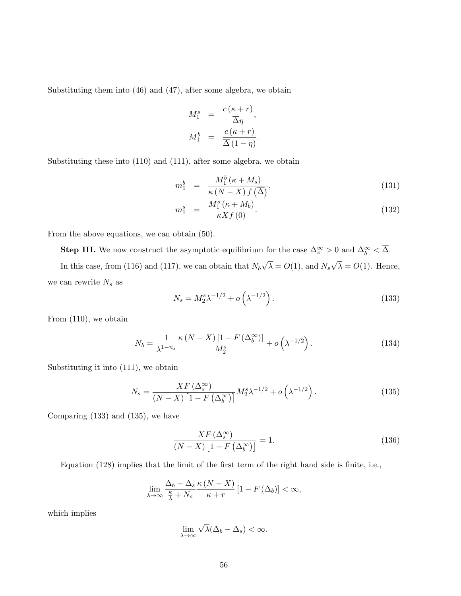Substituting them into (46) and (47), after some algebra, we obtain

$$
M_1^s = \frac{c(\kappa + r)}{\overline{\Delta}\eta},
$$
  

$$
M_1^b = \frac{c(\kappa + r)}{\overline{\Delta}(1 - \eta)}.
$$

Substituting these into (110) and (111), after some algebra, we obtain

$$
m_1^b = \frac{M_1^b(\kappa + M_s)}{\kappa (N - X) f(\overline{\Delta})},\tag{131}
$$

$$
m_1^s = \frac{M_1^s (\kappa + M_b)}{\kappa X f(0)}.
$$
\n(132)

From the above equations, we can obtain (50).

**Step III.** We now construct the asymptotic equilibrium for the case  $\Delta_s^{\infty} > 0$  and  $\Delta_b^{\infty} < \overline{\Delta}$ . In this case, from (116) and (117), we can obtain that  $N_b$ √  $\lambda = O(1)$ , and  $N_s$ √  $\lambda = O(1)$ . Hence, we can rewrite  $N_s$  as

$$
N_s = M_2^s \lambda^{-1/2} + o\left(\lambda^{-1/2}\right). \tag{133}
$$

From (110), we obtain

$$
N_b = \frac{1}{\lambda^{1-n_s}} \frac{\kappa \left( N - X \right) \left[ 1 - F \left( \Delta_b^{\infty} \right) \right]}{M_2^s} + o\left( \lambda^{-1/2} \right). \tag{134}
$$

Substituting it into (111), we obtain

$$
N_s = \frac{XF \left(\Delta_s^{\infty}\right)}{\left(N - X\right)\left[1 - F\left(\Delta_b^{\infty}\right)\right]} M_2^s \lambda^{-1/2} + o\left(\lambda^{-1/2}\right). \tag{135}
$$

Comparing (133) and (135), we have

$$
\frac{XF\left(\Delta_s^{\infty}\right)}{\left(N - X\right)\left[1 - F\left(\Delta_b^{\infty}\right)\right]} = 1.
$$
\n(136)

Equation (128) implies that the limit of the first term of the right hand side is finite, i.e.,

$$
\lim_{\lambda \to \infty} \frac{\Delta_b - \Delta_s}{\frac{\kappa}{\lambda} + N_s} \frac{\kappa (N - X)}{\kappa + r} \left[ 1 - F(\Delta_b) \right] < \infty,
$$

which implies

$$
\lim_{\lambda \to \infty} \sqrt{\lambda} (\Delta_b - \Delta_s) < \infty.
$$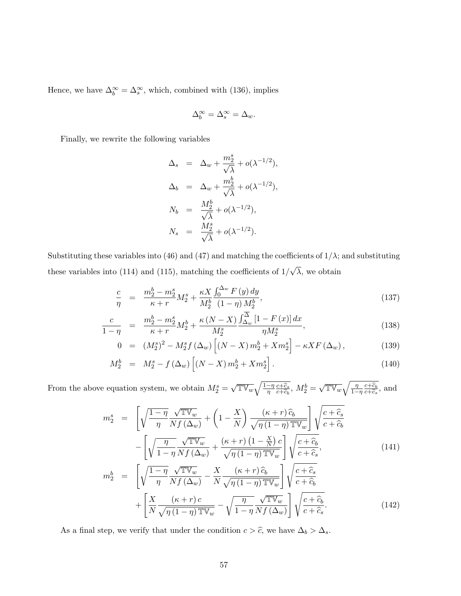Hence, we have  $\Delta_b^{\infty} = \Delta_s^{\infty}$ , which, combined with (136), implies

$$
\Delta_b^\infty=\Delta_s^\infty=\Delta_w.
$$

Finally, we rewrite the following variables

$$
\Delta_s = \Delta_w + \frac{m_2^s}{\sqrt{\lambda}} + o(\lambda^{-1/2}),
$$
  
\n
$$
\Delta_b = \Delta_w + \frac{m_2^b}{\sqrt{\lambda}} + o(\lambda^{-1/2}),
$$
  
\n
$$
N_b = \frac{M_2^b}{\sqrt{\lambda}} + o(\lambda^{-1/2}),
$$
  
\n
$$
N_s = \frac{M_2^s}{\sqrt{\lambda}} + o(\lambda^{-1/2}).
$$

Substituting these variables into (46) and (47) and matching the coefficients of  $1/\lambda$ ; and substituting these variables into  $(114)$  and  $(115)$ , matching the coefficients of  $1/$ √  $\lambda$ , we obtain

$$
\frac{c}{\eta} = \frac{m_2^b - m_2^s}{\kappa + r} M_2^s + \frac{\kappa X}{M_2^b} \frac{\int_0^{\Delta_w} F(y) \, dy}{(1 - \eta) M_2^b},\tag{137}
$$

$$
\frac{c}{1-\eta} = \frac{m_2^b - m_2^s}{\kappa + r} M_2^b + \frac{\kappa (N-X)}{M_2^s} \frac{\int_{\Delta_w}^{\Delta} [1 - F(x)] dx}{\eta M_2^s},
$$
\n(138)

$$
0 = (M_2^s)^2 - M_2^s f(\Delta_w) \left[ (N - X) m_2^b + X m_2^s \right] - \kappa X F(\Delta_w), \tag{139}
$$

$$
M_2^b = M_2^s - f(\Delta_w) \left[ (N - X) m_2^b + X m_2^s \right].
$$
 (140)

From the above equation system, we obtain  $M_2^s =$  $\sqrt{\mathbb{TV}_w} \sqrt{\frac{1-\eta}{\eta} \frac{c+\widehat{c}_s}{c+\widehat{c}_b}}$  $\frac{c+\widehat{c}_s}{c+\widehat{c}_b}, M_2^b =$  $\sqrt{\mathbb{TV}_w} \sqrt{\frac{\eta}{1-\eta} \frac{c+\widehat{c}_b}{c+\widehat{c}_s}}$  $rac{c+c_b}{c+\widehat{c}_s}$ , and

$$
m_2^s = \left[ \sqrt{\frac{1-\eta}{\eta}} \frac{\sqrt{\mathbb{TV}_w}}{Nf(\Delta_w)} + \left( 1 - \frac{X}{N} \right) \frac{(\kappa + r)\,\hat{c}_b}{\sqrt{\eta \,(1-\eta)\,\mathbb{TV}_w}} \right] \sqrt{\frac{c + \widehat{c}_s}{c + \widehat{c}_b}} - \left[ \sqrt{\frac{\eta}{1-\eta} \frac{\sqrt{\mathbb{TV}_w}}{Nf(\Delta_w)} + \frac{(\kappa + r)\,(1 - \frac{X}{N})\,c}{\sqrt{\eta \,(1-\eta)\,\mathbb{TV}_w}} \right] \sqrt{\frac{c + \widehat{c}_b}{c + \widehat{c}_s}},\tag{141}
$$

$$
m_2^b = \left[ \sqrt{\frac{1-\eta}{\eta}} \frac{\sqrt{\mathbb{TV}_w}}{Nf(\Delta_w)} - \frac{X}{N} \frac{(\kappa+r)\hat{c}_b}{\sqrt{\eta(1-\eta)\mathbb{TV}_w}} \right] \sqrt{\frac{c+\hat{c}_s}{c+\hat{c}_b}} + \left[ \frac{X}{N} \frac{(\kappa+r)c}{\sqrt{\eta(1-\eta)\mathbb{TV}_w}} - \sqrt{\frac{\eta}{1-\eta}} \frac{\sqrt{\mathbb{TV}_w}}{Nf(\Delta_w)} \right] \sqrt{\frac{c+\hat{c}_b}{c+\hat{c}_s}}.
$$
(142)

As a final step, we verify that under the condition  $c > \hat{c}$ , we have  $\Delta_b > \Delta_s$ .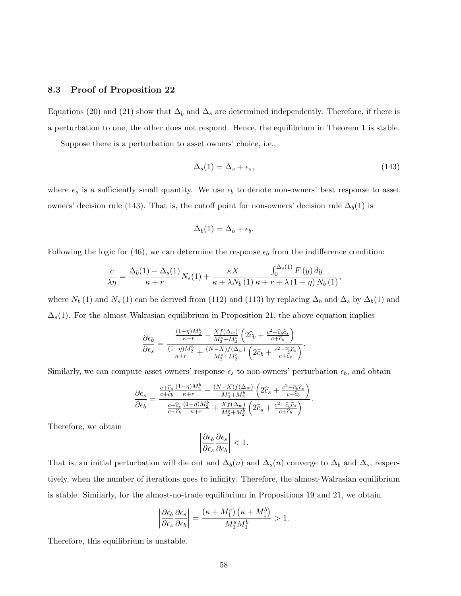#### 8.3 Proof of Proposition 22

Equations (20) and (21) show that  $\Delta_b$  and  $\Delta_s$  are determined independently. Therefore, if there is a perturbation to one, the other does not respond. Hence, the equilibrium in Theorem 1 is stable.

Suppose there is a perturbation to asset owners' choice, i.e.,

$$
\Delta_s(1) = \Delta_s + \epsilon_s,\tag{143}
$$

where  $\epsilon_s$  is a sufficiently small quantity. We use  $\epsilon_b$  to denote non-owners' best response to asset owners' decision rule (143). That is, the cutoff point for non-owners' decision rule  $\Delta_b(1)$  is

$$
\Delta_b(1) = \Delta_b + \epsilon_b.
$$

Following the logic for (46), we can determine the response  $\epsilon_b$  from the indifference condition:

$$
\frac{c}{\lambda \eta} = \frac{\Delta_b(1) - \Delta_s(1)}{\kappa + r} N_s(1) + \frac{\kappa X}{\kappa + \lambda N_b(1)} \frac{\int_0^{\Delta_s(1)} F(y) dy}{\kappa + r + \lambda (1 - \eta) N_b(1)},
$$

where  $N_b (1)$  and  $N_s (1)$  can be derived from (112) and (113) by replacing  $\Delta_b$  and  $\Delta_s$  by  $\Delta_b (1)$  and  $\Delta_s(1)$ . For the almost-Walrasian equilibrium in Proposition 21, the above equation implies

$$
\frac{\partial \epsilon_b}{\partial \epsilon_s} = \frac{\frac{(1-\eta)M_2^b}{\kappa+r} - \frac{Xf(\Delta_w)}{M_2^s + M_2^b} \left(2\widehat{c}_b + \frac{c^2 - \widehat{c}_b \widehat{c}_s}{c + \widehat{c}_s}\right)}{\frac{(1-\eta)M_2^b}{\kappa+r} + \frac{(N-X)f(\Delta_w)}{M_2^s + M_2^b} \left(2\widehat{c}_b + \frac{c^2 - \widehat{c}_b \widehat{c}_s}{c + \widehat{c}_s}\right)}.
$$

Similarly, we can compute asset owners' response  $\epsilon_s$  to non-owners' perturbation  $\epsilon_b$ , and obtain

$$
\frac{\partial \epsilon_s}{\partial \epsilon_b} = \frac{\frac{c + \widehat{c}_s}{c + \widehat{c}_b} \frac{(1-\eta)M_2^b}{\kappa + r} - \frac{(N-X)f(\Delta_w)}{M_2^s + M_2^b} \left(2\widehat{c}_s + \frac{c^2 - \widehat{c}_b \widehat{c}_s}{c + \widehat{c}_b}\right)}{\frac{c + \widehat{c}_s}{c + \widehat{c}_b} \frac{(1-\eta)M_2^b}{\kappa + r} + \frac{Xf(\Delta_w)}{M_2^s + M_2^b} \left(2\widehat{c}_s + \frac{c^2 - \widehat{c}_b \widehat{c}_s}{c + \widehat{c}_b}\right)}.
$$

Therefore, we obtain

$$
\left|\frac{\partial \epsilon_b}{\partial \epsilon_s} \frac{\partial \epsilon_s}{\partial \epsilon_b}\right| < 1.
$$

That is, an initial perturbation will die out and  $\Delta_b(n)$  and  $\Delta_s(n)$  converge to  $\Delta_b$  and  $\Delta_s$ , respectively, when the number of iterations goes to infinity. Therefore, the almost-Walrasian equilibrium is stable. Similarly, for the almost-no-trade equilibrium in Propositions 19 and 21, we obtain

$$
\left| \frac{\partial \epsilon_b}{\partial \epsilon_s} \frac{\partial \epsilon_s}{\partial \epsilon_b} \right| = \frac{(\kappa + M_1^s) (\kappa + M_1^b)}{M_1^s M_1^b} > 1.
$$

Therefore, this equilibrium is unstable.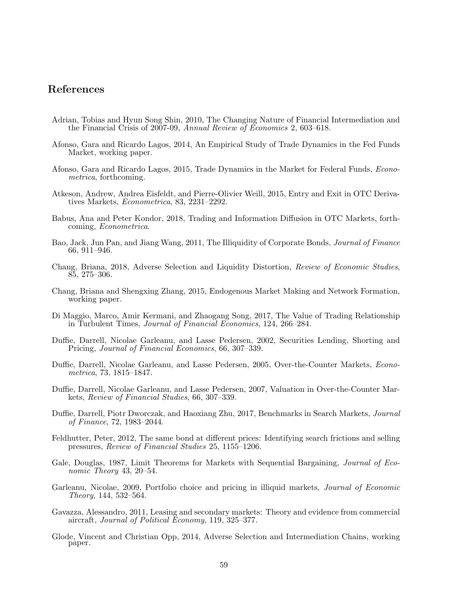## References

- Adrian, Tobias and Hyun Song Shin, 2010, The Changing Nature of Financial Intermediation and the Financial Crisis of 2007-09, Annual Review of Economics 2, 603–618.
- Afonso, Gara and Ricardo Lagos, 2014, An Empirical Study of Trade Dynamics in the Fed Funds Market, working paper.
- Afonso, Gara and Ricardo Lagos, 2015, Trade Dynamics in the Market for Federal Funds, Econometrica, forthcoming.
- Atkeson, Andrew, Andrea Eisfeldt, and Pierre-Olivier Weill, 2015, Entry and Exit in OTC Derivatives Markets, Econometrica, 83, 2231–2292.
- Babus, Ana and Peter Kondor, 2018, Trading and Information Diffusion in OTC Markets, forthcoming, Econometrica.
- Bao, Jack, Jun Pan, and Jiang Wang, 2011, The Illiquidity of Corporate Bonds, *Journal of Finance* 66, 911–946.
- Chang, Briana, 2018, Adverse Selection and Liquidity Distortion, Review of Economic Studies, 85, 275–306.
- Chang, Briana and Shengxing Zhang, 2015, Endogenous Market Making and Network Formation, working paper.
- Di Maggio, Marco, Amir Kermani, and Zhaogang Song, 2017, The Value of Trading Relationship in Turbulent Times, Journal of Financial Economics, 124, 266–284.
- Duffie, Darrell, Nicolae Garleanu, and Lasse Pedersen, 2002, Securities Lending, Shorting and Pricing, Journal of Financial Economics, 66, 307–339.
- Duffie, Darrell, Nicolae Garleanu, and Lasse Pedersen, 2005, Over-the-Counter Markets, Econometrica, 73, 1815–1847.
- Duffie, Darrell, Nicolae Garleanu, and Lasse Pedersen, 2007, Valuation in Over-the-Counter Markets, Review of Financial Studies, 66, 307–339.
- Duffie, Darrell, Piotr Dworczak, and Haoxiang Zhu, 2017, Benchmarks in Search Markets, Journal of Finance, 72, 1983–2044.
- Feldhutter, Peter, 2012, The same bond at different prices: Identifying search frictions and selling pressures, Review of Financial Studies 25, 1155–1206.
- Gale, Douglas, 1987, Limit Theorems for Markets with Sequential Bargaining, Journal of Economic Theory 43, 20–54.
- Garleanu, Nicolae, 2009, Portfolio choice and pricing in illiquid markets, *Journal of Economic* Theory, 144, 532–564.
- Gavazza, Alessandro, 2011, Leasing and secondary markets: Theory and evidence from commercial aircraft, Journal of Political Economy, 119, 325–377.
- Glode, Vincent and Christian Opp, 2014, Adverse Selection and Intermediation Chains, working paper.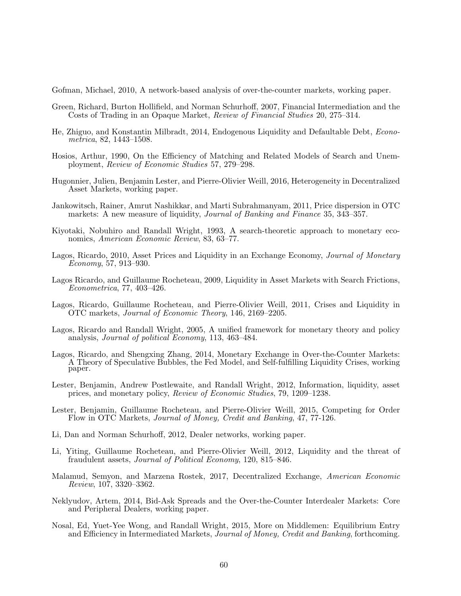Gofman, Michael, 2010, A network-based analysis of over-the-counter markets, working paper.

- Green, Richard, Burton Hollifield, and Norman Schurhoff, 2007, Financial Intermediation and the Costs of Trading in an Opaque Market, Review of Financial Studies 20, 275–314.
- He, Zhiguo, and Konstantin Milbradt, 2014, Endogenous Liquidity and Defaultable Debt, Econometrica, 82, 1443–1508.
- Hosios, Arthur, 1990, On the Efficiency of Matching and Related Models of Search and Unemployment, Review of Economic Studies 57, 279–298.
- Hugonnier, Julien, Benjamin Lester, and Pierre-Olivier Weill, 2016, Heterogeneity in Decentralized Asset Markets, working paper.
- Jankowitsch, Rainer, Amrut Nashikkar, and Marti Subrahmanyam, 2011, Price dispersion in OTC markets: A new measure of liquidity, *Journal of Banking and Finance* 35, 343–357.
- Kiyotaki, Nobuhiro and Randall Wright, 1993, A search-theoretic approach to monetary economics, American Economic Review, 83, 63–77.
- Lagos, Ricardo, 2010, Asset Prices and Liquidity in an Exchange Economy, Journal of Monetary Economy, 57, 913–930.
- Lagos Ricardo, and Guillaume Rocheteau, 2009, Liquidity in Asset Markets with Search Frictions, Econometrica, 77, 403–426.
- Lagos, Ricardo, Guillaume Rocheteau, and Pierre-Olivier Weill, 2011, Crises and Liquidity in OTC markets, Journal of Economic Theory, 146, 2169–2205.
- Lagos, Ricardo and Randall Wright, 2005, A unified framework for monetary theory and policy analysis, Journal of political Economy, 113, 463–484.
- Lagos, Ricardo, and Shengxing Zhang, 2014, Monetary Exchange in Over-the-Counter Markets: A Theory of Speculative Bubbles, the Fed Model, and Self-fulfilling Liquidity Crises, working paper.
- Lester, Benjamin, Andrew Postlewaite, and Randall Wright, 2012, Information, liquidity, asset prices, and monetary policy, Review of Economic Studies, 79, 1209–1238.
- Lester, Benjamin, Guillaume Rocheteau, and Pierre-Olivier Weill, 2015, Competing for Order Flow in OTC Markets, Journal of Money, Credit and Banking, 47, 77-126.
- Li, Dan and Norman Schurhoff, 2012, Dealer networks, working paper.
- Li, Yiting, Guillaume Rocheteau, and Pierre-Olivier Weill, 2012, Liquidity and the threat of fraudulent assets, Journal of Political Economy, 120, 815–846.
- Malamud, Semyon, and Marzena Rostek, 2017, Decentralized Exchange, American Economic Review, 107, 3320–3362.
- Neklyudov, Artem, 2014, Bid-Ask Spreads and the Over-the-Counter Interdealer Markets: Core and Peripheral Dealers, working paper.
- Nosal, Ed, Yuet-Yee Wong, and Randall Wright, 2015, More on Middlemen: Equilibrium Entry and Efficiency in Intermediated Markets, Journal of Money, Credit and Banking, forthcoming.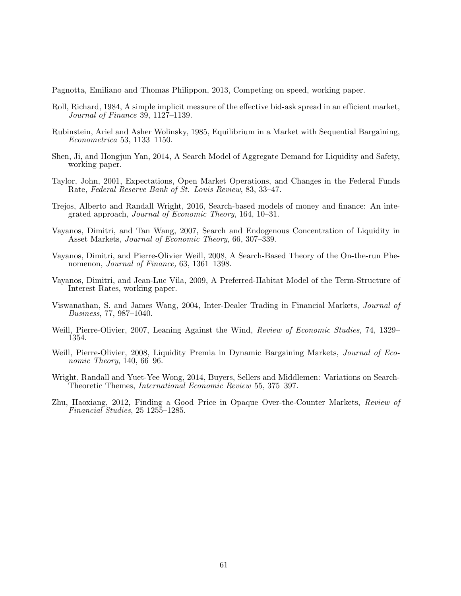Pagnotta, Emiliano and Thomas Philippon, 2013, Competing on speed, working paper.

- Roll, Richard, 1984, A simple implicit measure of the effective bid-ask spread in an efficient market, Journal of Finance 39, 1127–1139.
- Rubinstein, Ariel and Asher Wolinsky, 1985, Equilibrium in a Market with Sequential Bargaining, Econometrica 53, 1133–1150.
- Shen, Ji, and Hongjun Yan, 2014, A Search Model of Aggregate Demand for Liquidity and Safety, working paper.
- Taylor, John, 2001, Expectations, Open Market Operations, and Changes in the Federal Funds Rate, Federal Reserve Bank of St. Louis Review, 83, 33–47.
- Trejos, Alberto and Randall Wright, 2016, Search-based models of money and finance: An integrated approach, Journal of Economic Theory, 164, 10–31.
- Vayanos, Dimitri, and Tan Wang, 2007, Search and Endogenous Concentration of Liquidity in Asset Markets, Journal of Economic Theory, 66, 307–339.
- Vayanos, Dimitri, and Pierre-Olivier Weill, 2008, A Search-Based Theory of the On-the-run Phenomenon, *Journal of Finance*, 63, 1361–1398.
- Vayanos, Dimitri, and Jean-Luc Vila, 2009, A Preferred-Habitat Model of the Term-Structure of Interest Rates, working paper.
- Viswanathan, S. and James Wang, 2004, Inter-Dealer Trading in Financial Markets, Journal of Business, 77, 987–1040.
- Weill, Pierre-Olivier, 2007, Leaning Against the Wind, Review of Economic Studies, 74, 1329– 1354.
- Weill, Pierre-Olivier, 2008, Liquidity Premia in Dynamic Bargaining Markets, *Journal of Eco*nomic Theory, 140, 66–96.
- Wright, Randall and Yuet-Yee Wong, 2014, Buyers, Sellers and Middlemen: Variations on Search-Theoretic Themes, International Economic Review 55, 375–397.
- Zhu, Haoxiang, 2012, Finding a Good Price in Opaque Over-the-Counter Markets, Review of Financial Studies, 25 1255–1285.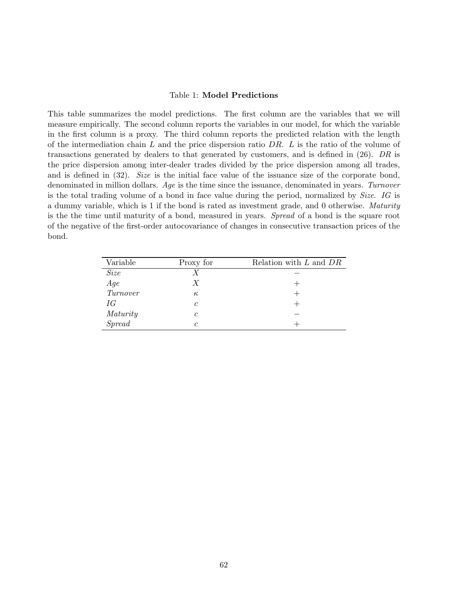#### Table 1: Model Predictions

This table summarizes the model predictions. The first column are the variables that we will measure empirically. The second column reports the variables in our model, for which the variable in the first column is a proxy. The third column reports the predicted relation with the length of the intermediation chain L and the price dispersion ratio DR. L is the ratio of the volume of transactions generated by dealers to that generated by customers, and is defined in (26). DR is the price dispersion among inter-dealer trades divided by the price dispersion among all trades, and is defined in (32). Size is the initial face value of the issuance size of the corporate bond, denominated in million dollars. Age is the time since the issuance, denominated in years. Turnover is the total trading volume of a bond in face value during the period, normalized by Size. IG is a dummy variable, which is 1 if the bond is rated as investment grade, and 0 otherwise. Maturity is the the time until maturity of a bond, measured in years. Spread of a bond is the square root of the negative of the first-order autocovariance of changes in consecutive transaction prices of the bond.

| Variable       | Proxy for  | Relation with $L$ and $DR$ |
|----------------|------------|----------------------------|
| <i>Size</i>    | X          |                            |
| $Age$ Turnover | X          |                            |
|                | $\kappa$   |                            |
| IG             | $\epsilon$ |                            |
| Maturity       | C          |                            |
| <b>Spread</b>  |            |                            |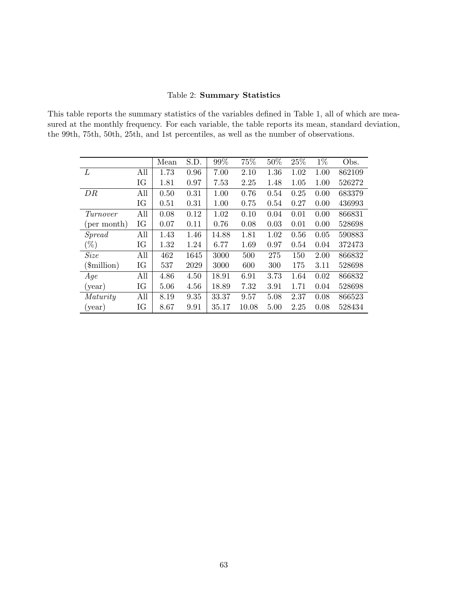### Table 2: Summary Statistics

This table reports the summary statistics of the variables defined in Table 1, all of which are measured at the monthly frequency. For each variable, the table reports its mean, standard deviation, the 99th, 75th, 50th, 25th, and 1st percentiles, as well as the number of observations.

|                      |     | Mean | S.D. | 99%   | 75%   | $50\%$ | 25%  | $1\%$ | Obs.   |
|----------------------|-----|------|------|-------|-------|--------|------|-------|--------|
| L                    | All | 1.73 | 0.96 | 7.00  | 2.10  | 1.36   | 1.02 | 1.00  | 862109 |
|                      | IG  | 1.81 | 0.97 | 7.53  | 2.25  | 1.48   | 1.05 | 1.00  | 526272 |
| DR                   | All | 0.50 | 0.31 | 1.00  | 0.76  | 0.54   | 0.25 | 0.00  | 683379 |
|                      | IG  | 0.51 | 0.31 | 1.00  | 0.75  | 0.54   | 0.27 | 0.00  | 436993 |
| Turnover             | All | 0.08 | 0.12 | 1.02  | 0.10  | 0.04   | 0.01 | 0.00  | 866831 |
| (per month)          | IG  | 0.07 | 0.11 | 0.76  | 0.08  | 0.03   | 0.01 | 0.00  | 528698 |
| Spread               | All | 1.43 | 1.46 | 14.88 | 1.81  | 1.02   | 0.56 | 0.05  | 590883 |
| $(\%)$               | IG  | 1.32 | 1.24 | 6.77  | 1.69  | 0.97   | 0.54 | 0.04  | 372473 |
| <i>Size</i>          | All | 462  | 1645 | 3000  | 500   | 275    | 150  | 2.00  | 866832 |
| $(\text{simillion})$ | IG  | 537  | 2029 | 3000  | 600   | 300    | 175  | 3.11  | 528698 |
| Age                  | All | 4.86 | 4.50 | 18.91 | 6.91  | 3.73   | 1.64 | 0.02  | 866832 |
| (year)               | IG  | 5.06 | 4.56 | 18.89 | 7.32  | 3.91   | 1.71 | 0.04  | 528698 |
| Maturity             | All | 8.19 | 9.35 | 33.37 | 9.57  | 5.08   | 2.37 | 0.08  | 866523 |
| (year)               | IG  | 8.67 | 9.91 | 35.17 | 10.08 | 5.00   | 2.25 | 0.08  | 528434 |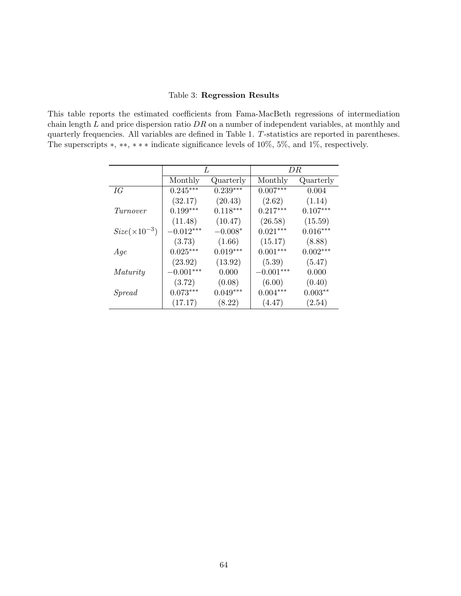#### Table 3: Regression Results

This table reports the estimated coefficients from Fama-MacBeth regressions of intermediation chain length  $L$  and price dispersion ratio  $DR$  on a number of independent variables, at monthly and quarterly frequencies. All variables are defined in Table 1. T-statistics are reported in parentheses. The superscripts ∗, ∗∗, ∗ ∗ ∗ indicate significance levels of 10%, 5%, and 1%, respectively.

|                        | L           |            | DR.         |            |  |
|------------------------|-------------|------------|-------------|------------|--|
|                        | Monthly     | Quarterly  | Monthly     | Quarterly  |  |
| IG                     | $0.245***$  | $0.239***$ | $0.007***$  | 0.004      |  |
|                        | (32.17)     | (20.43)    | (2.62)      | (1.14)     |  |
| Turnover               | $0.199***$  | $0.118***$ | $0.217***$  | $0.107***$ |  |
|                        | (11.48)     | (10.47)    | (26.58)     | (15.59)    |  |
| $Size(\times 10^{-3})$ | $-0.012***$ | $-0.008*$  | $0.021***$  | $0.016***$ |  |
|                        | (3.73)      | (1.66)     | (15.17)     | (8.88)     |  |
| Age                    | $0.025***$  | $0.019***$ | $0.001***$  | $0.002***$ |  |
|                        | (23.92)     | (13.92)    | (5.39)      | (5.47)     |  |
| Maturity               | $-0.001***$ | 0.000      | $-0.001***$ | 0.000      |  |
|                        | (3.72)      | (0.08)     | (6.00)      | (0.40)     |  |
| Spread                 | $0.073***$  | $0.049***$ | $0.004***$  | $0.003**$  |  |
|                        | (17.17)     | (8.22)     | (4.47)      | (2.54)     |  |